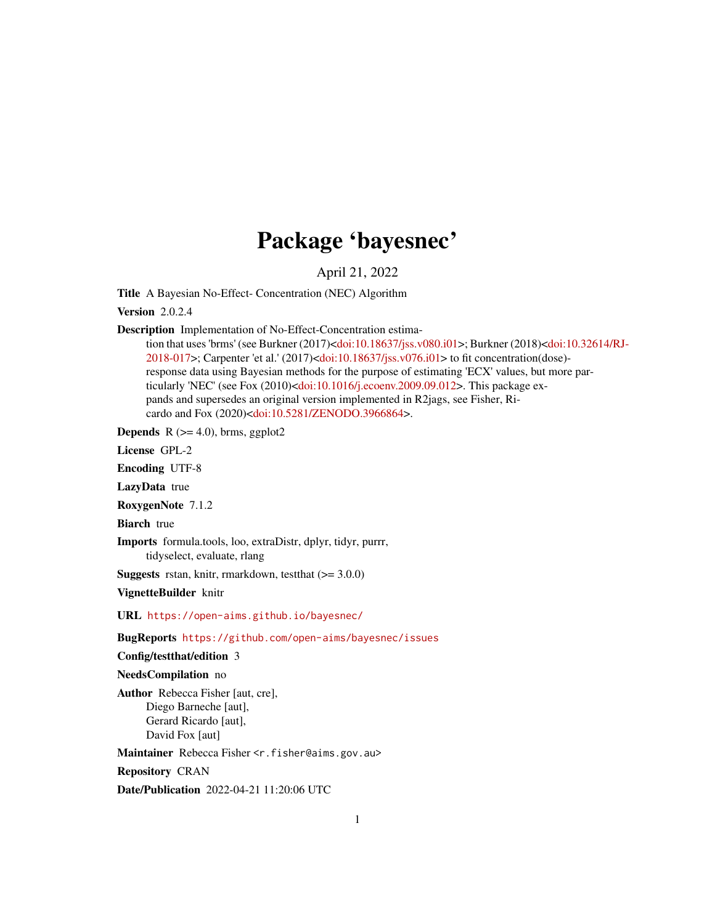# Package 'bayesnec'

April 21, 2022

<span id="page-0-0"></span>Title A Bayesian No-Effect- Concentration (NEC) Algorithm

Version 2.0.2.4

Description Implementation of No-Effect-Concentration estima-

tion that uses 'brms' (see Burkner (2017)[<doi:10.18637/jss.v080.i01>](https://doi.org/10.18637/jss.v080.i01); Burkner (2018)[<doi:10.3261](https://doi.org/10.32614/RJ-2018-017)4/RJ-[2018-017>](https://doi.org/10.32614/RJ-2018-017); Carpenter 'et al.' (2017)[<doi:10.18637/jss.v076.i01>](https://doi.org/10.18637/jss.v076.i01) to fit concentration(dose) response data using Bayesian methods for the purpose of estimating 'ECX' values, but more particularly 'NEC' (see Fox (2010)[<doi:10.1016/j.ecoenv.2009.09.012>](https://doi.org/10.1016/j.ecoenv.2009.09.012). This package expands and supersedes an original version implemented in R2jags, see Fisher, Ricardo and Fox (2020)[<doi:10.5281/ZENODO.3966864>](https://doi.org/10.5281/ZENODO.3966864).

**Depends** R  $(>= 4.0)$ , brms, ggplot2

License GPL-2

Encoding UTF-8

LazyData true

RoxygenNote 7.1.2

**Biarch** true

Imports formula.tools, loo, extraDistr, dplyr, tidyr, purrr,

tidyselect, evaluate, rlang

**Suggests** rstan, knitr, rmarkdown, test that  $(>= 3.0.0)$ 

VignetteBuilder knitr

URL <https://open-aims.github.io/bayesnec/>

BugReports <https://github.com/open-aims/bayesnec/issues>

Config/testthat/edition 3

NeedsCompilation no

Author Rebecca Fisher [aut, cre], Diego Barneche [aut], Gerard Ricardo [aut], David Fox [aut]

Maintainer Rebecca Fisher <r.fisher@aims.gov.au>

Repository CRAN

Date/Publication 2022-04-21 11:20:06 UTC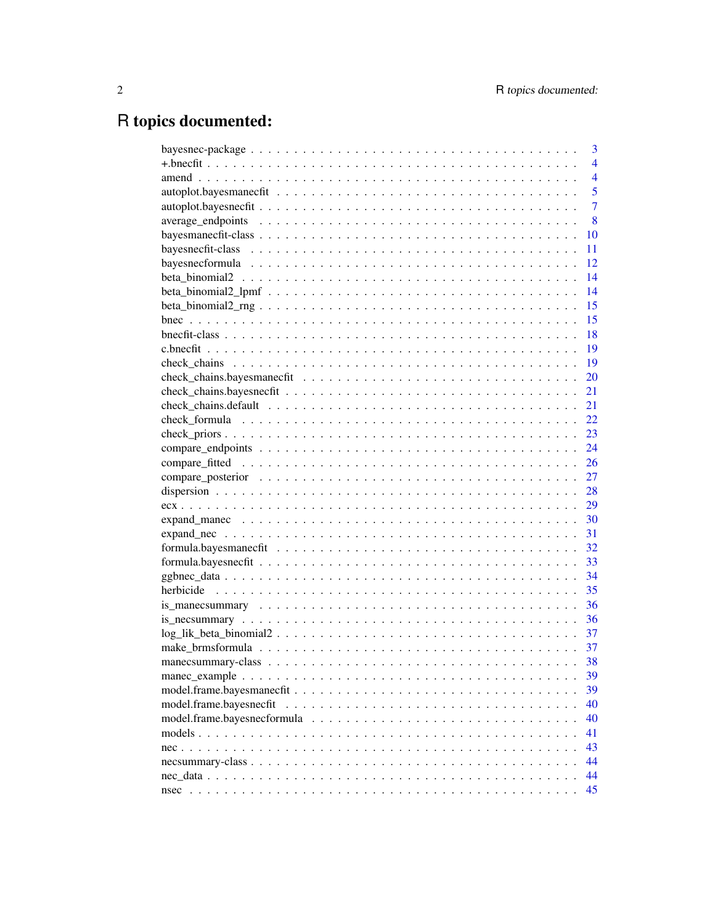# R topics documented:

|                                                                                                                                 | 3              |
|---------------------------------------------------------------------------------------------------------------------------------|----------------|
|                                                                                                                                 | $\overline{4}$ |
|                                                                                                                                 | $\overline{4}$ |
|                                                                                                                                 | 5              |
|                                                                                                                                 | $\overline{7}$ |
|                                                                                                                                 | 8              |
|                                                                                                                                 | 10             |
|                                                                                                                                 | 11             |
|                                                                                                                                 | 12             |
|                                                                                                                                 | 14             |
|                                                                                                                                 | 14             |
|                                                                                                                                 | 15             |
|                                                                                                                                 | 15             |
|                                                                                                                                 | 18             |
|                                                                                                                                 | 19             |
|                                                                                                                                 | 19             |
|                                                                                                                                 | 20             |
|                                                                                                                                 | 21             |
|                                                                                                                                 | 21             |
|                                                                                                                                 | 22             |
|                                                                                                                                 | 23             |
|                                                                                                                                 | 24             |
|                                                                                                                                 | 26             |
|                                                                                                                                 | 27             |
|                                                                                                                                 |                |
|                                                                                                                                 |                |
|                                                                                                                                 | 30             |
|                                                                                                                                 | 31             |
|                                                                                                                                 | 32             |
|                                                                                                                                 | 33             |
|                                                                                                                                 | 34             |
|                                                                                                                                 | 35             |
|                                                                                                                                 | 36             |
|                                                                                                                                 | 36             |
|                                                                                                                                 | 37             |
|                                                                                                                                 | 37             |
|                                                                                                                                 | 38             |
|                                                                                                                                 | 39             |
|                                                                                                                                 | 39             |
|                                                                                                                                 |                |
|                                                                                                                                 | 40             |
|                                                                                                                                 | 40             |
|                                                                                                                                 | 41             |
|                                                                                                                                 | 43             |
| $\text{ necessary-class} \dots \dots \dots \dots \dots \dots \dots \dots \dots \dots \dots \dots \dots \dots \dots \dots \dots$ | 44             |
|                                                                                                                                 | 44             |
|                                                                                                                                 | 45             |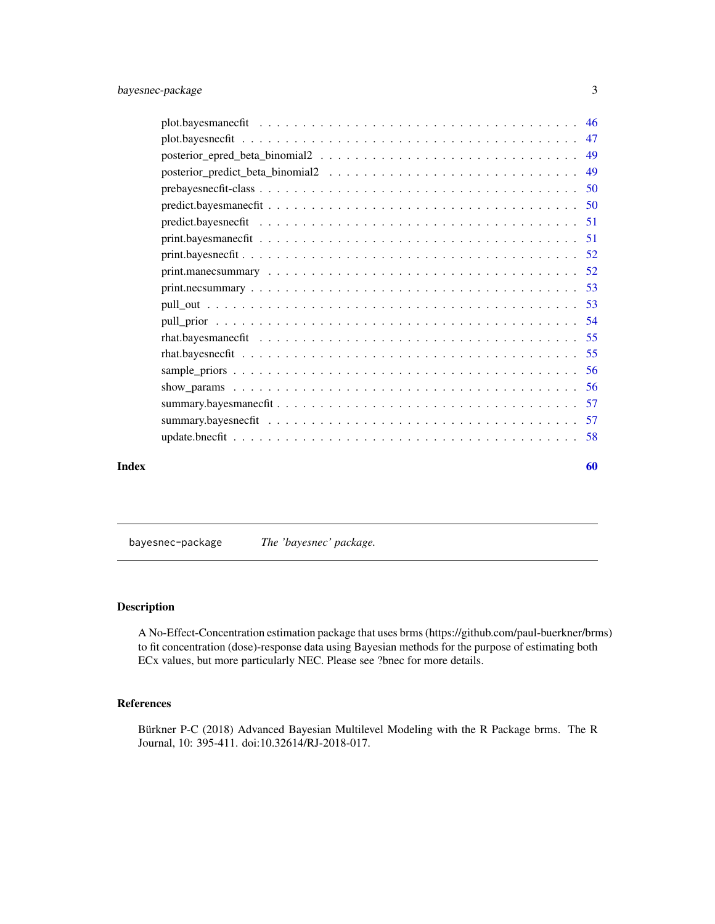<span id="page-2-0"></span>

| Index | 60 |
|-------|----|

bayesnec-package *The 'bayesnec' package.*

### <span id="page-2-1"></span>Description

A No-Effect-Concentration estimation package that uses brms (https://github.com/paul-buerkner/brms) to fit concentration (dose)-response data using Bayesian methods for the purpose of estimating both ECx values, but more particularly NEC. Please see ?bnec for more details.

### References

Bürkner P-C (2018) Advanced Bayesian Multilevel Modeling with the R Package brms. The R Journal, 10: 395-411. doi:10.32614/RJ-2018-017.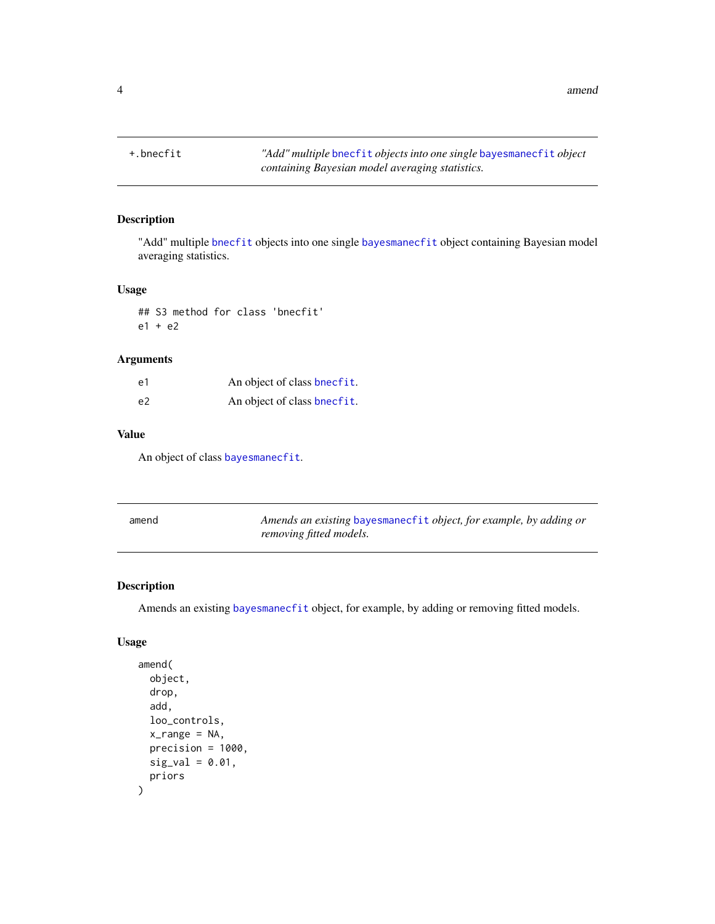<span id="page-3-0"></span>

"Add" multiple [bnecfit](#page-17-1) objects into one single [bayesmanecfit](#page-9-1) object containing Bayesian model averaging statistics.

#### Usage

## S3 method for class 'bnecfit' e1 + e2

### Arguments

| e1 | An object of class bnecfit. |
|----|-----------------------------|
| e2 | An object of class bnecfit. |

#### Value

An object of class [bayesmanecfit](#page-9-1).

<span id="page-3-1"></span>

| amend | Amends an existing bayesmanecfit object, for example, by adding or |
|-------|--------------------------------------------------------------------|
|       | removing fitted models.                                            |

### Description

Amends an existing [bayesmanecfit](#page-9-1) object, for example, by adding or removing fitted models.

### Usage

```
amend(
  object,
  drop,
  add,
  loo_controls,
  x_range = NA,
  precision = 1000,
  sig_val = 0.01,priors
\mathcal{E}
```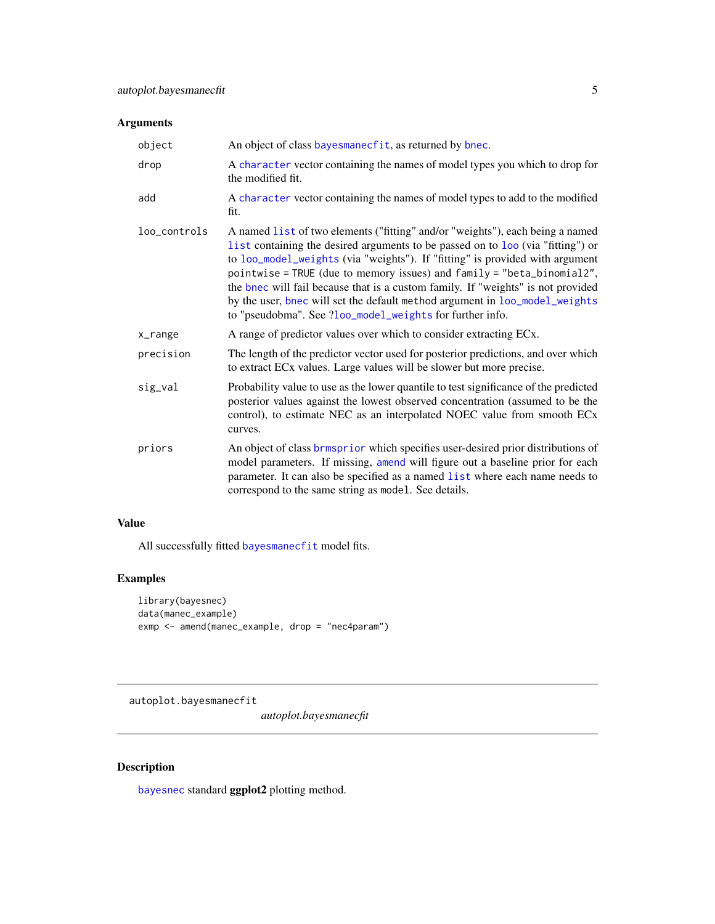### <span id="page-4-0"></span>Arguments

| object       | An object of class bayesmane cfit, as returned by bnec.                                                                                                                                                                                                                                                                                                                                                                                                                                                                                                   |
|--------------|-----------------------------------------------------------------------------------------------------------------------------------------------------------------------------------------------------------------------------------------------------------------------------------------------------------------------------------------------------------------------------------------------------------------------------------------------------------------------------------------------------------------------------------------------------------|
| drop         | A character vector containing the names of model types you which to drop for<br>the modified fit.                                                                                                                                                                                                                                                                                                                                                                                                                                                         |
| add          | A character vector containing the names of model types to add to the modified<br>fit.                                                                                                                                                                                                                                                                                                                                                                                                                                                                     |
| loo_controls | A named list of two elements ("fitting" and/or "weights"), each being a named<br>list containing the desired arguments to be passed on to loo (via "fitting") or<br>to loo_model_weights (via "weights"). If "fitting" is provided with argument<br>pointwise = TRUE (due to memory issues) and family = "beta_binomial2",<br>the bnec will fail because that is a custom family. If "weights" is not provided<br>by the user, bnec will set the default method argument in loo_model_weights<br>to "pseudobma". See ?loo_model_weights for further info. |
| x_range      | A range of predictor values over which to consider extracting ECx.                                                                                                                                                                                                                                                                                                                                                                                                                                                                                        |
| precision    | The length of the predictor vector used for posterior predictions, and over which<br>to extract ECx values. Large values will be slower but more precise.                                                                                                                                                                                                                                                                                                                                                                                                 |
| sig_val      | Probability value to use as the lower quantile to test significance of the predicted<br>posterior values against the lowest observed concentration (assumed to be the<br>control), to estimate NEC as an interpolated NOEC value from smooth ECx<br>curves.                                                                                                                                                                                                                                                                                               |
| priors       | An object of class brmsprior which specifies user-desired prior distributions of<br>model parameters. If missing, amend will figure out a baseline prior for each<br>parameter. It can also be specified as a named list where each name needs to<br>correspond to the same string as model. See details.                                                                                                                                                                                                                                                 |

### Value

All successfully fitted [bayesmanecfit](#page-9-1) model fits.

### Examples

```
library(bayesnec)
data(manec_example)
exmp <- amend(manec_example, drop = "nec4param")
```
<span id="page-4-1"></span>autoplot.bayesmanecfit

*autoplot.bayesmanecfit*

### Description

[bayesnec](#page-2-1) standard ggplot2 plotting method.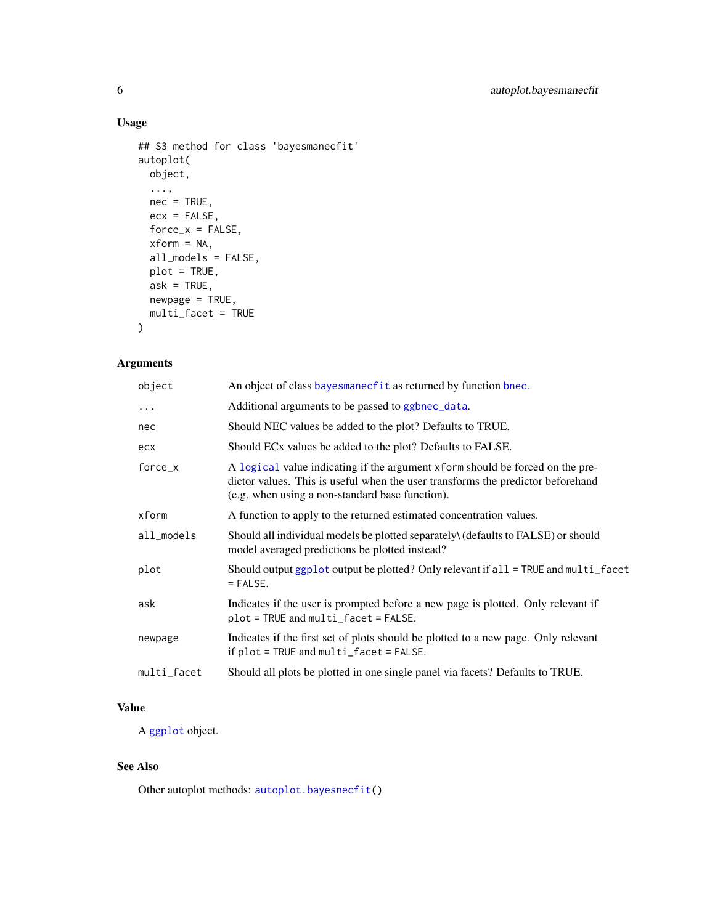### Usage

```
## S3 method for class 'bayesmanecfit'
autoplot(
 object,
 ...,
 nec = TRUE,exc = FALSE,force_x = FALSE,xform = NA,
 all_models = FALSE,
 plot = TRUE,
 ask = TRUE,newpage = TRUE,
 multi_facet = TRUE
)
```
### Arguments

| object      | An object of class bayesmanecfit as returned by function bnec.                                                                                                                                                      |
|-------------|---------------------------------------------------------------------------------------------------------------------------------------------------------------------------------------------------------------------|
| $\cdots$    | Additional arguments to be passed to ggbnec_data.                                                                                                                                                                   |
| nec         | Should NEC values be added to the plot? Defaults to TRUE.                                                                                                                                                           |
| ecx         | Should EC <sub>x</sub> values be added to the plot? Defaults to FALSE.                                                                                                                                              |
| $force_x$   | A logical value indicating if the argument xform should be forced on the pre-<br>dictor values. This is useful when the user transforms the predictor beforehand<br>(e.g. when using a non-standard base function). |
| xform       | A function to apply to the returned estimated concentration values.                                                                                                                                                 |
| all_models  | Should all individual models be plotted separately $\setminus$ (defaults to FALSE) or should<br>model averaged predictions be plotted instead?                                                                      |
| plot        | Should output ggplot output be plotted? Only relevant if all = TRUE and multi_facet<br>$=$ FALSE.                                                                                                                   |
| ask         | Indicates if the user is prompted before a new page is plotted. Only relevant if<br>$plot = TRUE$ and $multi_f$ acet = $FALSE.$                                                                                     |
| newpage     | Indicates if the first set of plots should be plotted to a new page. Only relevant<br>if $plot = TRUE$ and $multi_f$ acet = $FALSE$ .                                                                               |
| multi_facet | Should all plots be plotted in one single panel via facets? Defaults to TRUE.                                                                                                                                       |
|             |                                                                                                                                                                                                                     |

### Value

A [ggplot](#page-0-0) object.

### See Also

Other autoplot methods: [autoplot.bayesnecfit\(](#page-6-1))

<span id="page-5-0"></span>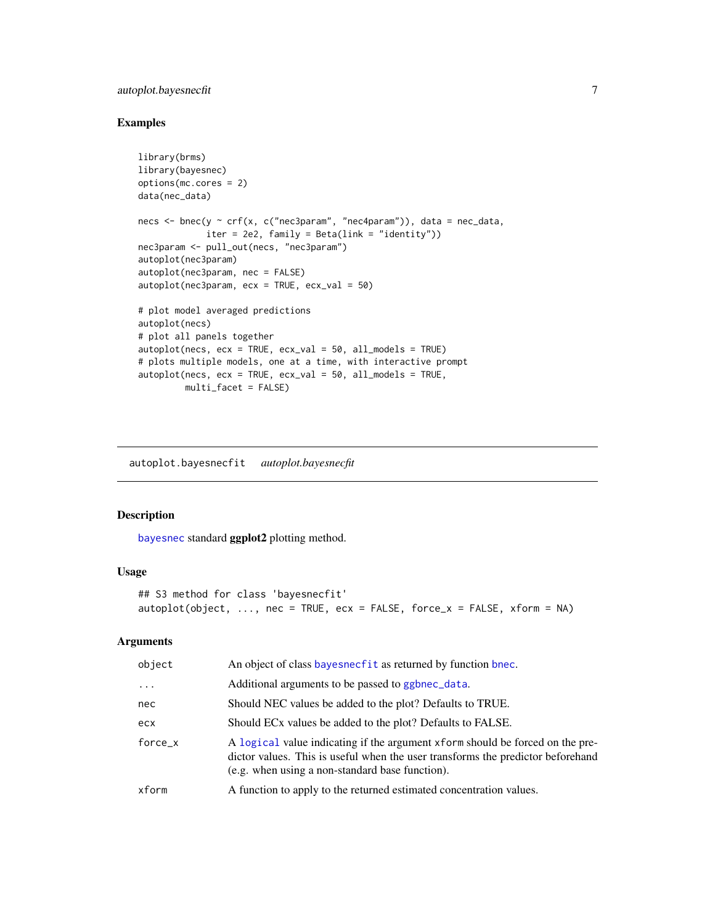### <span id="page-6-0"></span>autoplot.bayesnecfit 7

### Examples

```
library(brms)
library(bayesnec)
options(mc.cores = 2)
data(nec_data)
necs <- bnec(y ~ crf(x, c("nec3param", "nec4param")), data = nec_data,
             iter = 2e2, family = Beta(link = "identity"))
nec3param <- pull_out(necs, "nec3param")
autoplot(nec3param)
autoplot(nec3param, nec = FALSE)
autoplot(nec3param, ecx = TRUE, ecx_val = 50)
# plot model averaged predictions
autoplot(necs)
# plot all panels together
autoplot(necs, ecx = TRUE, ecx_val = 50, all_models = TRUE)
# plots multiple models, one at a time, with interactive prompt
autoplot(necs, ecx = TRUE, ecx_val = 50, all_model = TRUE,multi_facet = FALSE)
```
<span id="page-6-1"></span>autoplot.bayesnecfit *autoplot.bayesnecfit*

### Description

[bayesnec](#page-2-1) standard ggplot2 plotting method.

#### Usage

```
## S3 method for class 'bayesnecfit'
autoplot(object, ..., nec = TRUE, ecc = FALSE, force_x = FALSE, xform = NA)
```
### Arguments

| object     | An object of class bayes necessity as returned by function bnec.                                                                                                                                                    |  |
|------------|---------------------------------------------------------------------------------------------------------------------------------------------------------------------------------------------------------------------|--|
| $\ddots$ . | Additional arguments to be passed to ggbnec_data.                                                                                                                                                                   |  |
| nec        | Should NEC values be added to the plot? Defaults to TRUE.                                                                                                                                                           |  |
| ecx        | Should EC <sub>x</sub> values be added to the plot? Defaults to FALSE.                                                                                                                                              |  |
| force_x    | A logical value indicating if the argument xform should be forced on the pre-<br>dictor values. This is useful when the user transforms the predictor beforehand<br>(e.g. when using a non-standard base function). |  |
| xform      | A function to apply to the returned estimated concentration values.                                                                                                                                                 |  |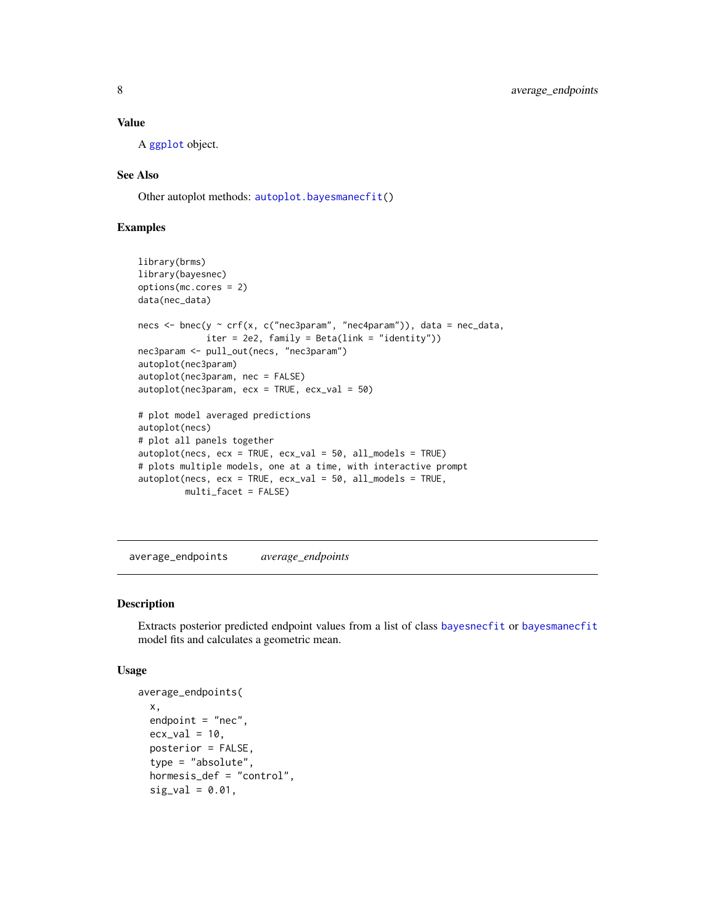#### <span id="page-7-0"></span>Value

A [ggplot](#page-0-0) object.

#### See Also

Other autoplot methods: [autoplot.bayesmanecfit\(](#page-4-1))

#### Examples

```
library(brms)
library(bayesnec)
options(mc.cores = 2)
data(nec_data)
necs \le bnec(y \sim crf(x, c("nec3param", "nec4param")), data = nec_data,
             iter = 2e2, family = Beta(link = "identity"))
nec3param <- pull_out(necs, "nec3param")
autoplot(nec3param)
autoplot(nec3param, nec = FALSE)
autoplot(nec3param, ecx = TRUE, ecx_val = 50)
# plot model averaged predictions
autoplot(necs)
# plot all panels together
autoplot(necs, ecx = TRUE, ecx_val = 50, all_models = TRUE)
# plots multiple models, one at a time, with interactive prompt
autoplot(necs, ecx = TRUE, ecx_val = 50, all_models = TRUE,
         multi_facet = FALSE)
```
average\_endpoints *average\_endpoints*

#### Description

Extracts posterior predicted endpoint values from a list of class [bayesnecfit](#page-10-1) or [bayesmanecfit](#page-9-1) model fits and calculates a geometric mean.

#### Usage

```
average_endpoints(
  x,
  endpoint = "nec",ex\_val = 10,
 posterior = FALSE,
  type = "absolute",
  hormesis_def = "control",
  sig_val = 0.01,
```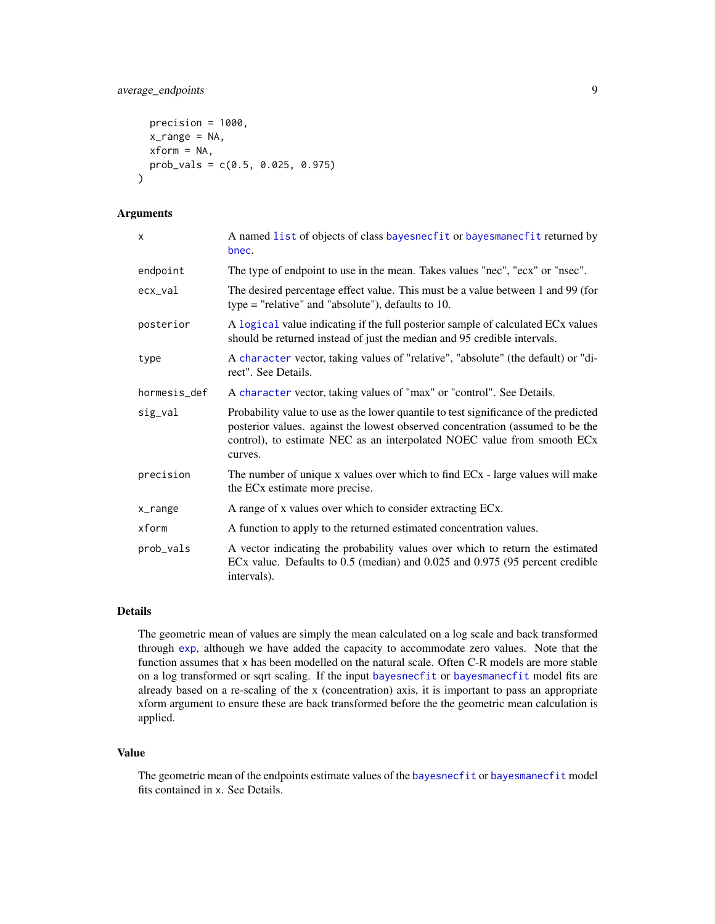```
precision = 1000,
 x_range = NA,
 xform = NA,
 prob_vals = c(0.5, 0.025, 0.975)
)
```
### Arguments

| X.           | A named list of objects of class bayes necfit or bayes manner fit returned by<br>bnec.                                                                                                                                                                       |
|--------------|--------------------------------------------------------------------------------------------------------------------------------------------------------------------------------------------------------------------------------------------------------------|
| endpoint     | The type of endpoint to use in the mean. Takes values "nec", "ecx" or "nsec".                                                                                                                                                                                |
| ecx_val      | The desired percentage effect value. This must be a value between 1 and 99 (for<br>$type = "relative"$ and "absolute"), defaults to 10.                                                                                                                      |
| posterior    | A logical value indicating if the full posterior sample of calculated ECx values<br>should be returned instead of just the median and 95 credible intervals.                                                                                                 |
| type         | A character vector, taking values of "relative", "absolute" (the default) or "di-<br>rect". See Details.                                                                                                                                                     |
| hormesis_def | A character vector, taking values of "max" or "control". See Details.                                                                                                                                                                                        |
| sig_val      | Probability value to use as the lower quantile to test significance of the predicted<br>posterior values. against the lowest observed concentration (assumed to be the<br>control), to estimate NEC as an interpolated NOEC value from smooth ECx<br>curves. |
| precision    | The number of unique x values over which to find ECx - large values will make<br>the EC <sub>x</sub> estimate more precise.                                                                                                                                  |
| x_range      | A range of x values over which to consider extracting ECx.                                                                                                                                                                                                   |
| xform        | A function to apply to the returned estimated concentration values.                                                                                                                                                                                          |
| prob_vals    | A vector indicating the probability values over which to return the estimated<br>ECx value. Defaults to 0.5 (median) and 0.025 and 0.975 (95 percent credible<br>intervals).                                                                                 |

#### Details

The geometric mean of values are simply the mean calculated on a log scale and back transformed through [exp](#page-0-0), although we have added the capacity to accommodate zero values. Note that the function assumes that x has been modelled on the natural scale. Often C-R models are more stable on a log transformed or sqrt scaling. If the input [bayesnecfit](#page-10-1) or [bayesmanecfit](#page-9-1) model fits are already based on a re-scaling of the x (concentration) axis, it is important to pass an appropriate xform argument to ensure these are back transformed before the the geometric mean calculation is applied.

#### Value

The geometric mean of the endpoints estimate values of the [bayesnecfit](#page-10-1) or [bayesmanecfit](#page-9-1) model fits contained in x. See Details.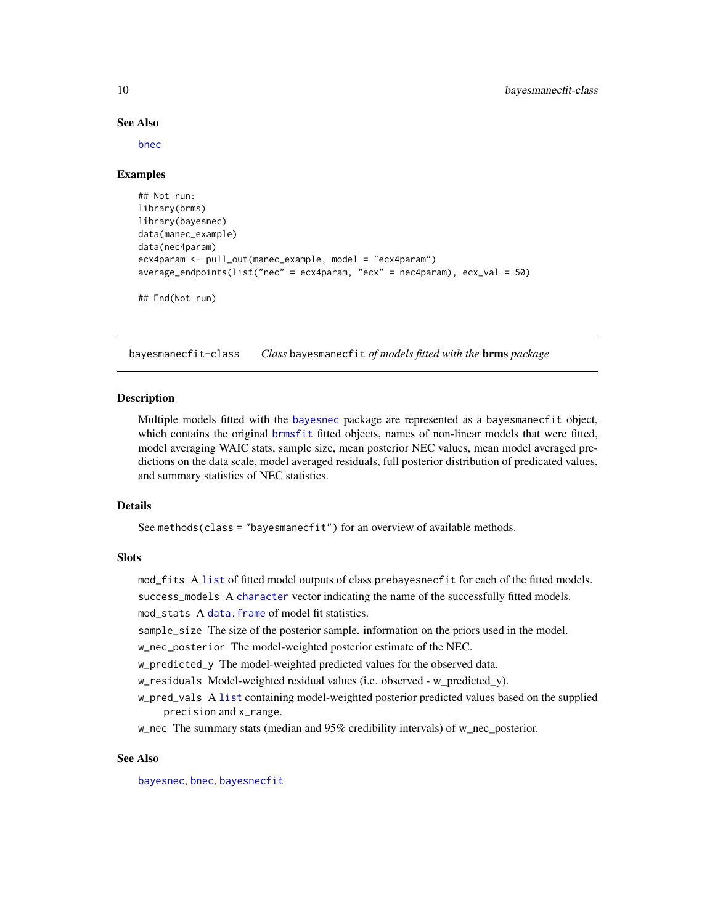#### See Also

[bnec](#page-14-1)

#### Examples

```
## Not run:
library(brms)
library(bayesnec)
data(manec_example)
data(nec4param)
ecx4param <- pull_out(manec_example, model = "ecx4param")
average_endpoints(list("nec" = ecx4param, "ecx" = nec4param), ecx_val = 50)
## End(Not run)
```
bayesmanecfit-class *Class* bayesmanecfit *of models fitted with the* brms *package*

#### <span id="page-9-1"></span>Description

Multiple models fitted with the [bayesnec](#page-2-1) package are represented as a bayesmanecfit object, which contains the original [brmsfit](#page-0-0) fitted objects, names of non-linear models that were fitted, model averaging WAIC stats, sample size, mean posterior NEC values, mean model averaged predictions on the data scale, model averaged residuals, full posterior distribution of predicated values, and summary statistics of NEC statistics.

#### Details

See methods(class = "bayesmanecfit") for an overview of available methods.

#### **Slots**

mod\_fits A [list](#page-0-0) of fitted model outputs of class prebayesnecfit for each of the fitted models. success\_models A [character](#page-0-0) vector indicating the name of the successfully fitted models.

mod\_stats A [data.frame](#page-0-0) of model fit statistics.

sample\_size The size of the posterior sample. information on the priors used in the model.

w\_nec\_posterior The model-weighted posterior estimate of the NEC.

w\_predicted\_y The model-weighted predicted values for the observed data.

w\_residuals Model-weighted residual values (i.e. observed - w\_predicted\_y).

- w\_pred\_vals A [list](#page-0-0) containing model-weighted posterior predicted values based on the supplied precision and x\_range.
- w\_nec The summary stats (median and 95% credibility intervals) of w\_nec\_posterior.

#### See Also

[bayesnec](#page-2-1), [bnec](#page-14-1), [bayesnecfit](#page-10-1)

<span id="page-9-0"></span>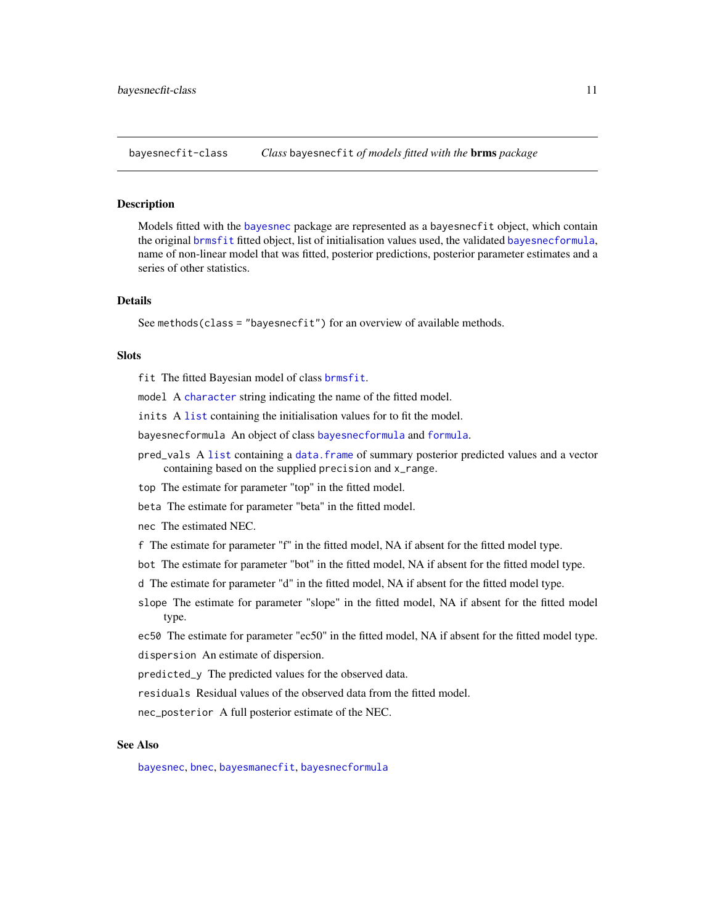<span id="page-10-0"></span>bayesnecfit-class *Class* bayesnecfit *of models fitted with the* brms *package*

### <span id="page-10-1"></span>Description

Models fitted with the [bayesnec](#page-2-1) package are represented as a bayesnecfit object, which contain the original [brmsfit](#page-0-0) fitted object, list of initialisation values used, the validated [bayesnecformula](#page-11-1), name of non-linear model that was fitted, posterior predictions, posterior parameter estimates and a series of other statistics.

#### Details

See methods(class = "bayesnecfit") for an overview of available methods.

#### **Slots**

fit The fitted Bayesian model of class [brmsfit](#page-0-0).

model A [character](#page-0-0) string indicating the name of the fitted model.

inits A [list](#page-0-0) containing the initialisation values for to fit the model.

bayesnecformula An object of class [bayesnecformula](#page-11-1) and [formula](#page-0-0).

pred\_vals A [list](#page-0-0) containing a [data.frame](#page-0-0) of summary posterior predicted values and a vector containing based on the supplied precision and x\_range.

top The estimate for parameter "top" in the fitted model.

beta The estimate for parameter "beta" in the fitted model.

nec The estimated NEC.

f The estimate for parameter "f" in the fitted model, NA if absent for the fitted model type.

bot The estimate for parameter "bot" in the fitted model, NA if absent for the fitted model type.

d The estimate for parameter "d" in the fitted model, NA if absent for the fitted model type.

slope The estimate for parameter "slope" in the fitted model, NA if absent for the fitted model type.

ec50 The estimate for parameter "ec50" in the fitted model, NA if absent for the fitted model type. dispersion An estimate of dispersion.

predicted\_y The predicted values for the observed data.

residuals Residual values of the observed data from the fitted model.

nec\_posterior A full posterior estimate of the NEC.

#### See Also

[bayesnec](#page-2-1), [bnec](#page-14-1), [bayesmanecfit](#page-9-1), [bayesnecformula](#page-11-1)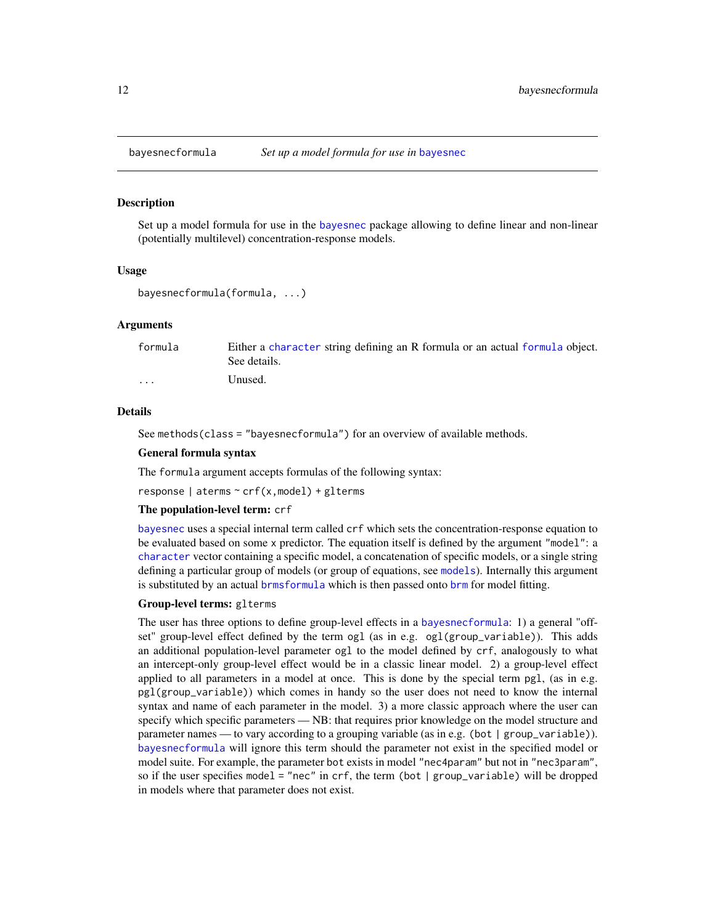<span id="page-11-1"></span><span id="page-11-0"></span>

Set up a model formula for use in the [bayesnec](#page-2-1) package allowing to define linear and non-linear (potentially multilevel) concentration-response models.

#### Usage

bayesnecformula(formula, ...)

#### Arguments

| formula  | Either a character string defining an R formula or an actual formula object. |
|----------|------------------------------------------------------------------------------|
|          | See details.                                                                 |
| $\cdots$ | Unused.                                                                      |

#### Details

See methods(class = "bayesnecformula") for an overview of available methods.

#### General formula syntax

The formula argument accepts formulas of the following syntax:

response | aterms  $\sim$  crf(x, model) + glterms

#### The population-level term: crf

[bayesnec](#page-2-1) uses a special internal term called crf which sets the concentration-response equation to be evaluated based on some x predictor. The equation itself is defined by the argument "model": a [character](#page-0-0) vector containing a specific model, a concatenation of specific models, or a single string defining a particular group of models (or group of equations, see [models](#page-40-1)). Internally this argument is substituted by an actual [brmsformula](#page-0-0) which is then passed onto [brm](#page-0-0) for model fitting.

#### Group-level terms: glterms

The user has three options to define group-level effects in a [bayesnecformula](#page-11-1): 1) a general "offset" group-level effect defined by the term ogl (as in e.g. ogl(group\_variable)). This adds an additional population-level parameter ogl to the model defined by crf, analogously to what an intercept-only group-level effect would be in a classic linear model. 2) a group-level effect applied to all parameters in a model at once. This is done by the special term pgl, (as in e.g. pgl(group\_variable)) which comes in handy so the user does not need to know the internal syntax and name of each parameter in the model. 3) a more classic approach where the user can specify which specific parameters — NB: that requires prior knowledge on the model structure and parameter names — to vary according to a grouping variable (as in e.g. (bot | group\_variable)). [bayesnecformula](#page-11-1) will ignore this term should the parameter not exist in the specified model or model suite. For example, the parameter bot exists in model "nec4param" but not in "nec3param", so if the user specifies model = "nec" in crf, the term (bot  $|$  group\_variable) will be dropped in models where that parameter does not exist.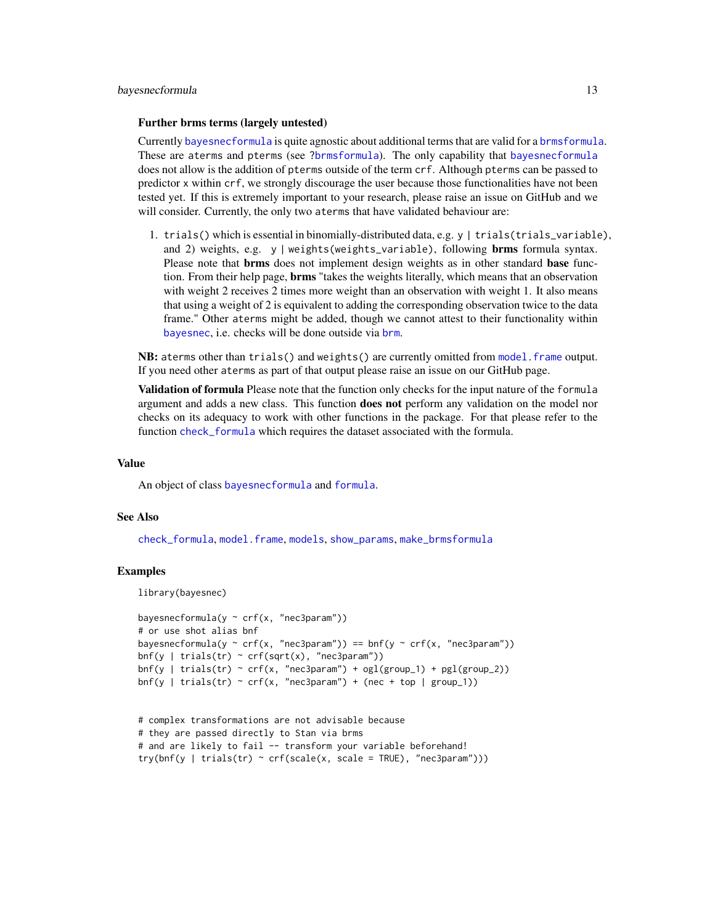#### <span id="page-12-0"></span>Further brms terms (largely untested)

Currently [bayesnecformula](#page-11-1) is quite agnostic about additional terms that are valid for a [brmsformula](#page-0-0). These are aterms and pterms (see [?brmsformula](#page-0-0)). The only capability that [bayesnecformula](#page-11-1) does not allow is the addition of pterms outside of the term crf. Although pterms can be passed to predictor x within crf, we strongly discourage the user because those functionalities have not been tested yet. If this is extremely important to your research, please raise an issue on GitHub and we will consider. Currently, the only two aterms that have validated behaviour are:

1. trials() which is essential in binomially-distributed data, e.g. y | trials(trials\_variable), and 2) weights, e.g.  $y \mid weights(weights\_variable), following \text{ brms} formula syntax.$ Please note that brms does not implement design weights as in other standard base function. From their help page, **brms** "takes the weights literally, which means that an observation with weight 2 receives 2 times more weight than an observation with weight 1. It also means that using a weight of 2 is equivalent to adding the corresponding observation twice to the data frame." Other aterms might be added, though we cannot attest to their functionality within [bayesnec](#page-2-1), i.e. checks will be done outside via [brm](#page-0-0).

 $NB:$  aterms other than  $trials()$  and weights() are currently omitted from model. frame output. If you need other aterms as part of that output please raise an issue on our GitHub page.

Validation of formula Please note that the function only checks for the input nature of the formula argument and adds a new class. This function **does not** perform any validation on the model nor checks on its adequacy to work with other functions in the package. For that please refer to the function [check\\_formula](#page-21-1) which requires the dataset associated with the formula.

#### Value

An object of class [bayesnecformula](#page-11-1) and [formula](#page-0-0).

#### See Also

[check\\_formula](#page-21-1), [model.frame](#page-0-0), [models](#page-40-1), [show\\_params](#page-55-1), [make\\_brmsformula](#page-36-1)

#### Examples

```
library(bayesnec)
```

```
bayesnecformula(y \sim \text{crf}(x, \text{ "nec3param"))}# or use shot alias bnf
bayesnecformula(y \sim crf(x, "nec3param")) == bnf(y \sim crf(x, "nec3param"))
bnf(y \mid trials(tr) \sim crf(sqrt(x), 'nec3param'))bnf(y \mid trials(tr) \sim crf(x, "nec3param") + ogl(group_1) + pgl(group_2))\text{bnf}(y \mid \text{trials}(tr) \sim \text{crf}(x, \text{ "nec3param")} + (\text{nec} + \text{top} \mid \text{group\_1}))
```

```
# complex transformations are not advisable because
# they are passed directly to Stan via brms
# and are likely to fail -- transform your variable beforehand!
try(bnf(y \mid trials(tr) \sim crf(scale(x, scale = TRUE), "nec3param"))
```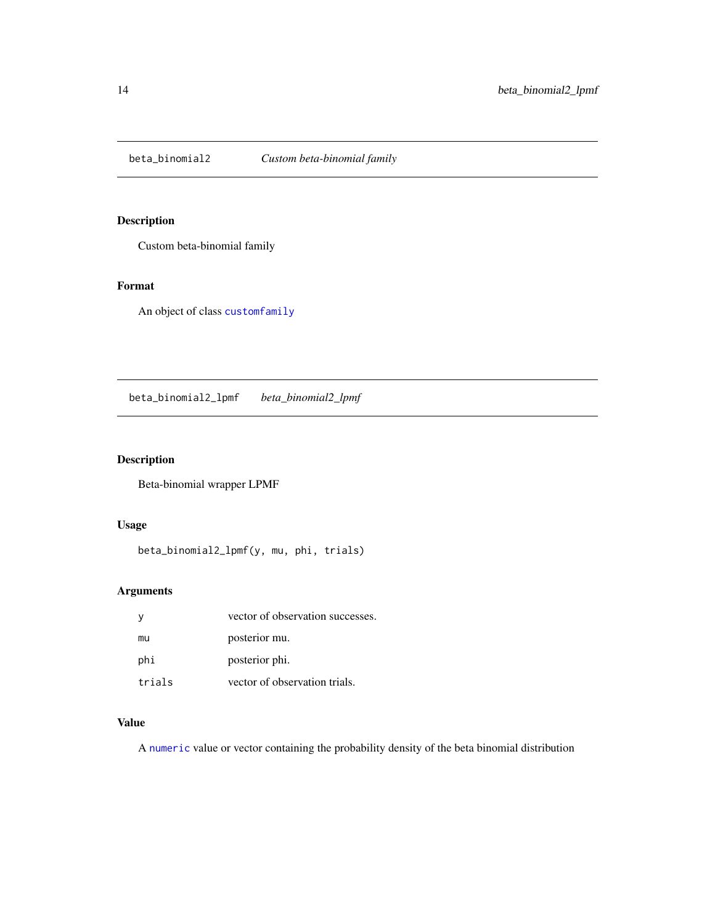<span id="page-13-0"></span>beta\_binomial2 *Custom beta-binomial family*

### Description

Custom beta-binomial family

#### Format

An object of class [customfamily](#page-0-0)

beta\_binomial2\_lpmf *beta\_binomial2\_lpmf*

### Description

Beta-binomial wrapper LPMF

### Usage

beta\_binomial2\_lpmf(y, mu, phi, trials)

### Arguments

| <sub>V</sub> | vector of observation successes. |
|--------------|----------------------------------|
| mu           | posterior mu.                    |
| phi          | posterior phi.                   |
| trials       | vector of observation trials.    |

### Value

A [numeric](#page-0-0) value or vector containing the probability density of the beta binomial distribution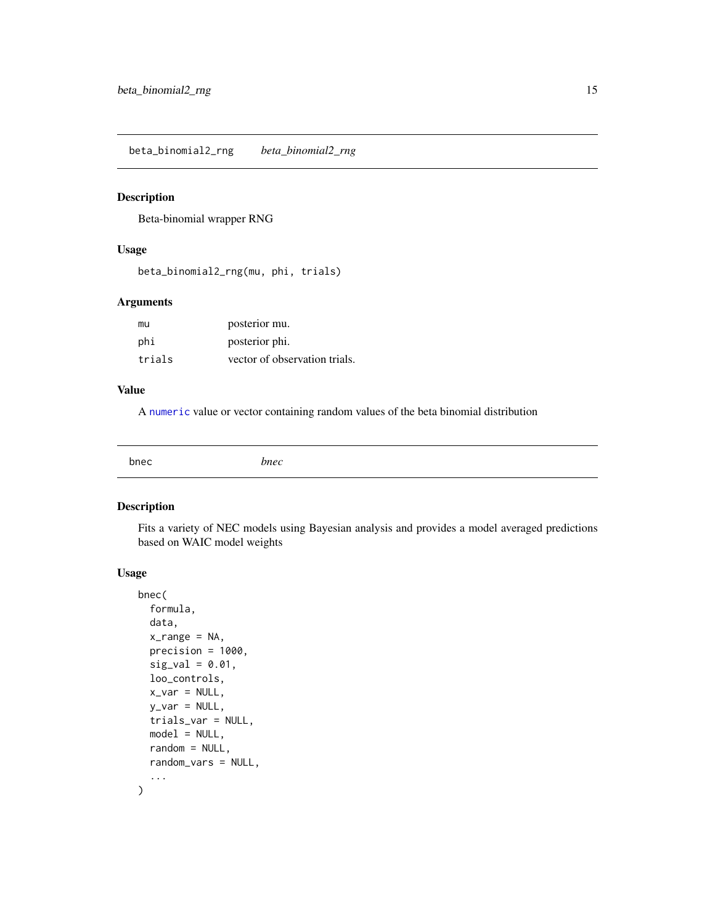<span id="page-14-0"></span>beta\_binomial2\_rng *beta\_binomial2\_rng*

#### Description

Beta-binomial wrapper RNG

### Usage

beta\_binomial2\_rng(mu, phi, trials)

#### Arguments

| mu     | posterior mu.                 |
|--------|-------------------------------|
| phi    | posterior phi.                |
| trials | vector of observation trials. |

### Value

A [numeric](#page-0-0) value or vector containing random values of the beta binomial distribution

<span id="page-14-1"></span>bnec *bnec*

### Description

Fits a variety of NEC models using Bayesian analysis and provides a model averaged predictions based on WAIC model weights

### Usage

```
bnec(
  formula,
  data,
  x_range = NA,
 precision = 1000,
  sig_val = 0.01,loo_controls,
  x_var = NULL,y_{\text{v}}var = NULL,
  trials_var = NULL,
 model = NULL,random = NULL,
  random_vars = NULL,
  ...
)
```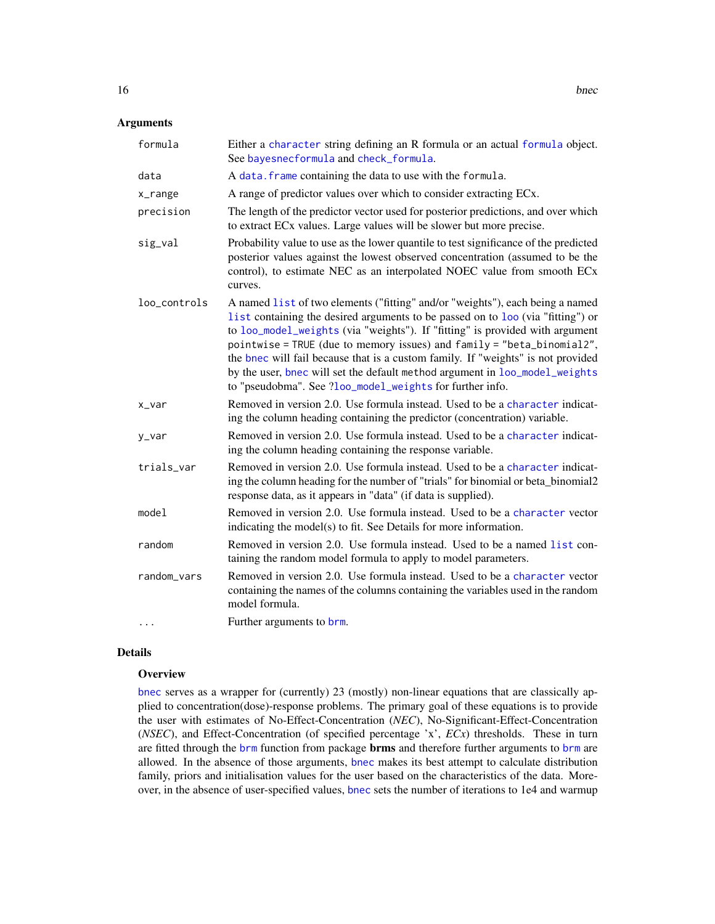#### <span id="page-15-0"></span>Arguments

| formula      | Either a character string defining an R formula or an actual formula object.<br>See bayesnecformula and check_formula.                                                                                                                                                                                                                                                                                                                                                                                                                                    |
|--------------|-----------------------------------------------------------------------------------------------------------------------------------------------------------------------------------------------------------------------------------------------------------------------------------------------------------------------------------------------------------------------------------------------------------------------------------------------------------------------------------------------------------------------------------------------------------|
| data         | A data. frame containing the data to use with the formula.                                                                                                                                                                                                                                                                                                                                                                                                                                                                                                |
| x_range      | A range of predictor values over which to consider extracting ECx.                                                                                                                                                                                                                                                                                                                                                                                                                                                                                        |
| precision    | The length of the predictor vector used for posterior predictions, and over which<br>to extract ECx values. Large values will be slower but more precise.                                                                                                                                                                                                                                                                                                                                                                                                 |
| sig_val      | Probability value to use as the lower quantile to test significance of the predicted<br>posterior values against the lowest observed concentration (assumed to be the<br>control), to estimate NEC as an interpolated NOEC value from smooth ECx<br>curves.                                                                                                                                                                                                                                                                                               |
| loo_controls | A named list of two elements ("fitting" and/or "weights"), each being a named<br>list containing the desired arguments to be passed on to loo (via "fitting") or<br>to loo_model_weights (via "weights"). If "fitting" is provided with argument<br>pointwise = TRUE (due to memory issues) and family = "beta_binomial2",<br>the bnec will fail because that is a custom family. If "weights" is not provided<br>by the user, bnec will set the default method argument in loo_model_weights<br>to "pseudobma". See ?loo_model_weights for further info. |
| x_var        | Removed in version 2.0. Use formula instead. Used to be a character indicat-<br>ing the column heading containing the predictor (concentration) variable.                                                                                                                                                                                                                                                                                                                                                                                                 |
| y_var        | Removed in version 2.0. Use formula instead. Used to be a character indicat-<br>ing the column heading containing the response variable.                                                                                                                                                                                                                                                                                                                                                                                                                  |
| trials_var   | Removed in version 2.0. Use formula instead. Used to be a character indicat-<br>ing the column heading for the number of "trials" for binomial or beta_binomial2<br>response data, as it appears in "data" (if data is supplied).                                                                                                                                                                                                                                                                                                                         |
| model        | Removed in version 2.0. Use formula instead. Used to be a character vector<br>indicating the model(s) to fit. See Details for more information.                                                                                                                                                                                                                                                                                                                                                                                                           |
| random       | Removed in version 2.0. Use formula instead. Used to be a named list con-<br>taining the random model formula to apply to model parameters.                                                                                                                                                                                                                                                                                                                                                                                                               |
| random_vars  | Removed in version 2.0. Use formula instead. Used to be a character vector<br>containing the names of the columns containing the variables used in the random<br>model formula.                                                                                                                                                                                                                                                                                                                                                                           |
| $\cdots$     | Further arguments to brm.                                                                                                                                                                                                                                                                                                                                                                                                                                                                                                                                 |

#### Details

#### **Overview**

[bnec](#page-14-1) serves as a wrapper for (currently) 23 (mostly) non-linear equations that are classically applied to concentration(dose)-response problems. The primary goal of these equations is to provide the user with estimates of No-Effect-Concentration (*NEC*), No-Significant-Effect-Concentration (*NSEC*), and Effect-Concentration (of specified percentage 'x', *ECx*) thresholds. These in turn are fitted through the [brm](#page-0-0) function from package brms and therefore further arguments to [brm](#page-0-0) are allowed. In the absence of those arguments, [bnec](#page-14-1) makes its best attempt to calculate distribution family, priors and initialisation values for the user based on the characteristics of the data. Moreover, in the absence of user-specified values, [bnec](#page-14-1) sets the number of iterations to 1e4 and warmup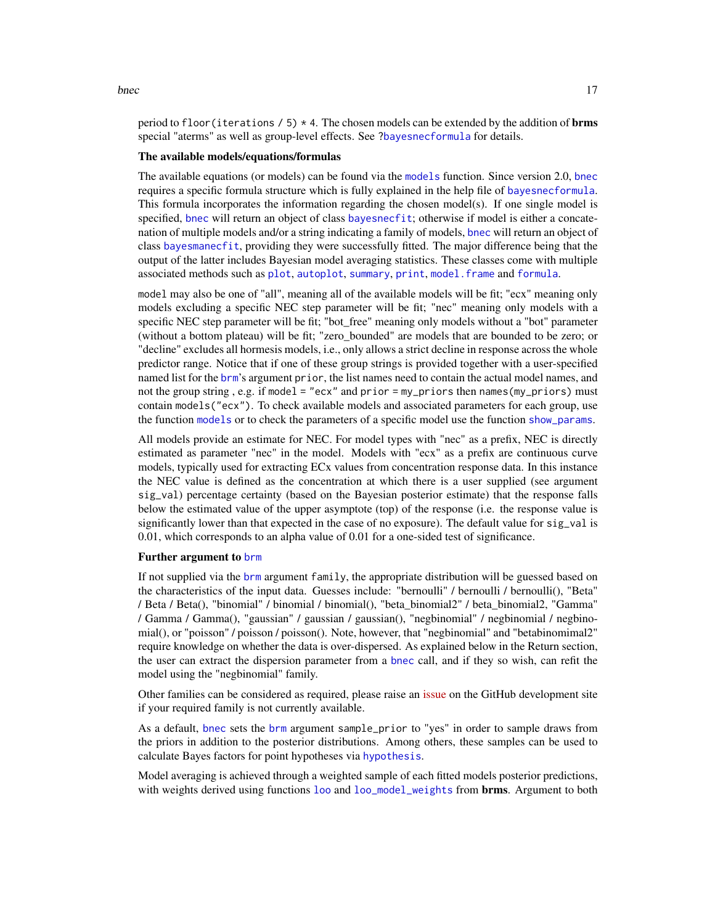<span id="page-16-0"></span>period to floor (iterations / 5)  $*$  4. The chosen models can be extended by the addition of **brms** special "aterms" as well as group-level effects. See [?bayesnecformula](#page-11-1) for details.

#### The available models/equations/formulas

The available equations (or models) can be found via the [models](#page-40-1) function. Since version 2.0, [bnec](#page-14-1) requires a specific formula structure which is fully explained in the help file of [bayesnecformula](#page-11-1). This formula incorporates the information regarding the chosen model(s). If one single model is specified, [bnec](#page-14-1) will return an object of class [bayesnecfit](#page-10-1); otherwise if model is either a concatenation of multiple models and/or a string indicating a family of models, [bnec](#page-14-1) will return an object of class [bayesmanecfit](#page-9-1), providing they were successfully fitted. The major difference being that the output of the latter includes Bayesian model averaging statistics. These classes come with multiple associated methods such as [plot](#page-0-0), [autoplot](#page-0-0), [summary](#page-0-0), [print](#page-0-0), [model.frame](#page-0-0) and [formula](#page-0-0).

model may also be one of "all", meaning all of the available models will be fit; "ecx" meaning only models excluding a specific NEC step parameter will be fit; "nec" meaning only models with a specific NEC step parameter will be fit; "bot\_free" meaning only models without a "bot" parameter (without a bottom plateau) will be fit; "zero\_bounded" are models that are bounded to be zero; or "decline" excludes all hormesis models, i.e., only allows a strict decline in response across the whole predictor range. Notice that if one of these group strings is provided together with a user-specified named list for the [brm](#page-0-0)'s argument prior, the list names need to contain the actual model names, and not the group string , e.g. if model = "ecx" and prior = my\_priors then names(my\_priors) must contain models("ecx"). To check available models and associated parameters for each group, use the function [models](#page-40-1) or to check the parameters of a specific model use the function [show\\_params](#page-55-1).

All models provide an estimate for NEC. For model types with "nec" as a prefix, NEC is directly estimated as parameter "nec" in the model. Models with "ecx" as a prefix are continuous curve models, typically used for extracting ECx values from concentration response data. In this instance the NEC value is defined as the concentration at which there is a user supplied (see argument sig\_val) percentage certainty (based on the Bayesian posterior estimate) that the response falls below the estimated value of the upper asymptote (top) of the response (i.e. the response value is significantly lower than that expected in the case of no exposure). The default value for sig\_val is 0.01, which corresponds to an alpha value of 0.01 for a one-sided test of significance.

#### Further argument to [brm](#page-0-0)

If not supplied via the [brm](#page-0-0) argument family, the appropriate distribution will be guessed based on the characteristics of the input data. Guesses include: "bernoulli" / bernoulli / bernoulli(), "Beta" / Beta / Beta(), "binomial" / binomial / binomial(), "beta\_binomial2" / beta\_binomial2, "Gamma" / Gamma / Gamma(), "gaussian" / gaussian / gaussian(), "negbinomial" / negbinomial / negbinomial(), or "poisson" / poisson / poisson(). Note, however, that "negbinomial" and "betabinomimal2" require knowledge on whether the data is over-dispersed. As explained below in the Return section, the user can extract the dispersion parameter from a [bnec](#page-14-1) call, and if they so wish, can refit the model using the "negbinomial" family.

Other families can be considered as required, please raise an [issue](https://github.com/open-AIMS/bayesnec/issues) on the GitHub development site if your required family is not currently available.

As a default, [bnec](#page-14-1) sets the [brm](#page-0-0) argument sample\_prior to "yes" in order to sample draws from the priors in addition to the posterior distributions. Among others, these samples can be used to calculate Bayes factors for point hypotheses via [hypothesis](#page-0-0).

Model averaging is achieved through a weighted sample of each fitted models posterior predictions, with weights derived using functions [loo](#page-0-0) and [loo\\_model\\_weights](#page-0-0) from **brms**. Argument to both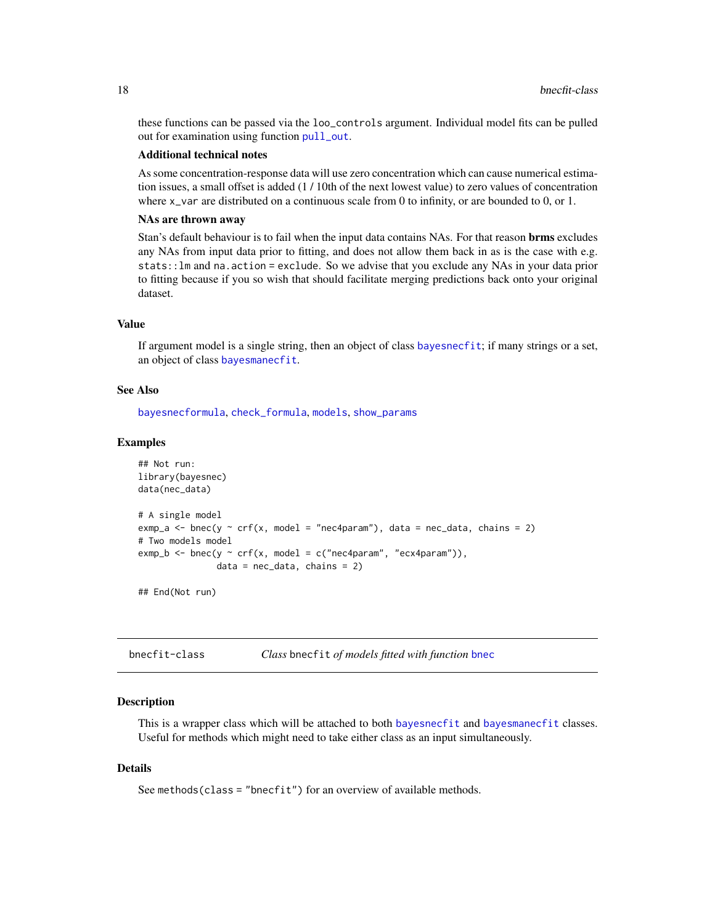these functions can be passed via the loo\_controls argument. Individual model fits can be pulled out for examination using function [pull\\_out](#page-52-1).

#### Additional technical notes

As some concentration-response data will use zero concentration which can cause numerical estimation issues, a small offset is added (1 / 10th of the next lowest value) to zero values of concentration where  $x$ <sub>-var</sub> are distributed on a continuous scale from 0 to infinity, or are bounded to 0, or 1.

#### NAs are thrown away

Stan's default behaviour is to fail when the input data contains NAs. For that reason **brms** excludes any NAs from input data prior to fitting, and does not allow them back in as is the case with e.g. stats::lm and na.action = exclude. So we advise that you exclude any NAs in your data prior to fitting because if you so wish that should facilitate merging predictions back onto your original dataset.

#### Value

If argument model is a single string, then an object of class [bayesnecfit](#page-10-1); if many strings or a set, an object of class [bayesmanecfit](#page-9-1).

#### See Also

[bayesnecformula](#page-11-1), [check\\_formula](#page-21-1), [models](#page-40-1), [show\\_params](#page-55-1)

#### Examples

```
## Not run:
library(bayesnec)
data(nec_data)
# A single model
exp_a \leq b \cdot \text{prec}(y \leq \text{crf}(x, \text{model} = "nec4param"), data = nec_data, chains = 2)# Two models model
exmp_b <- bnec(y ~ crf(x, model = c("nec4param", "ecx4param")),
                 data = nec_data, chains = 2)## End(Not run)
```
bnecfit-class *Class* bnecfit *of models fitted with function* [bnec](#page-14-1)

#### <span id="page-17-1"></span>**Description**

This is a wrapper class which will be attached to both [bayesnecfit](#page-10-1) and [bayesmanecfit](#page-9-1) classes. Useful for methods which might need to take either class as an input simultaneously.

#### Details

See methods(class = "bnecfit") for an overview of available methods.

<span id="page-17-0"></span>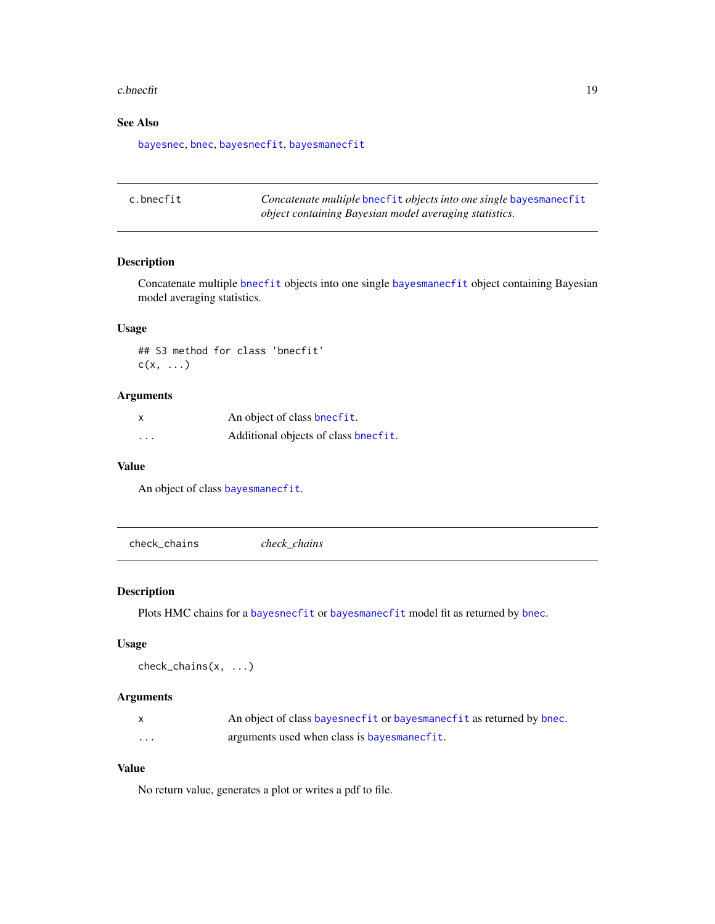#### <span id="page-18-0"></span>c.bnecfit  $\qquad \qquad$  19

### See Also

[bayesnec](#page-2-1), [bnec](#page-14-1), [bayesnecfit](#page-10-1), [bayesmanecfit](#page-9-1)

| c.bnecfit | Concatenate multiple bnecfit objects into one single bayesmanecfit |
|-----------|--------------------------------------------------------------------|
|           | object containing Bayesian model averaging statistics.             |

### Description

Concatenate multiple [bnecfit](#page-17-1) objects into one single [bayesmanecfit](#page-9-1) object containing Bayesian model averaging statistics.

#### Usage

## S3 method for class 'bnecfit'  $c(x, \ldots)$ 

### Arguments

| $\boldsymbol{\mathsf{x}}$ | An object of class bnecfit.          |
|---------------------------|--------------------------------------|
| $\cdots$                  | Additional objects of class bnecfit. |

#### Value

An object of class [bayesmanecfit](#page-9-1).

check\_chains *check\_chains*

### Description

Plots HMC chains for a [bayesnecfit](#page-10-1) or [bayesmanecfit](#page-9-1) model fit as returned by [bnec](#page-14-1).

#### Usage

```
check_chains(x, ...)
```
### Arguments

|   | An object of class bayes necessity or bayes manner fit as returned by bnec. |
|---|-----------------------------------------------------------------------------|
| . | arguments used when class is bayesmanecfit.                                 |

#### Value

No return value, generates a plot or writes a pdf to file.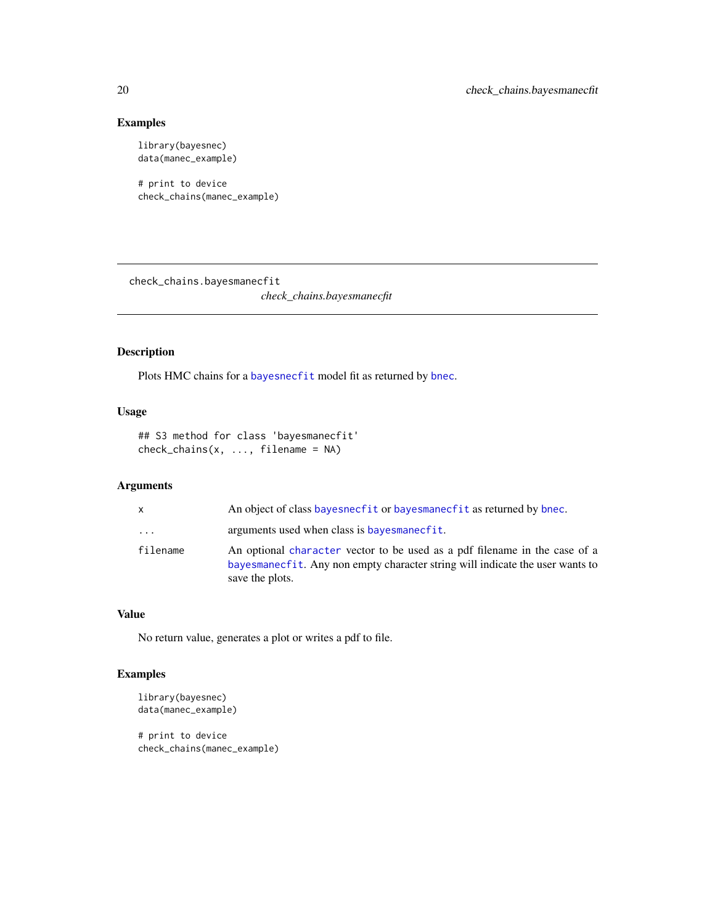### Examples

```
library(bayesnec)
data(manec_example)
```
# print to device check\_chains(manec\_example)

check\_chains.bayesmanecfit

*check\_chains.bayesmanecfit*

### Description

Plots HMC chains for a [bayesnecfit](#page-10-1) model fit as returned by [bnec](#page-14-1).

#### Usage

```
## S3 method for class 'bayesmanecfit'
check_{chains}(x, ..., filename = NA)
```
#### Arguments

| X        | An object of class bayes neef it or bayes manner fit as returned by bnec.                                                                                                           |
|----------|-------------------------------------------------------------------------------------------------------------------------------------------------------------------------------------|
| $\cdots$ | arguments used when class is bayes manned cfit.                                                                                                                                     |
| filename | An optional character vector to be used as a pdf filename in the case of a<br>bayes manner of it. Any non empty character string will indicate the user wants to<br>save the plots. |

#### Value

No return value, generates a plot or writes a pdf to file.

### Examples

```
library(bayesnec)
data(manec_example)
```
# print to device check\_chains(manec\_example)

<span id="page-19-0"></span>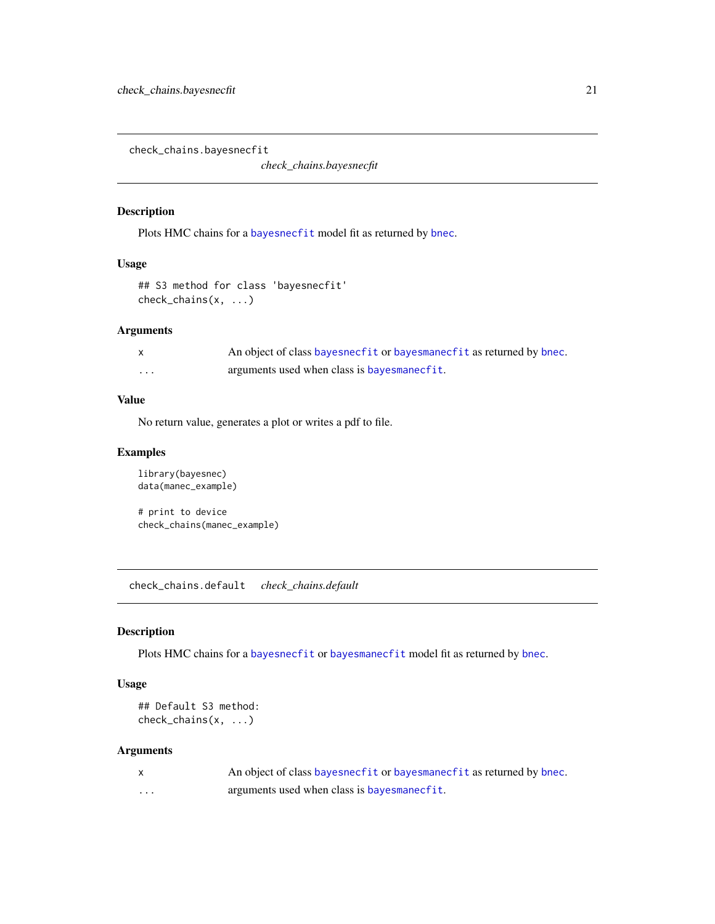<span id="page-20-0"></span>check\_chains.bayesnecfit

*check\_chains.bayesnecfit*

### Description

Plots HMC chains for a [bayesnecfit](#page-10-1) model fit as returned by [bnec](#page-14-1).

### Usage

```
## S3 method for class 'bayesnecfit'
check_chains(x, ...)
```
### Arguments

|   | An object of class bayes necessity or bayes manner fit as returned by bnec. |
|---|-----------------------------------------------------------------------------|
| . | arguments used when class is bayes manufit.                                 |

#### Value

No return value, generates a plot or writes a pdf to file.

#### Examples

```
library(bayesnec)
data(manec_example)
```
# print to device check\_chains(manec\_example)

check\_chains.default *check\_chains.default*

#### Description

Plots HMC chains for a [bayesnecfit](#page-10-1) or [bayesmanecfit](#page-9-1) model fit as returned by [bnec](#page-14-1).

#### Usage

```
## Default S3 method:
check_chains(x, ...)
```
### Arguments

|   | An object of class bayes necessity or bayes manner fit as returned by bnec. |
|---|-----------------------------------------------------------------------------|
| . | arguments used when class is bayes manned cfit.                             |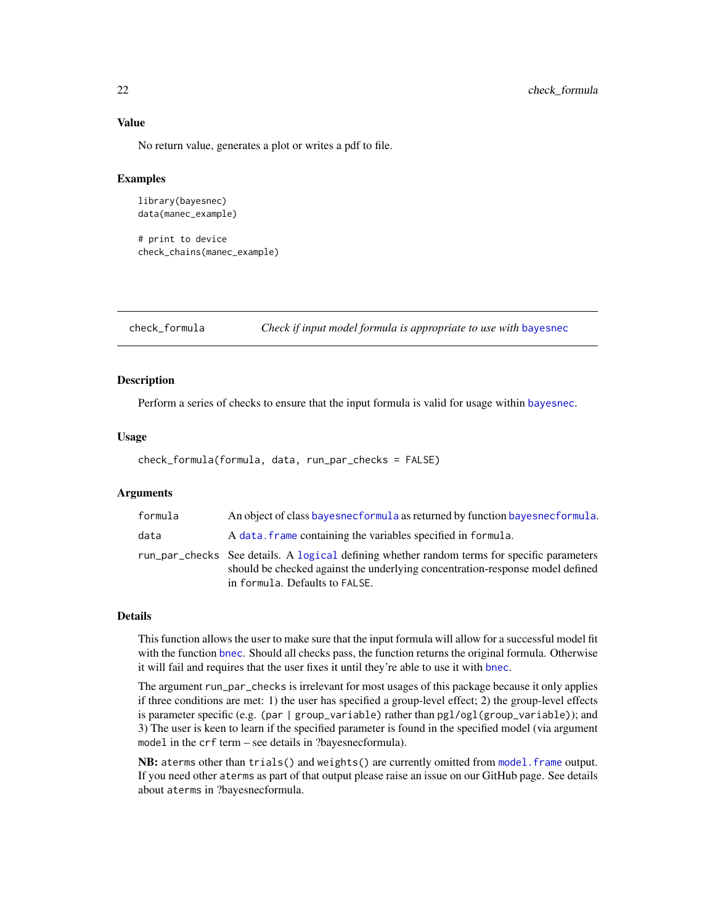No return value, generates a plot or writes a pdf to file.

#### Examples

```
library(bayesnec)
data(manec_example)
```
# print to device check\_chains(manec\_example)

<span id="page-21-1"></span>check\_formula *Check if input model formula is appropriate to use with* [bayesnec](#page-2-1)

#### Description

Perform a series of checks to ensure that the input formula is valid for usage within [bayesnec](#page-2-1).

#### Usage

check\_formula(formula, data, run\_par\_checks = FALSE)

### Arguments

| formula | An object of class bayes nectormula as returned by function bayes nectormula.                                                                                                                                  |
|---------|----------------------------------------------------------------------------------------------------------------------------------------------------------------------------------------------------------------|
| data    | A data, frame containing the variables specified in formula.                                                                                                                                                   |
|         | run par checks See details. A logical defining whether random terms for specific parameters<br>should be checked against the underlying concentration-response model defined<br>in formula. Defaults to FALSE. |

#### Details

This function allows the user to make sure that the input formula will allow for a successful model fit with the function [bnec](#page-14-1). Should all checks pass, the function returns the original formula. Otherwise it will fail and requires that the user fixes it until they're able to use it with [bnec](#page-14-1).

The argument run\_par\_checks is irrelevant for most usages of this package because it only applies if three conditions are met: 1) the user has specified a group-level effect; 2) the group-level effects is parameter specific (e.g. (par | group\_variable) rather than pgl/ogl(group\_variable)); and 3) The user is keen to learn if the specified parameter is found in the specified model (via argument model in the crf term – see details in ?bayesnecformula).

NB: aterms other than trials() and weights() are currently omitted from model. frame output. If you need other aterms as part of that output please raise an issue on our GitHub page. See details about aterms in ?bayesnecformula.

<span id="page-21-0"></span>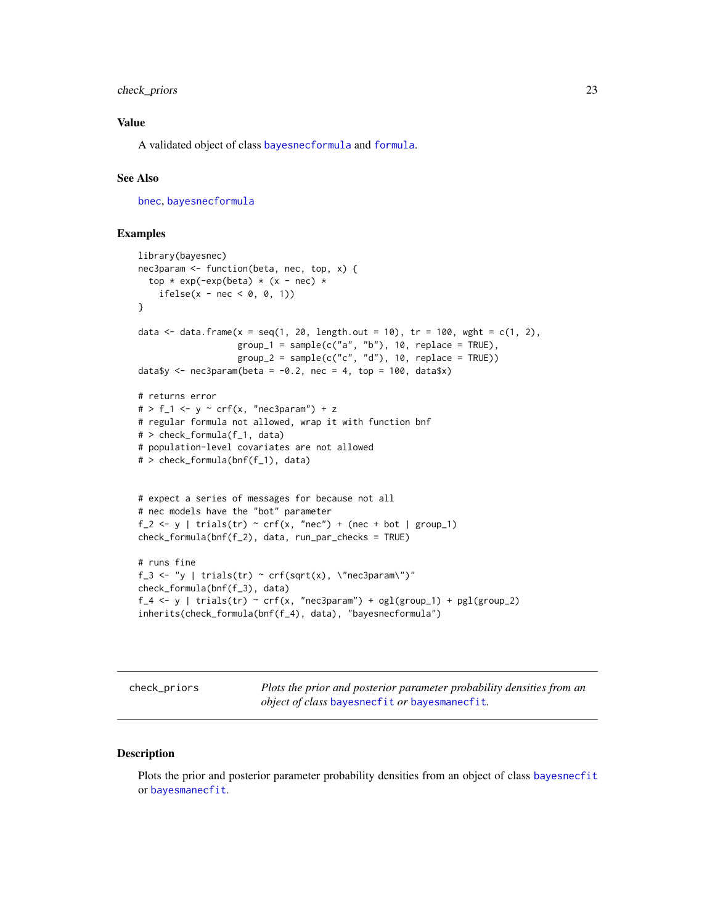### <span id="page-22-0"></span>check\_priors 23

### Value

A validated object of class [bayesnecformula](#page-11-1) and [formula](#page-0-0).

#### See Also

[bnec](#page-14-1), [bayesnecformula](#page-11-1)

#### Examples

```
library(bayesnec)
nec3param <- function(beta, nec, top, x) {
  top * exp(-exp(beta) * (x - nec) *
    ifelse(x - nec < 0, 0, 1))}
data <- data.frame(x = seq(1, 20, length.out = 10), tr = 100, wght = c(1, 2),
                   group_1 = sample(c("a", "b"), 10, replace = TRUE),group_2 = sample(c("c", "d"), 10, replace = TRUE))data$y <- nec3param(beta = -0.2, nec = 4, top = 100, data$x)
# returns error
# > f_1 <- y ~ crf(x, "nec3param") + z
# regular formula not allowed, wrap it with function bnf
# > check_formula(f_1, data)
# population-level covariates are not allowed
# > check_formula(bnf(f_1), data)
# expect a series of messages for because not all
# nec models have the "bot" parameter
f_2 \leftarrow y | trials(tr) ~ crf(x, "nec") + (nec + bot | group_1)
check_formula(bnf(f_2), data, run_par_checks = TRUE)
# runs fine
f_3 \leftarrow "y | trials(tr) ~ crf(sqrt(x), \"nec3param\")"
check_formula(bnf(f_3), data)
f_4 \leftarrow y | trials(tr) ~ crf(x, "nec3param") + ogl(group_1) + pgl(group_2)
inherits(check_formula(bnf(f_4), data), "bayesnecformula")
```
check\_priors *Plots the prior and posterior parameter probability densities from an object of class* [bayesnecfit](#page-10-1) *or* [bayesmanecfit](#page-9-1)*.*

#### Description

Plots the prior and posterior parameter probability densities from an object of class [bayesnecfit](#page-10-1) or [bayesmanecfit](#page-9-1).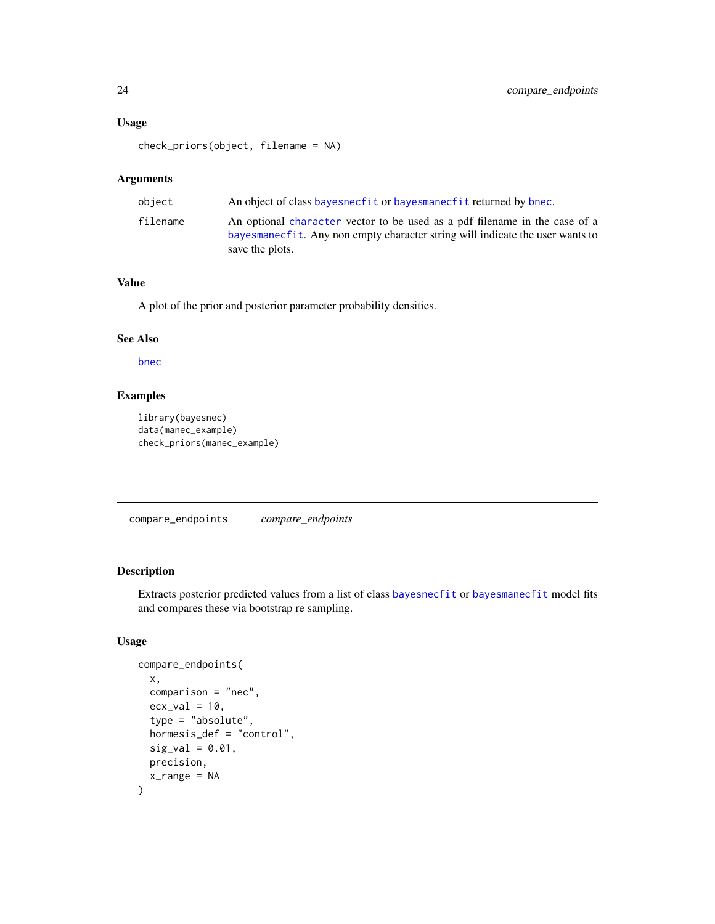### <span id="page-23-0"></span>Usage

```
check_priors(object, filename = NA)
```
### Arguments

| obiect   | An object of class bayes neef it or bayes manner fit returned by bnec.                                                                                                         |
|----------|--------------------------------------------------------------------------------------------------------------------------------------------------------------------------------|
| filename | An optional character vector to be used as a pdf filename in the case of a<br>bayesmanecfit. Any non empty character string will indicate the user wants to<br>save the plots. |

### Value

A plot of the prior and posterior parameter probability densities.

#### See Also

[bnec](#page-14-1)

### Examples

```
library(bayesnec)
data(manec_example)
check_priors(manec_example)
```
compare\_endpoints *compare\_endpoints*

### Description

Extracts posterior predicted values from a list of class [bayesnecfit](#page-10-1) or [bayesmanecfit](#page-9-1) model fits and compares these via bootstrap re sampling.

### Usage

```
compare_endpoints(
  x,
  comparison = "nec",
  ex\_val = 10,
  type = "absolute",
 hormesis_def = "control",
  sig_val = 0.01,precision,
  x_range = NA
\mathcal{E}
```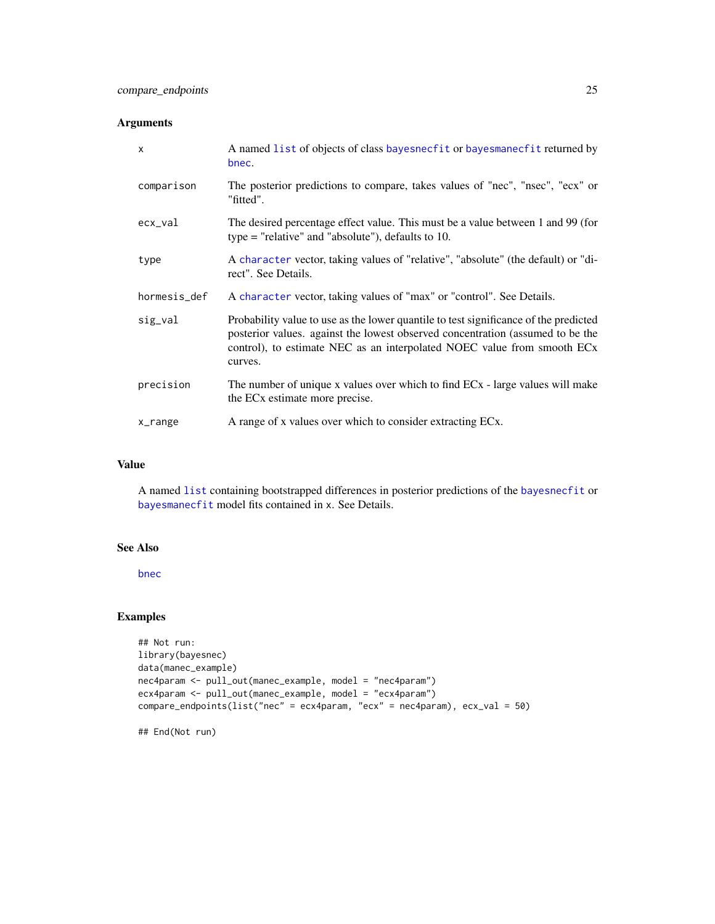### <span id="page-24-0"></span>Arguments

| $\mathsf{x}$ | A named list of objects of class bayes neef it or bayes manned it returned by<br>bnec.                                                                                                                                                                                   |
|--------------|--------------------------------------------------------------------------------------------------------------------------------------------------------------------------------------------------------------------------------------------------------------------------|
| comparison   | The posterior predictions to compare, takes values of "nec", "nsec", "ecx" or<br>"fitted".                                                                                                                                                                               |
| $ecx_val$    | The desired percentage effect value. This must be a value between 1 and 99 (for<br>$type = "relative"$ and "absolute"), defaults to 10.                                                                                                                                  |
| type         | A character vector, taking values of "relative", "absolute" (the default) or "di-<br>rect". See Details.                                                                                                                                                                 |
| hormesis_def | A character vector, taking values of "max" or "control". See Details.                                                                                                                                                                                                    |
| sig_val      | Probability value to use as the lower quantile to test significance of the predicted<br>posterior values. against the lowest observed concentration (assumed to be the<br>control), to estimate NEC as an interpolated NOEC value from smooth EC <sub>x</sub><br>curves. |
| precision    | The number of unique x values over which to find ECx - large values will make<br>the EC <sub>x</sub> estimate more precise.                                                                                                                                              |
| x_range      | A range of x values over which to consider extracting ECx.                                                                                                                                                                                                               |

### Value

A named [list](#page-0-0) containing bootstrapped differences in posterior predictions of the [bayesnecfit](#page-10-1) or [bayesmanecfit](#page-9-1) model fits contained in x. See Details.

### See Also

[bnec](#page-14-1)

### Examples

```
## Not run:
library(bayesnec)
data(manec_example)
nec4param <- pull_out(manec_example, model = "nec4param")
ecx4param <- pull_out(manec_example, model = "ecx4param")
compare_endpoints(list("nec" = ecx4param, "ecx" = nec4param), ecx_val = 50)
```
## End(Not run)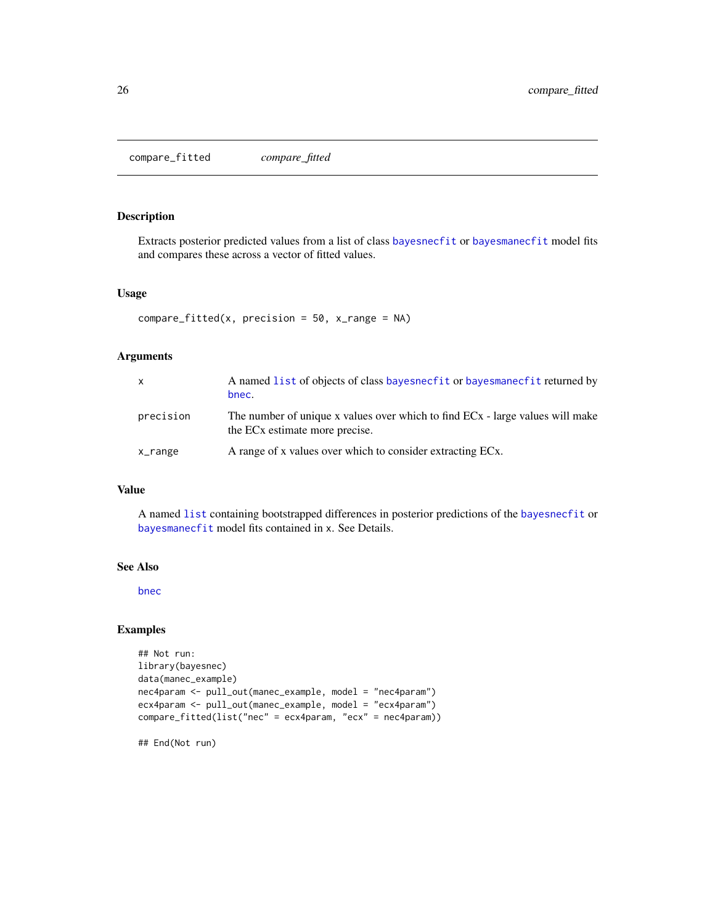<span id="page-25-0"></span>compare\_fitted *compare\_fitted*

### Description

Extracts posterior predicted values from a list of class [bayesnecfit](#page-10-1) or [bayesmanecfit](#page-9-1) model fits and compares these across a vector of fitted values.

#### Usage

```
compare_fitted(x, precision = 50, x_range = NA)
```
#### Arguments

| $\mathsf{X}$ | A named list of objects of class bayes neef it or bayes manned it returned by<br>bnec.                                      |
|--------------|-----------------------------------------------------------------------------------------------------------------------------|
| precision    | The number of unique x values over which to find ECx - large values will make<br>the EC <sub>x</sub> estimate more precise. |
| x_range      | A range of x values over which to consider extracting EC <sub>x</sub> .                                                     |

#### Value

A named [list](#page-0-0) containing bootstrapped differences in posterior predictions of the [bayesnecfit](#page-10-1) or [bayesmanecfit](#page-9-1) model fits contained in x. See Details.

#### See Also

[bnec](#page-14-1)

### Examples

```
## Not run:
library(bayesnec)
data(manec_example)
nec4param <- pull_out(manec_example, model = "nec4param")
ecx4param <- pull_out(manec_example, model = "ecx4param")
compare_fitted(list("nec" = ecx4param, "ecx" = nec4param))
```
## End(Not run)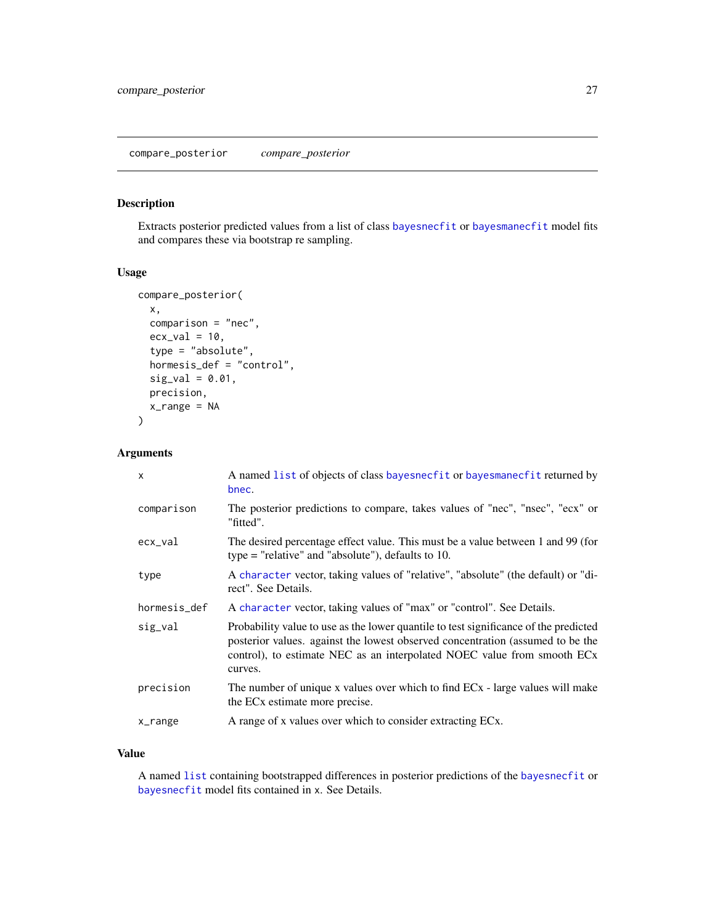<span id="page-26-0"></span>Extracts posterior predicted values from a list of class [bayesnecfit](#page-10-1) or [bayesmanecfit](#page-9-1) model fits and compares these via bootstrap re sampling.

#### Usage

```
compare_posterior(
  x,
  comparison = "nec",
 ecx_val = 10,
  type = "absolute",
  hormesis_def = "control",
  sig_val = 0.01,precision,
  x_range = NA
)
```
### Arguments

| $\mathsf{x}$ | A named list of objects of class bayes necfit or bayes manner fit returned by<br>bnec.                                                                                                                                                                       |
|--------------|--------------------------------------------------------------------------------------------------------------------------------------------------------------------------------------------------------------------------------------------------------------|
| comparison   | The posterior predictions to compare, takes values of "nec", "nsec", "ecx" or<br>"fitted".                                                                                                                                                                   |
| $ecx_val$    | The desired percentage effect value. This must be a value between 1 and 99 (for<br>$type = "relative"$ and "absolute"), defaults to 10.                                                                                                                      |
| type         | A character vector, taking values of "relative", "absolute" (the default) or "di-<br>rect". See Details.                                                                                                                                                     |
| hormesis_def | A character vector, taking values of "max" or "control". See Details.                                                                                                                                                                                        |
| sig_val      | Probability value to use as the lower quantile to test significance of the predicted<br>posterior values. against the lowest observed concentration (assumed to be the<br>control), to estimate NEC as an interpolated NOEC value from smooth ECx<br>curves. |
| precision    | The number of unique x values over which to find ECx - large values will make<br>the EC <sub>x</sub> estimate more precise.                                                                                                                                  |
| x_range      | A range of x values over which to consider extracting EC <sub>x</sub> .                                                                                                                                                                                      |

#### Value

A named [list](#page-0-0) containing bootstrapped differences in posterior predictions of the [bayesnecfit](#page-10-1) or [bayesnecfit](#page-10-1) model fits contained in x. See Details.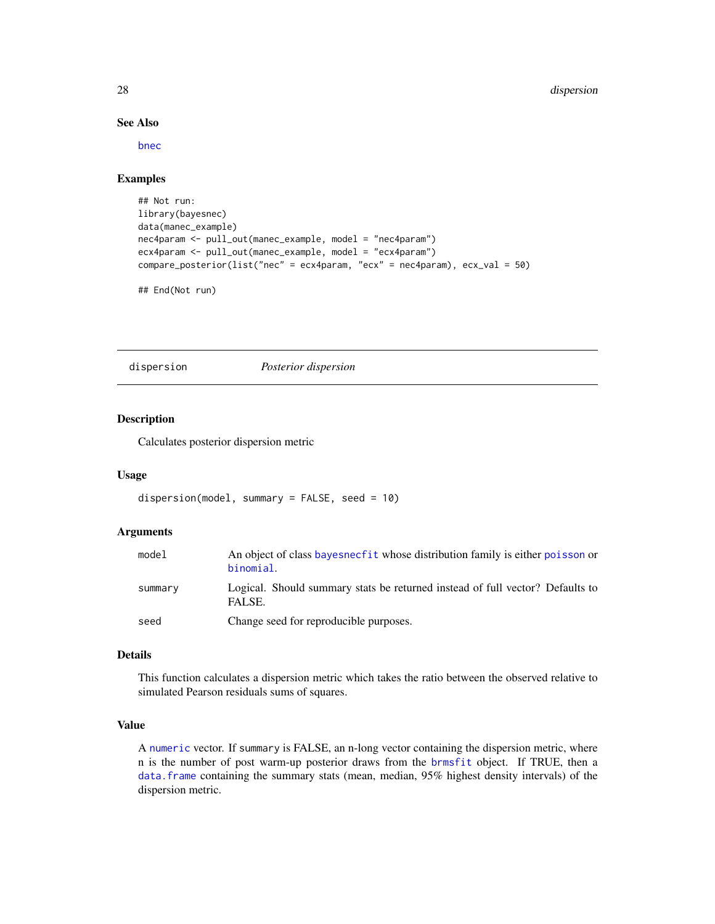#### See Also

[bnec](#page-14-1)

### Examples

```
## Not run:
library(bayesnec)
data(manec_example)
nec4param <- pull_out(manec_example, model = "nec4param")
ecx4param <- pull_out(manec_example, model = "ecx4param")
compare_posterior(list("nec" = ecx4param, "ecx" = nec4param), ecx_val = 50)
```
## End(Not run)

dispersion *Posterior dispersion*

#### Description

Calculates posterior dispersion metric

#### Usage

```
dispersion(model, summary = FALSE, seed = 10)
```
#### Arguments

| model   | An object of class bayes necfit whose distribution family is either poisson or<br>binomial. |
|---------|---------------------------------------------------------------------------------------------|
| summary | Logical. Should summary stats be returned instead of full vector? Defaults to<br>FALSE.     |
| seed    | Change seed for reproducible purposes.                                                      |

#### Details

This function calculates a dispersion metric which takes the ratio between the observed relative to simulated Pearson residuals sums of squares.

### Value

A [numeric](#page-0-0) vector. If summary is FALSE, an n-long vector containing the dispersion metric, where n is the number of post warm-up posterior draws from the [brmsfit](#page-0-0) object. If TRUE, then a [data.frame](#page-0-0) containing the summary stats (mean, median, 95% highest density intervals) of the dispersion metric.

<span id="page-27-0"></span>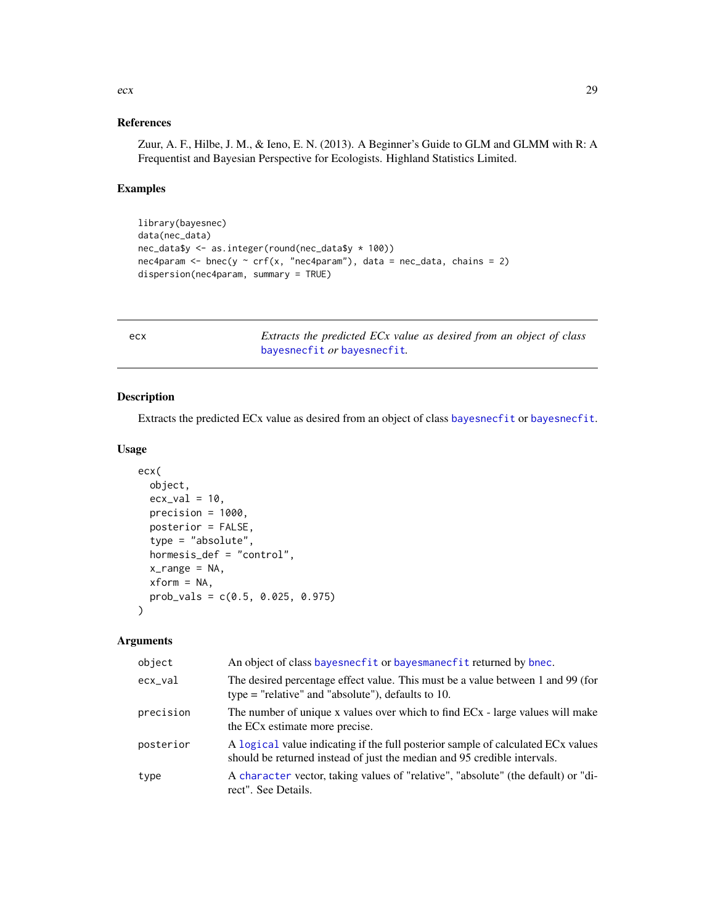#### References

Zuur, A. F., Hilbe, J. M., & Ieno, E. N. (2013). A Beginner's Guide to GLM and GLMM with R: A Frequentist and Bayesian Perspective for Ecologists. Highland Statistics Limited.

#### Examples

```
library(bayesnec)
data(nec_data)
nec_data$y <- as.integer(round(nec_data$y * 100))
nec4param \leq bnec(y \sim crf(x, "nec4param"), data = nec_data, chains = 2)
dispersion(nec4param, summary = TRUE)
```
<span id="page-28-1"></span>ecx *Extracts the predicted ECx value as desired from an object of class* [bayesnecfit](#page-10-1) *or* [bayesnecfit](#page-10-1)*.*

### Description

Extracts the predicted ECx value as desired from an object of class [bayesnecfit](#page-10-1) or [bayesnecfit](#page-10-1).

#### Usage

```
ecx(
  object,
  ex\_val = 10,
 precision = 1000,
 posterior = FALSE,
  type = "absolute",
  hormesis_def = "control",
  x_range = NA,
  xform = NA,
  prob_vals = c(0.5, 0.025, 0.975)
)
```
### Arguments

| object    | An object of class bayes necfit or bayes mannecfit returned by bnec.                                                                                                     |
|-----------|--------------------------------------------------------------------------------------------------------------------------------------------------------------------------|
| $ecx_val$ | The desired percentage effect value. This must be a value between 1 and 99 (for<br>type $=$ "relative" and "absolute"), defaults to 10.                                  |
| precision | The number of unique x values over which to find ECx - large values will make<br>the EC <sub>x</sub> estimate more precise.                                              |
| posterior | A logical value indicating if the full posterior sample of calculated EC <sub>x</sub> values<br>should be returned instead of just the median and 95 credible intervals. |
| type      | A character vector, taking values of "relative", "absolute" (the default) or "di-<br>rect". See Details.                                                                 |

<span id="page-28-0"></span> $e$ cx 29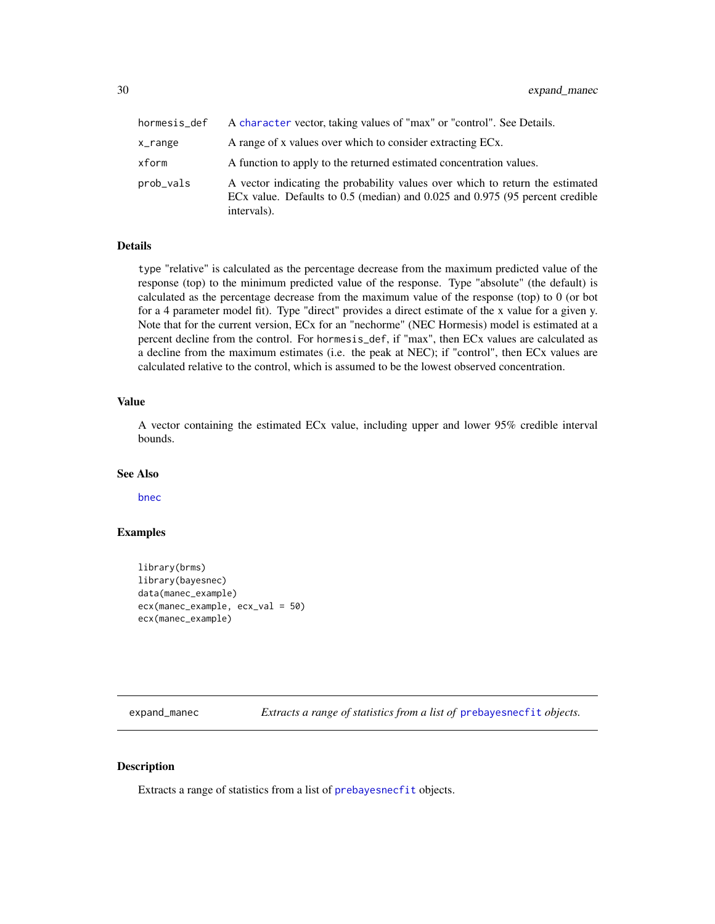<span id="page-29-0"></span>

| hormesis_def | A character vector, taking values of "max" or "control". See Details.                                                                                                        |
|--------------|------------------------------------------------------------------------------------------------------------------------------------------------------------------------------|
| x_range      | A range of x values over which to consider extracting EC <sub>x</sub> .                                                                                                      |
| xform        | A function to apply to the returned estimated concentration values.                                                                                                          |
| prob_vals    | A vector indicating the probability values over which to return the estimated<br>ECx value. Defaults to 0.5 (median) and 0.025 and 0.975 (95 percent credible<br>intervals). |

#### Details

type "relative" is calculated as the percentage decrease from the maximum predicted value of the response (top) to the minimum predicted value of the response. Type "absolute" (the default) is calculated as the percentage decrease from the maximum value of the response (top) to 0 (or bot for a 4 parameter model fit). Type "direct" provides a direct estimate of the x value for a given y. Note that for the current version, ECx for an "nechorme" (NEC Hormesis) model is estimated at a percent decline from the control. For hormesis\_def, if "max", then ECx values are calculated as a decline from the maximum estimates (i.e. the peak at NEC); if "control", then ECx values are calculated relative to the control, which is assumed to be the lowest observed concentration.

#### Value

A vector containing the estimated ECx value, including upper and lower 95% credible interval bounds.

#### See Also

[bnec](#page-14-1)

#### Examples

```
library(brms)
library(bayesnec)
data(manec_example)
ecx(manec_example, ecx_val = 50)
ecx(manec_example)
```
<span id="page-29-1"></span>expand\_manec *Extracts a range of statistics from a list of* [prebayesnecfit](#page-49-1) *objects.*

#### Description

Extracts a range of statistics from a list of [prebayesnecfit](#page-49-1) objects.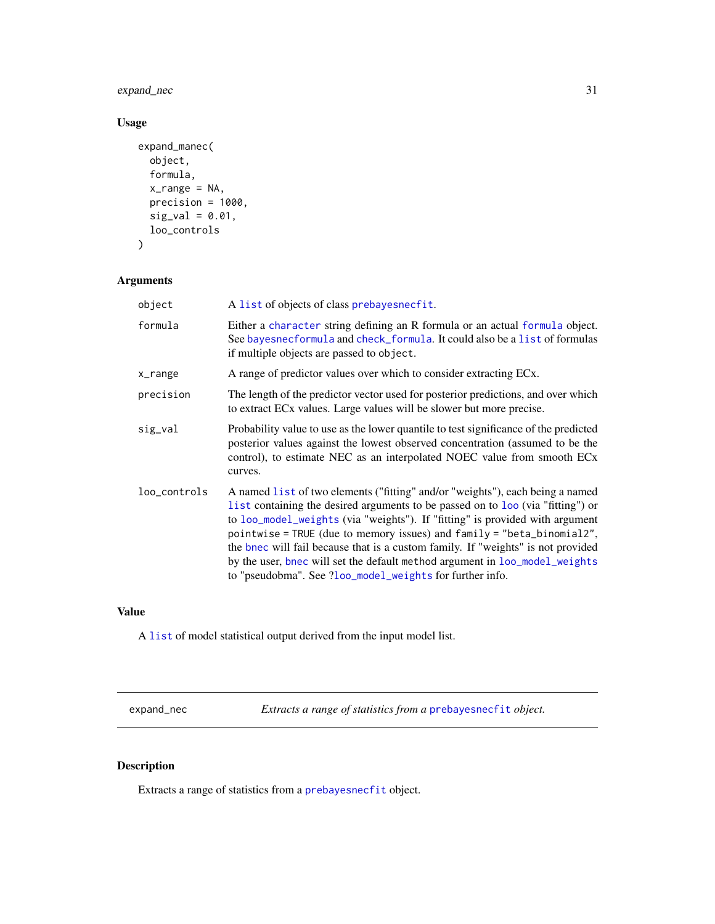<span id="page-30-0"></span>expand\_nec 31

### Usage

```
expand_manec(
 object,
 formula,
 x_range = NA,
 precision = 1000,
 sig_val = 0.01,loo_controls
)
```
### Arguments

| object       | A list of objects of class prebayes necfit.                                                                                                                                                                                                                                                                                                                                                                                                                                                                                                               |
|--------------|-----------------------------------------------------------------------------------------------------------------------------------------------------------------------------------------------------------------------------------------------------------------------------------------------------------------------------------------------------------------------------------------------------------------------------------------------------------------------------------------------------------------------------------------------------------|
| formula      | Either a character string defining an R formula or an actual formula object.<br>See bayesnecformula and check_formula. It could also be a list of formulas<br>if multiple objects are passed to object.                                                                                                                                                                                                                                                                                                                                                   |
| x_range      | A range of predictor values over which to consider extracting ECx.                                                                                                                                                                                                                                                                                                                                                                                                                                                                                        |
| precision    | The length of the predictor vector used for posterior predictions, and over which<br>to extract EC <sub>x</sub> values. Large values will be slower but more precise.                                                                                                                                                                                                                                                                                                                                                                                     |
| sig_val      | Probability value to use as the lower quantile to test significance of the predicted<br>posterior values against the lowest observed concentration (assumed to be the<br>control), to estimate NEC as an interpolated NOEC value from smooth ECx<br>curves.                                                                                                                                                                                                                                                                                               |
| loo_controls | A named list of two elements ("fitting" and/or "weights"), each being a named<br>list containing the desired arguments to be passed on to loo (via "fitting") or<br>to loo_model_weights (via "weights"). If "fitting" is provided with argument<br>pointwise = TRUE (due to memory issues) and family = "beta_binomial2",<br>the bnec will fail because that is a custom family. If "weights" is not provided<br>by the user, bnec will set the default method argument in loo_model_weights<br>to "pseudobma". See ?loo_model_weights for further info. |

### Value

A [list](#page-0-0) of model statistical output derived from the input model list.

<span id="page-30-1"></span>expand\_nec *Extracts a range of statistics from a* [prebayesnecfit](#page-49-1) *object.*

### Description

Extracts a range of statistics from a [prebayesnecfit](#page-49-1) object.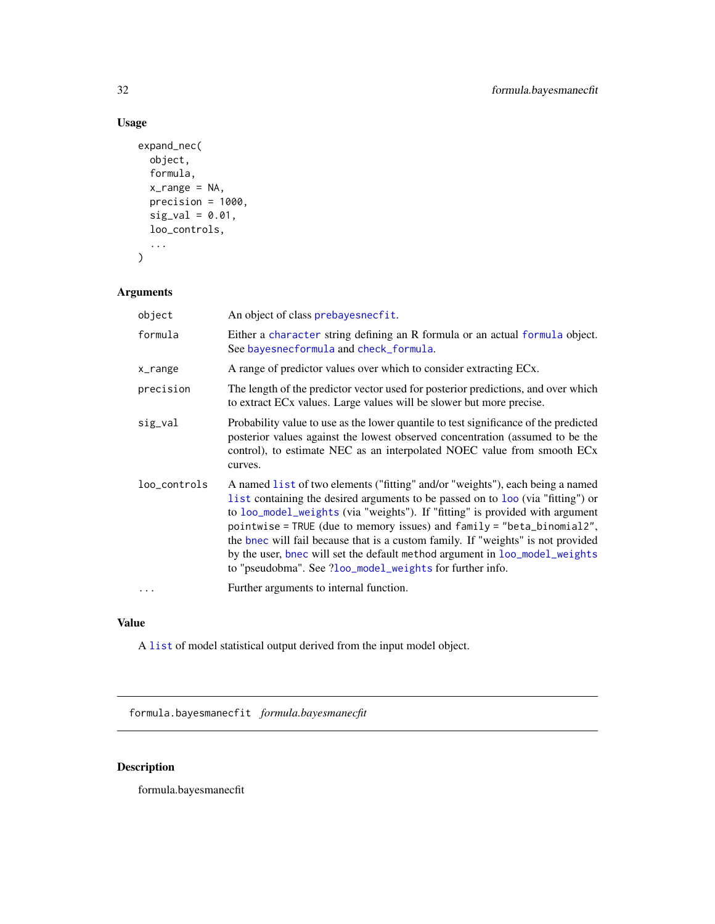### Usage

```
expand_nec(
  object,
  formula,
  x_range = NA,
  precision = 1000,
  sig_val = 0.01,loo_controls,
  ...
\mathcal{L}
```
### Arguments

| object       | An object of class prebayes necfit.                                                                                                                                                                                                                                                                                                                                                                                                                                                                                                                       |
|--------------|-----------------------------------------------------------------------------------------------------------------------------------------------------------------------------------------------------------------------------------------------------------------------------------------------------------------------------------------------------------------------------------------------------------------------------------------------------------------------------------------------------------------------------------------------------------|
| formula      | Either a character string defining an R formula or an actual formula object.<br>See bayesnecformula and check_formula.                                                                                                                                                                                                                                                                                                                                                                                                                                    |
| x_range      | A range of predictor values over which to consider extracting ECx.                                                                                                                                                                                                                                                                                                                                                                                                                                                                                        |
| precision    | The length of the predictor vector used for posterior predictions, and over which<br>to extract EC <sub>x</sub> values. Large values will be slower but more precise.                                                                                                                                                                                                                                                                                                                                                                                     |
| sig_val      | Probability value to use as the lower quantile to test significance of the predicted<br>posterior values against the lowest observed concentration (assumed to be the<br>control), to estimate NEC as an interpolated NOEC value from smooth ECx<br>curves.                                                                                                                                                                                                                                                                                               |
| loo_controls | A named list of two elements ("fitting" and/or "weights"), each being a named<br>list containing the desired arguments to be passed on to loo (via "fitting") or<br>to loo_model_weights (via "weights"). If "fitting" is provided with argument<br>pointwise = TRUE (due to memory issues) and family = "beta_binomial2",<br>the bnec will fail because that is a custom family. If "weights" is not provided<br>by the user, bnec will set the default method argument in loo_model_weights<br>to "pseudobma". See ?loo_model_weights for further info. |
| $\cdots$     | Further arguments to internal function.                                                                                                                                                                                                                                                                                                                                                                                                                                                                                                                   |

### Value

A [list](#page-0-0) of model statistical output derived from the input model object.

formula.bayesmanecfit *formula.bayesmanecfit*

### Description

formula.bayesmanecfit

<span id="page-31-0"></span>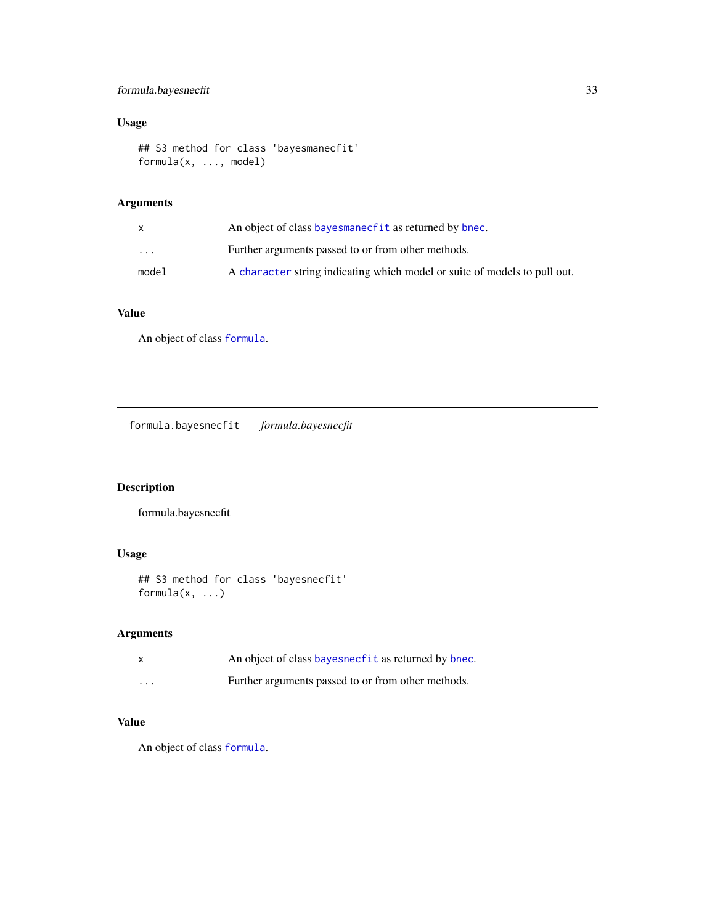### <span id="page-32-0"></span>formula.bayesnecfit 33

### Usage

```
## S3 method for class 'bayesmanecfit'
formula(x, ..., model)
```
### Arguments

|                         | An object of class bayes manner fit as returned by bnec.                  |
|-------------------------|---------------------------------------------------------------------------|
| $\cdot$ $\cdot$ $\cdot$ | Further arguments passed to or from other methods.                        |
| model                   | A character string indicating which model or suite of models to pull out. |

### Value

An object of class [formula](#page-0-0).

formula.bayesnecfit *formula.bayesnecfit*

### Description

formula.bayesnecfit

### Usage

```
## S3 method for class 'bayesnecfit'
formula(x, ...)
```
### Arguments

| $\mathsf{x}$            | An object of class bayes necessity as returned by bnec. |
|-------------------------|---------------------------------------------------------|
| $\cdot$ $\cdot$ $\cdot$ | Further arguments passed to or from other methods.      |

### Value

An object of class [formula](#page-0-0).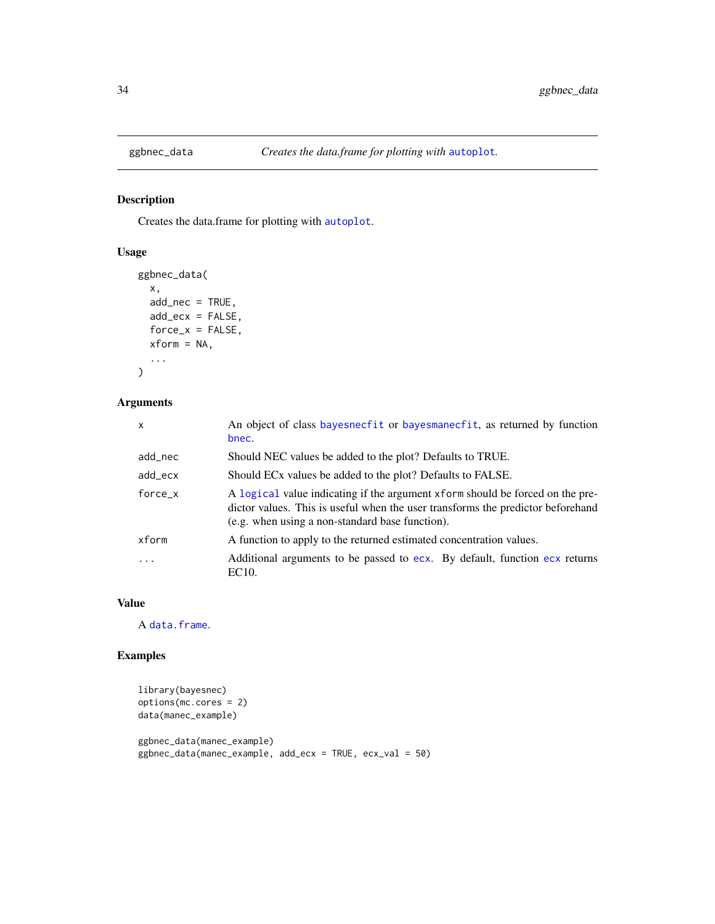<span id="page-33-1"></span><span id="page-33-0"></span>

Creates the data.frame for plotting with [autoplot](#page-0-0).

### Usage

```
ggbnec_data(
  x,
 add_nec = TRUE,
 add\_ecx = FALSE,force_x = FALSE,xform = NA,
  ...
)
```
### Arguments

| $\mathsf{x}$ | An object of class bayes necfit or bayes mannergit, as returned by function<br>bnec.                                                                                                                                |
|--------------|---------------------------------------------------------------------------------------------------------------------------------------------------------------------------------------------------------------------|
| add_nec      | Should NEC values be added to the plot? Defaults to TRUE.                                                                                                                                                           |
| add_ecx      | Should EC <sub>x</sub> values be added to the plot? Defaults to FALSE.                                                                                                                                              |
| force x      | A logical value indicating if the argument xform should be forced on the pre-<br>dictor values. This is useful when the user transforms the predictor beforehand<br>(e.g. when using a non-standard base function). |
| xform        | A function to apply to the returned estimated concentration values.                                                                                                                                                 |
| .            | Additional arguments to be passed to ecx. By default, function ecx returns<br>EC <sub>10</sub> .                                                                                                                    |

### Value

A [data.frame](#page-0-0).

### Examples

```
library(bayesnec)
options(mc.cores = 2)
data(manec_example)
ggbnec_data(manec_example)
ggbnec_data(manec_example, add_ecx = TRUE, ecx_val = 50)
```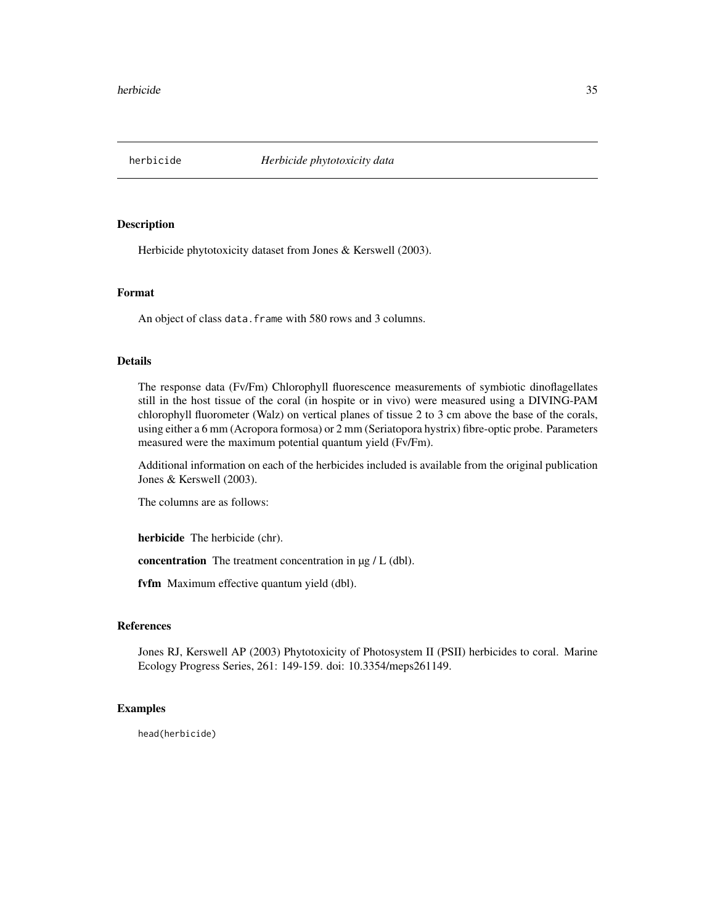<span id="page-34-0"></span>

Herbicide phytotoxicity dataset from Jones & Kerswell (2003).

#### Format

An object of class data.frame with 580 rows and 3 columns.

#### Details

The response data (Fv/Fm) Chlorophyll fluorescence measurements of symbiotic dinoflagellates still in the host tissue of the coral (in hospite or in vivo) were measured using a DIVING-PAM chlorophyll fluorometer (Walz) on vertical planes of tissue 2 to 3 cm above the base of the corals, using either a 6 mm (Acropora formosa) or 2 mm (Seriatopora hystrix) fibre-optic probe. Parameters measured were the maximum potential quantum yield (Fv/Fm).

Additional information on each of the herbicides included is available from the original publication Jones & Kerswell (2003).

The columns are as follows:

herbicide The herbicide (chr).

concentration The treatment concentration in  $\mu$ g / L (dbl).

fvfm Maximum effective quantum yield (dbl).

### **References**

Jones RJ, Kerswell AP (2003) Phytotoxicity of Photosystem II (PSII) herbicides to coral. Marine Ecology Progress Series, 261: 149-159. doi: 10.3354/meps261149.

#### Examples

head(herbicide)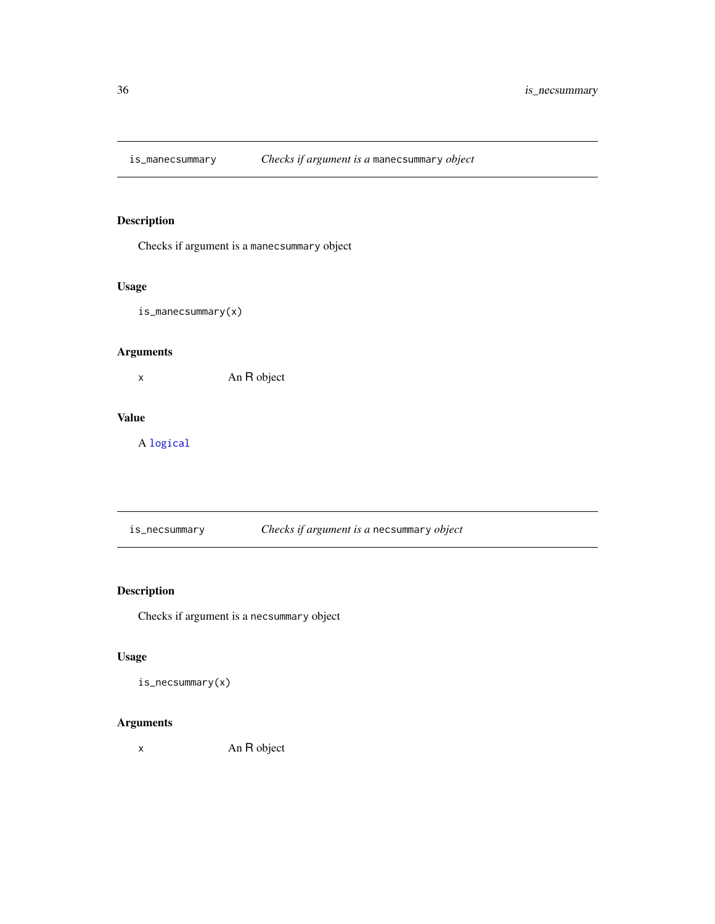<span id="page-35-0"></span>

Checks if argument is a manecsummary object

### Usage

is\_manecsummary(x)

### Arguments

x An R object

### Value

A [logical](#page-0-0)

is\_necsummary *Checks if argument is a* necsummary *object*

### Description

Checks if argument is a necsummary object

### Usage

is\_necsummary(x)

### Arguments

x An R object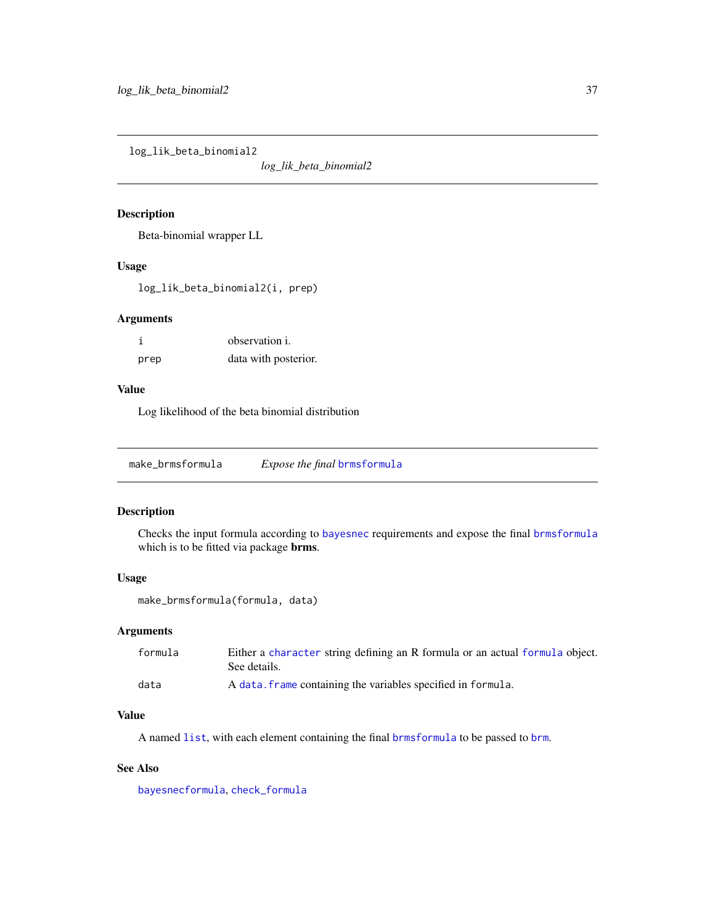<span id="page-36-0"></span>log\_lik\_beta\_binomial2

*log\_lik\_beta\_binomial2*

#### Description

Beta-binomial wrapper LL

#### Usage

log\_lik\_beta\_binomial2(i, prep)

#### Arguments

|      | observation <i>i</i> . |
|------|------------------------|
| prep | data with posterior.   |

### Value

Log likelihood of the beta binomial distribution

<span id="page-36-1"></span>make\_brmsformula *Expose the final* [brmsformula](#page-0-0)

### Description

Checks the input formula according to [bayesnec](#page-2-1) requirements and expose the final [brmsformula](#page-0-0) which is to be fitted via package brms.

#### Usage

make\_brmsformula(formula, data)

#### Arguments

| formula | Either a character string defining an R formula or an actual formula object.<br>See details. |
|---------|----------------------------------------------------------------------------------------------|
| data    | A data. frame containing the variables specified in formula.                                 |

### Value

A named [list](#page-0-0), with each element containing the final [brmsformula](#page-0-0) to be passed to [brm](#page-0-0).

### See Also

[bayesnecformula](#page-11-1), [check\\_formula](#page-21-1)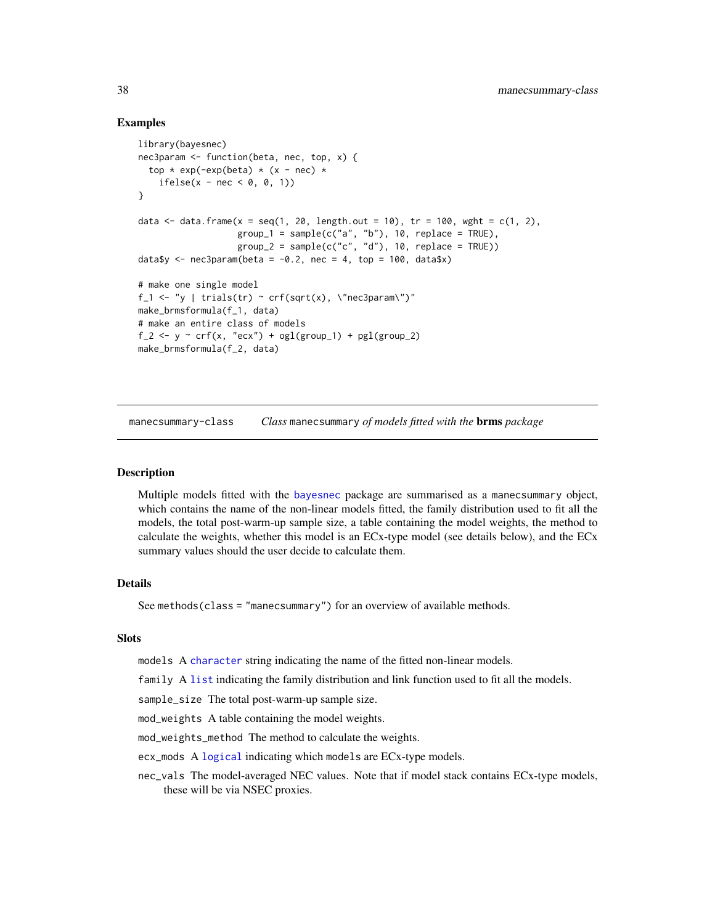#### Examples

```
library(bayesnec)
nec3param <- function(beta, nec, top, x) {
  top * exp(-exp(beta) * (x - nec) *ifelse(x - nec < 0, 0, 1))}
data <- data.frame(x = seq(1, 20, length.out = 10), tr = 100, wght = c(1, 2),
                    group_1 = sample(c("a", "b"), 10, replace = TRUE),group_2 = sample(c("c", "d"), 10, replace = TRUE))data$y <- nec3param(beta = -0.2, nec = 4, top = 100, data$x)
# make one single model
f_1 <- "y | trials(tr) ~ crf(sqrt(x), \ \text{``nec3param''''})make_brmsformula(f_1, data)
# make an entire class of models
f_2 \leftarrow y \sim \text{crf}(x, "ecx") + \text{ogl}(group_1) + \text{pgl}(group_2)make_brmsformula(f_2, data)
```
manecsummary-class *Class* manecsummary *of models fitted with the* brms *package*

#### <span id="page-37-1"></span>Description

Multiple models fitted with the [bayesnec](#page-2-1) package are summarised as a manecsummary object, which contains the name of the non-linear models fitted, the family distribution used to fit all the models, the total post-warm-up sample size, a table containing the model weights, the method to calculate the weights, whether this model is an ECx-type model (see details below), and the ECx summary values should the user decide to calculate them.

### Details

See methods(class = "manecsummary") for an overview of available methods.

#### **Slots**

models A [character](#page-0-0) string indicating the name of the fitted non-linear models.

family A [list](#page-0-0) indicating the family distribution and link function used to fit all the models.

sample\_size The total post-warm-up sample size.

mod\_weights A table containing the model weights.

mod\_weights\_method The method to calculate the weights.

ecx\_mods A [logical](#page-0-0) indicating which models are ECx-type models.

nec\_vals The model-averaged NEC values. Note that if model stack contains ECx-type models, these will be via NSEC proxies.

<span id="page-37-0"></span>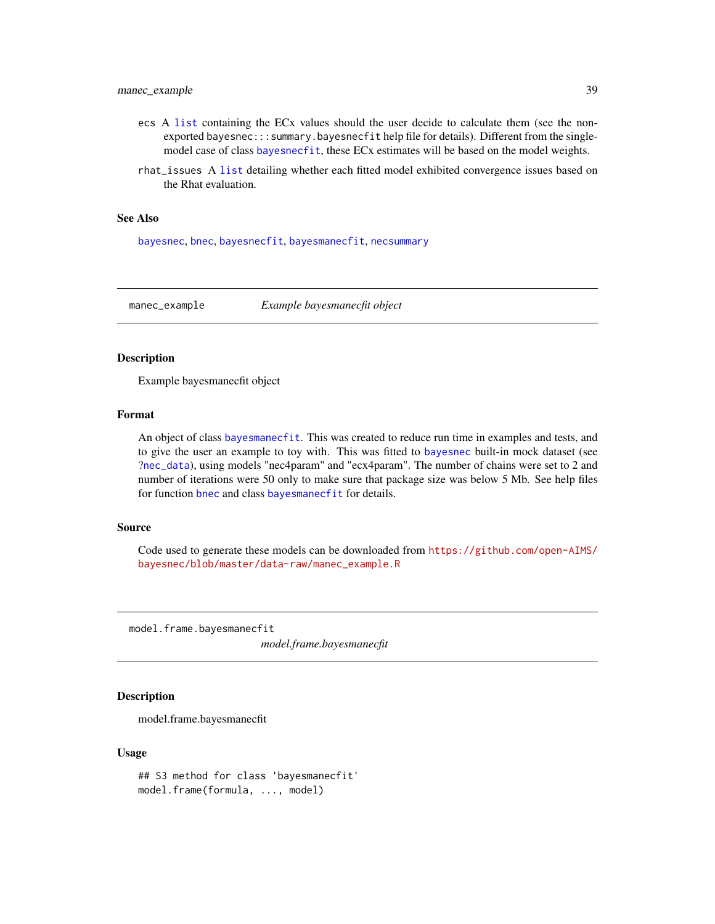### <span id="page-38-0"></span>manec\_example 39

- ecs A [list](#page-0-0) containing the ECx values should the user decide to calculate them (see the nonexported bayesnec:::summary.bayesnecfit help file for details). Different from the singlemodel case of class [bayesnecfit](#page-10-1), these ECx estimates will be based on the model weights.
- rhat\_issues A [list](#page-0-0) detailing whether each fitted model exhibited convergence issues based on the Rhat evaluation.

#### See Also

[bayesnec](#page-2-1), [bnec](#page-14-1), [bayesnecfit](#page-10-1), [bayesmanecfit](#page-9-1), [necsummary](#page-43-1)

manec\_example *Example bayesmanecfit object*

#### Description

Example bayesmanecfit object

#### Format

An object of class [bayesmanecfit](#page-9-1). This was created to reduce run time in examples and tests, and to give the user an example to toy with. This was fitted to [bayesnec](#page-2-1) built-in mock dataset (see ?[nec\\_data](#page-43-2)), using models "nec4param" and "ecx4param". The number of chains were set to 2 and number of iterations were 50 only to make sure that package size was below 5 Mb. See help files for function [bnec](#page-14-1) and class [bayesmanecfit](#page-9-1) for details.

#### Source

Code used to generate these models can be downloaded from [https://github.com/open-AIMS/](https://github.com/open-AIMS/bayesnec/blob/master/data-raw/manec_example.R) [bayesnec/blob/master/data-raw/manec\\_example.R](https://github.com/open-AIMS/bayesnec/blob/master/data-raw/manec_example.R)

model.frame.bayesmanecfit

*model.frame.bayesmanecfit*

#### **Description**

model.frame.bayesmanecfit

#### Usage

## S3 method for class 'bayesmanecfit' model.frame(formula, ..., model)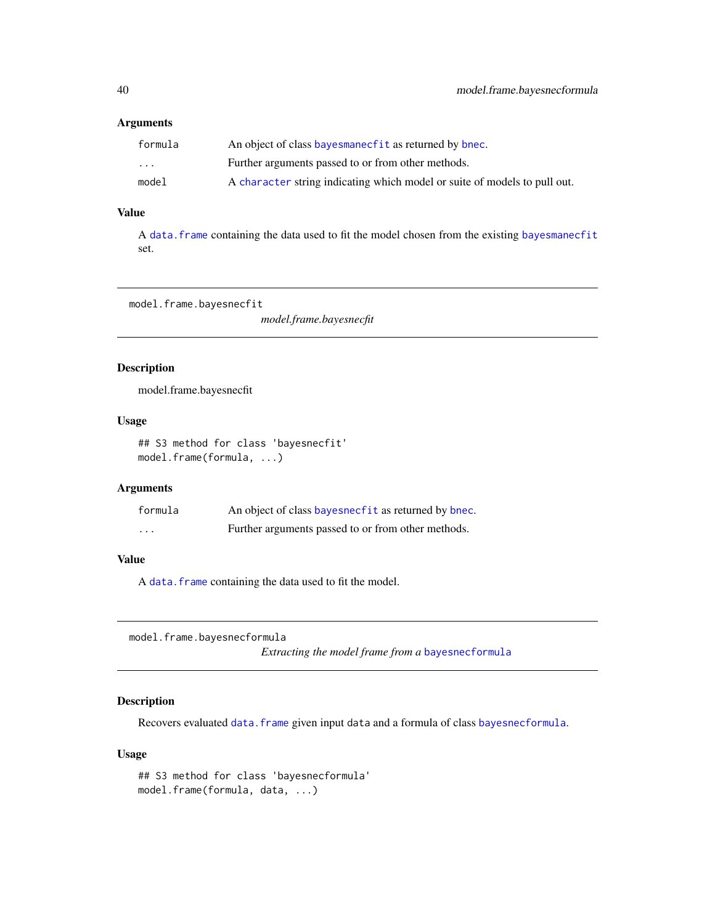#### <span id="page-39-0"></span>Arguments

| formula | An object of class bayesmane cfit as returned by bnec.                    |
|---------|---------------------------------------------------------------------------|
| $\cdot$ | Further arguments passed to or from other methods.                        |
| model   | A character string indicating which model or suite of models to pull out. |

### Value

A [data.frame](#page-0-0) containing the data used to fit the model chosen from the existing [bayesmanecfit](#page-9-1) set.

model.frame.bayesnecfit

*model.frame.bayesnecfit*

#### Description

model.frame.bayesnecfit

#### Usage

## S3 method for class 'bayesnecfit' model.frame(formula, ...)

### Arguments

| formula  | An object of class bayes necessity as returned by bnec. |
|----------|---------------------------------------------------------|
| $\cdots$ | Further arguments passed to or from other methods.      |

#### Value

A [data.frame](#page-0-0) containing the data used to fit the model.

model.frame.bayesnecformula

*Extracting the model frame from a* [bayesnecformula](#page-11-1)

### Description

Recovers evaluated data. frame given input data and a formula of class [bayesnecformula](#page-11-1).

#### Usage

## S3 method for class 'bayesnecformula' model.frame(formula, data, ...)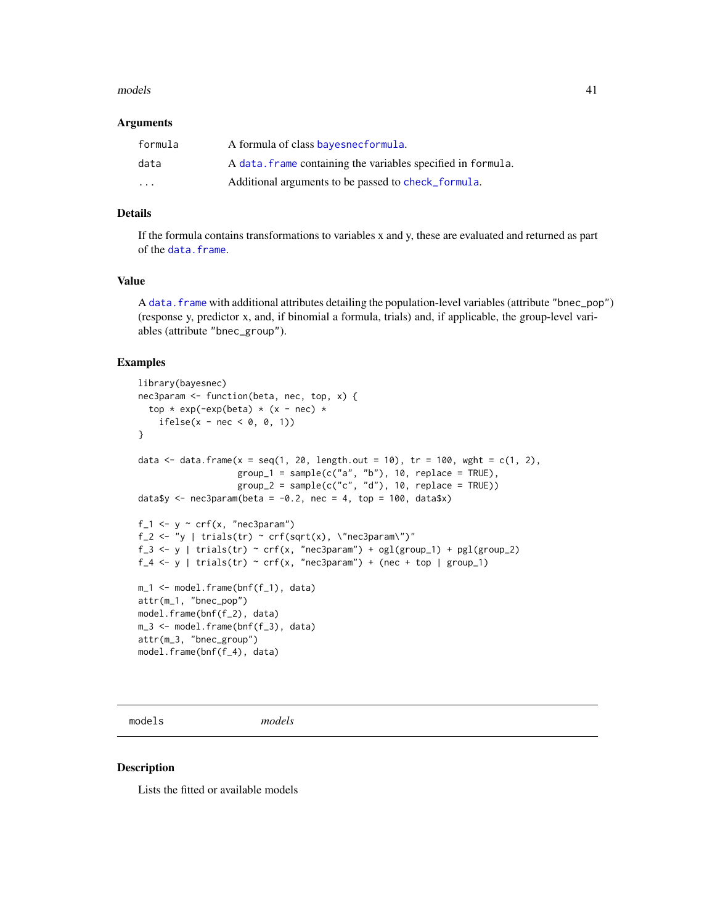#### <span id="page-40-0"></span>models and the set of the set of the set of the set of the set of the set of the set of the set of the set of the set of the set of the set of the set of the set of the set of the set of the set of the set of the set of th

#### **Arguments**

| formula | A formula of class bayes necformula.                         |
|---------|--------------------------------------------------------------|
| data    | A data, frame containing the variables specified in formula. |
| $\cdot$ | Additional arguments to be passed to check formula.          |

### Details

If the formula contains transformations to variables x and y, these are evaluated and returned as part of the [data.frame](#page-0-0).

#### Value

A [data.frame](#page-0-0) with additional attributes detailing the population-level variables (attribute "bnec\_pop") (response y, predictor x, and, if binomial a formula, trials) and, if applicable, the group-level variables (attribute "bnec\_group").

#### Examples

```
library(bayesnec)
nec3param <- function(beta, nec, top, x) {
  top * exp(-exp(beta) * (x - nec) *ifelse(x - nec < 0, 0, 1))}
data <- data.frame(x = seq(1, 20, length.out = 10), tr = 100, wght = c(1, 2),
                    group_1 = sample(c("a", "b"), 10, replace = TRUE),group_2 = sample(c("c", "d"), 10, replace = TRUE))data$y <- nec3param(beta = -0.2, nec = 4, top = 100, data$x)
f_1 <- y \sim \text{crf}(x, \text{ "nec3param")}f_2 <- "y | trials(tr) ~ crf(sqrt(x), \ \text{``nec3param'')}"
f_3 \leftarrow y | trials(tr) ~ crf(x, "nec3param") + ogl(group_1) + pgl(group_2)
f_4 \leftarrow y | trials(tr) ~ crf(x, "nec3param") + (nec + top | group_1)
m_1 <- model.frame(bnf(f_1), data)
attr(m_1, "bnec_pop")
model.frame(bnf(f_2), data)
m_3 <- model frame(bnf(f_3), data)attr(m_3, "bnec_group")
model.frame(bnf(f_4), data)
```
<span id="page-40-1"></span>

models *models*

#### Description

Lists the fitted or available models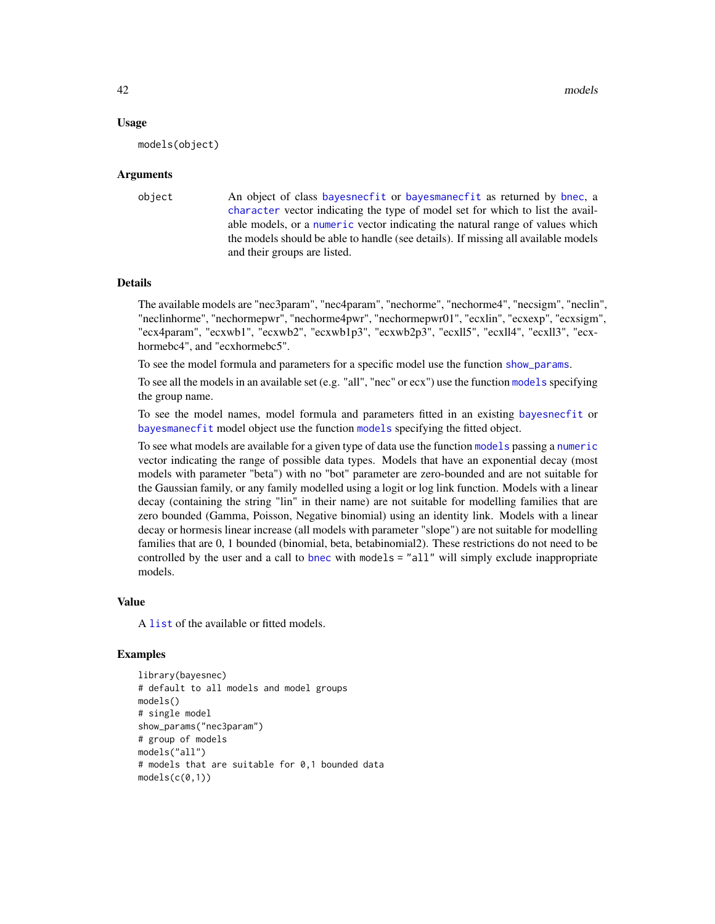#### Usage

models(object)

#### **Arguments**

object An object of class [bayesnecfit](#page-10-1) or [bayesmanecfit](#page-9-1) as returned by [bnec](#page-14-1), a [character](#page-0-0) vector indicating the type of model set for which to list the available models, or a [numeric](#page-0-0) vector indicating the natural range of values which the models should be able to handle (see details). If missing all available models and their groups are listed.

#### Details

The available models are "nec3param", "nec4param", "nechorme", "nechorme4", "necsigm", "neclin", "neclinhorme", "nechormepwr", "nechorme4pwr", "nechormepwr01", "ecxlin", "ecxexp", "ecxsigm", "ecx4param", "ecxwb1", "ecxwb2", "ecxwb1p3", "ecxwb2p3", "ecxll5", "ecxll4", "ecxll3", "ecxhormebc4", and "ecxhormebc5".

To see the model formula and parameters for a specific model use the function [show\\_params](#page-55-1).

To see all the models in an available set (e.g. "all", "nec" or ecx") use the function [models](#page-40-1) specifying the group name.

To see the model names, model formula and parameters fitted in an existing [bayesnecfit](#page-10-1) or [bayesmanecfit](#page-9-1) model object use the function [models](#page-40-1) specifying the fitted object.

To see what models are available for a given type of data use the function [models](#page-40-1) passing a [numeric](#page-0-0) vector indicating the range of possible data types. Models that have an exponential decay (most models with parameter "beta") with no "bot" parameter are zero-bounded and are not suitable for the Gaussian family, or any family modelled using a logit or log link function. Models with a linear decay (containing the string "lin" in their name) are not suitable for modelling families that are zero bounded (Gamma, Poisson, Negative binomial) using an identity link. Models with a linear decay or hormesis linear increase (all models with parameter "slope") are not suitable for modelling families that are 0, 1 bounded (binomial, beta, betabinomial2). These restrictions do not need to be controlled by the user and a call to [bnec](#page-14-1) with models = "all" will simply exclude inappropriate models.

#### Value

A [list](#page-0-0) of the available or fitted models.

#### Examples

```
library(bayesnec)
# default to all models and model groups
models()
# single model
show_params("nec3param")
# group of models
models("all")
# models that are suitable for 0,1 bounded data
models(c(\emptyset,1))
```
<span id="page-41-0"></span>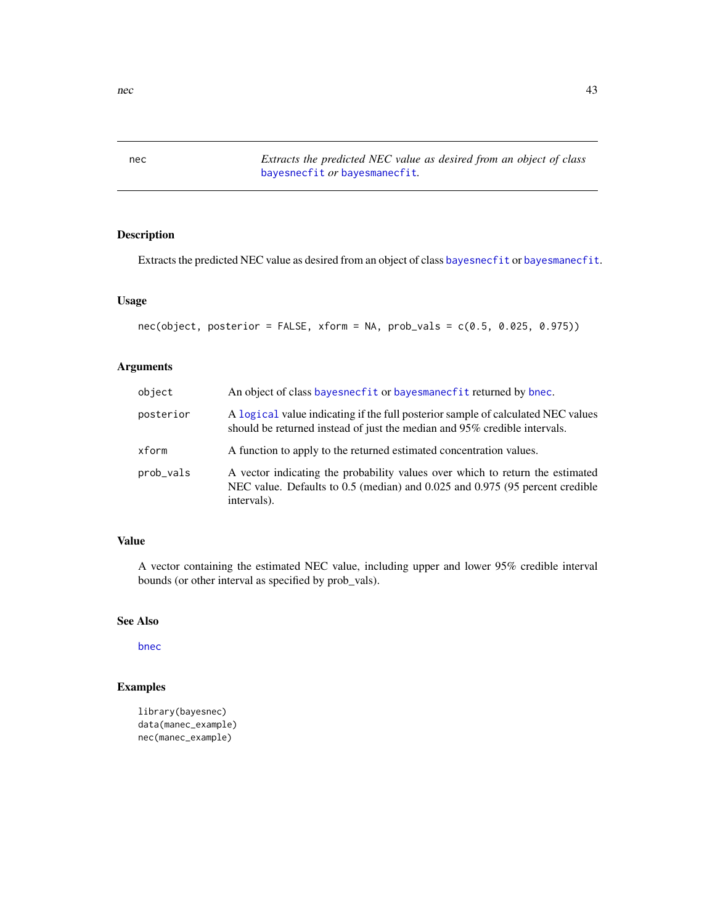<span id="page-42-0"></span>

nec *Extracts the predicted NEC value as desired from an object of class* [bayesnecfit](#page-10-1) *or* [bayesmanecfit](#page-9-1)*.*

### Description

Extracts the predicted NEC value as desired from an object of class [bayesnecfit](#page-10-1) or [bayesmanecfit](#page-9-1).

#### Usage

```
nec(object, posterior = FALSE, xform = NA, prob_values = c(0.5, 0.025, 0.975))
```
#### Arguments

| object    | An object of class bayes neef it or bayes manner fit returned by bnec.                                                                                                       |  |  |
|-----------|------------------------------------------------------------------------------------------------------------------------------------------------------------------------------|--|--|
| posterior | A logical value indicating if the full posterior sample of calculated NEC values<br>should be returned instead of just the median and 95% credible intervals.                |  |  |
| xform     | A function to apply to the returned estimated concentration values.                                                                                                          |  |  |
| prob_vals | A vector indicating the probability values over which to return the estimated<br>NEC value. Defaults to 0.5 (median) and 0.025 and 0.975 (95 percent credible<br>intervals). |  |  |

#### Value

A vector containing the estimated NEC value, including upper and lower 95% credible interval bounds (or other interval as specified by prob\_vals).

#### See Also

[bnec](#page-14-1)

### Examples

```
library(bayesnec)
data(manec_example)
nec(manec_example)
```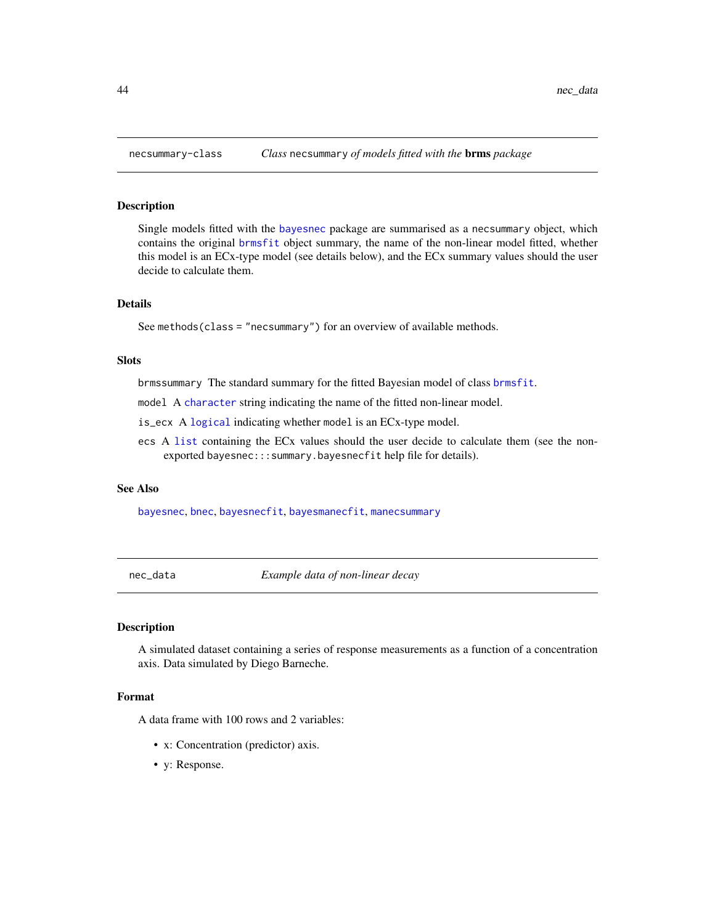<span id="page-43-1"></span><span id="page-43-0"></span>

Single models fitted with the [bayesnec](#page-2-1) package are summarised as a necsummary object, which contains the original [brmsfit](#page-0-0) object summary, the name of the non-linear model fitted, whether this model is an ECx-type model (see details below), and the ECx summary values should the user decide to calculate them.

#### Details

See methods(class = "necsummary") for an overview of available methods.

#### Slots

brmssummary The standard summary for the fitted Bayesian model of class [brmsfit](#page-0-0).

model A [character](#page-0-0) string indicating the name of the fitted non-linear model.

is\_ecx A [logical](#page-0-0) indicating whether model is an ECx-type model.

ecs A [list](#page-0-0) containing the ECx values should the user decide to calculate them (see the nonexported bayesnec:::summary.bayesnecfit help file for details).

#### See Also

[bayesnec](#page-2-1), [bnec](#page-14-1), [bayesnecfit](#page-10-1), [bayesmanecfit](#page-9-1), [manecsummary](#page-37-1)

<span id="page-43-2"></span>nec\_data *Example data of non-linear decay*

#### Description

A simulated dataset containing a series of response measurements as a function of a concentration axis. Data simulated by Diego Barneche.

### Format

A data frame with 100 rows and 2 variables:

- x: Concentration (predictor) axis.
- y: Response.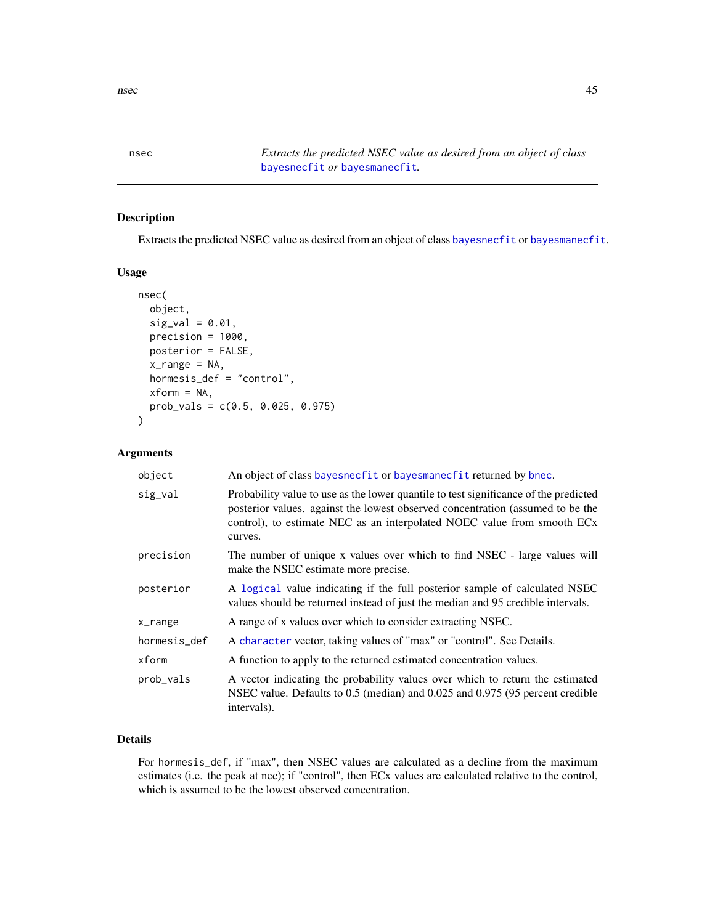<span id="page-44-0"></span>nsec 45

nsec *Extracts the predicted NSEC value as desired from an object of class* [bayesnecfit](#page-10-1) *or* [bayesmanecfit](#page-9-1)*.*

### Description

Extracts the predicted NSEC value as desired from an object of class [bayesnecfit](#page-10-1) or [bayesmanecfit](#page-9-1).

#### Usage

```
nsec(
  object,
  sig_val = 0.01,precision = 1000,
 posterior = FALSE,
  x_range = NA,
  hormesis_def = "control",
  xform = NA,
 prob_vals = c(0.5, 0.025, 0.975)
)
```
#### Arguments

| object       | An object of class bayes necfit or bayes mannecfit returned by bnec.                                                                                                                                                                                         |
|--------------|--------------------------------------------------------------------------------------------------------------------------------------------------------------------------------------------------------------------------------------------------------------|
| sig_val      | Probability value to use as the lower quantile to test significance of the predicted<br>posterior values. against the lowest observed concentration (assumed to be the<br>control), to estimate NEC as an interpolated NOEC value from smooth ECx<br>curves. |
| precision    | The number of unique x values over which to find NSEC - large values will<br>make the NSEC estimate more precise.                                                                                                                                            |
| posterior    | A logical value indicating if the full posterior sample of calculated NSEC<br>values should be returned instead of just the median and 95 credible intervals.                                                                                                |
| x_range      | A range of x values over which to consider extracting NSEC.                                                                                                                                                                                                  |
| hormesis_def | A character vector, taking values of "max" or "control". See Details.                                                                                                                                                                                        |
| xform        | A function to apply to the returned estimated concentration values.                                                                                                                                                                                          |
| prob_vals    | A vector indicating the probability values over which to return the estimated<br>NSEC value. Defaults to 0.5 (median) and 0.025 and 0.975 (95 percent credible<br>intervals).                                                                                |

#### Details

For hormesis\_def, if "max", then NSEC values are calculated as a decline from the maximum estimates (i.e. the peak at nec); if "control", then ECx values are calculated relative to the control, which is assumed to be the lowest observed concentration.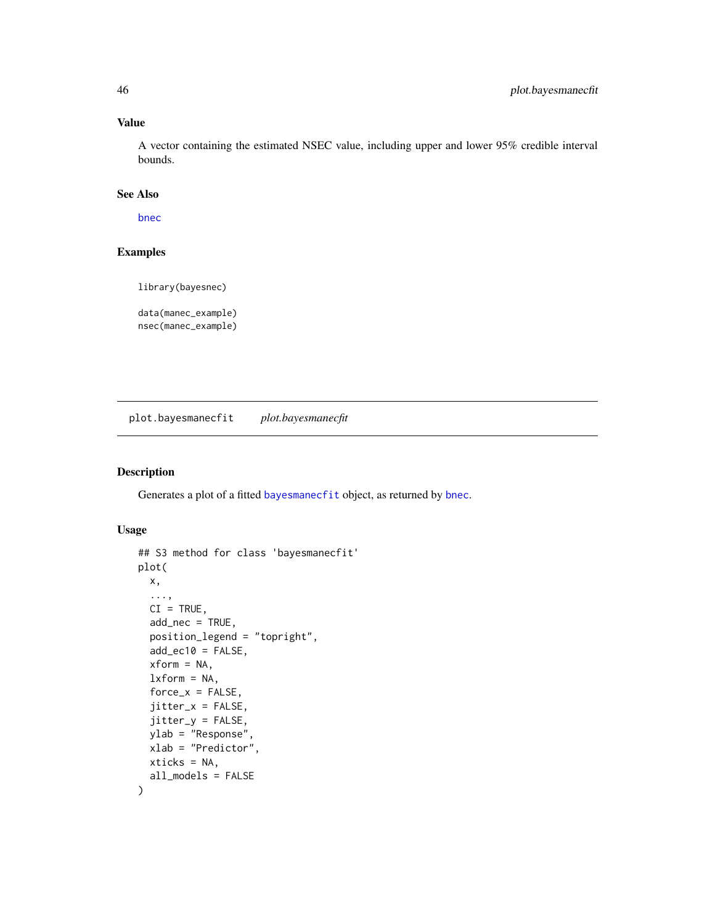### Value

A vector containing the estimated NSEC value, including upper and lower 95% credible interval bounds.

#### See Also

[bnec](#page-14-1)

### Examples

library(bayesnec)

data(manec\_example) nsec(manec\_example)

plot.bayesmanecfit *plot.bayesmanecfit*

### Description

Generates a plot of a fitted [bayesmanecfit](#page-9-1) object, as returned by [bnec](#page-14-1).

#### Usage

```
## S3 method for class 'bayesmanecfit'
plot(
  x,
  ...,
 CI = TRUE,add_nec = TRUE,
 position_legend = "topright",
  add\_ec10 = FALSE,xform = NA,
  lxform = NA,
  force_x = FALSE,jitter_x = FALSE,
  jitter_y = FALSE,ylab = "Response",
  xlab = "Predictor",
 xticks = NA,
  all_models = FALSE
)
```
<span id="page-45-0"></span>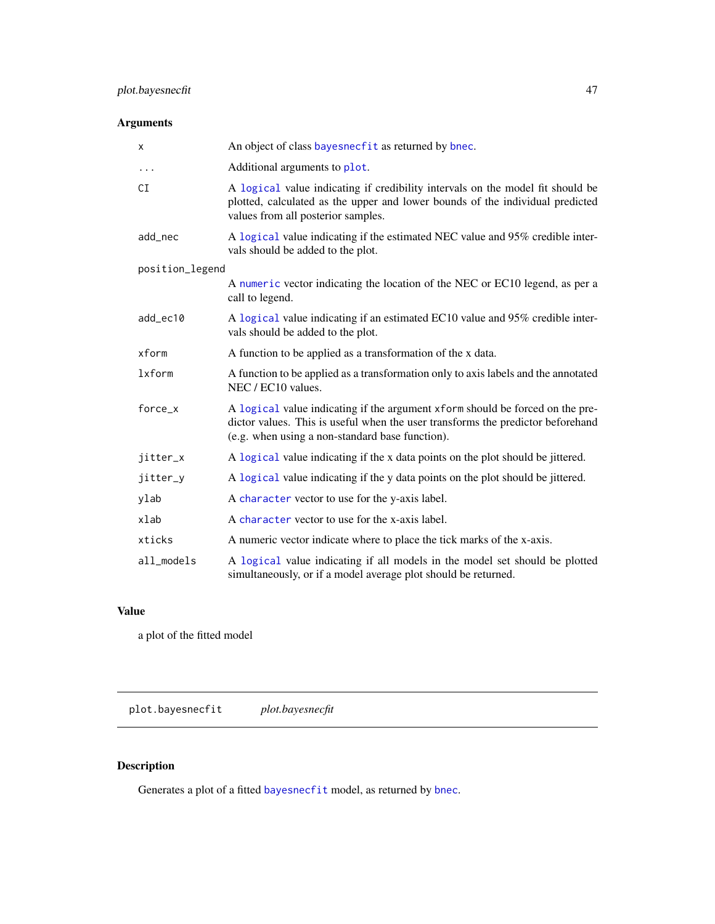### <span id="page-46-0"></span>Arguments

| X               | An object of class bayes necfit as returned by bnec.                                                                                                                                                                |  |  |  |
|-----------------|---------------------------------------------------------------------------------------------------------------------------------------------------------------------------------------------------------------------|--|--|--|
| $\cdots$        | Additional arguments to plot.                                                                                                                                                                                       |  |  |  |
| CI              | A logical value indicating if credibility intervals on the model fit should be<br>plotted, calculated as the upper and lower bounds of the individual predicted<br>values from all posterior samples.               |  |  |  |
| add_nec         | A logical value indicating if the estimated NEC value and 95% credible inter-<br>vals should be added to the plot.                                                                                                  |  |  |  |
| position_legend |                                                                                                                                                                                                                     |  |  |  |
|                 | A numeric vector indicating the location of the NEC or EC10 legend, as per a<br>call to legend.                                                                                                                     |  |  |  |
| add_ec10        | A logical value indicating if an estimated EC10 value and 95% credible inter-<br>vals should be added to the plot.                                                                                                  |  |  |  |
| xform           | A function to be applied as a transformation of the x data.                                                                                                                                                         |  |  |  |
| <b>lxform</b>   | A function to be applied as a transformation only to axis labels and the annotated<br>NEC / EC10 values.                                                                                                            |  |  |  |
| force_x         | A logical value indicating if the argument xform should be forced on the pre-<br>dictor values. This is useful when the user transforms the predictor beforehand<br>(e.g. when using a non-standard base function). |  |  |  |
| jitter_x        | A logical value indicating if the x data points on the plot should be jittered.                                                                                                                                     |  |  |  |
| jitter_y        | A logical value indicating if the y data points on the plot should be jittered.                                                                                                                                     |  |  |  |
| ylab            | A character vector to use for the y-axis label.                                                                                                                                                                     |  |  |  |
| xlab            | A character vector to use for the x-axis label.                                                                                                                                                                     |  |  |  |
| xticks          | A numeric vector indicate where to place the tick marks of the x-axis.                                                                                                                                              |  |  |  |
| all_models      | A logical value indicating if all models in the model set should be plotted<br>simultaneously, or if a model average plot should be returned.                                                                       |  |  |  |

### Value

a plot of the fitted model

plot.bayesnecfit *plot.bayesnecfit*

## Description

Generates a plot of a fitted [bayesnecfit](#page-10-1) model, as returned by [bnec](#page-14-1).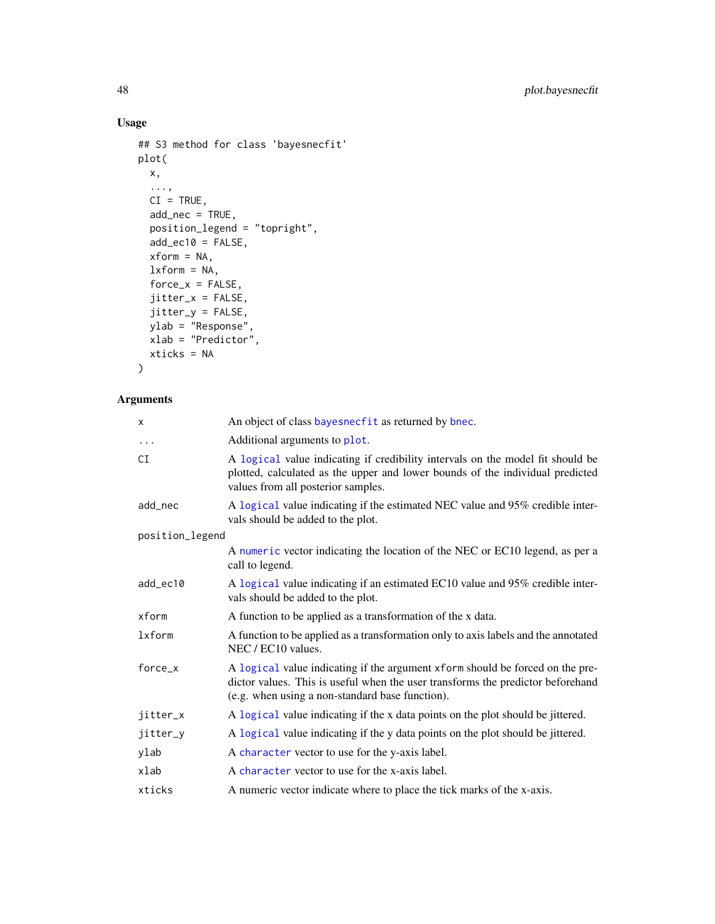### Usage

```
## S3 method for class 'bayesnecfit'
plot(
 x,
  ...,
 CI = TRUE,add\_nec = TRUE,position_legend = "topright",
 add\_ec10 = FALSE,xform = NA,
 lxform = NA,force_x = FALSE,jitter_x = FALSE,jitter_y = FALSE,
 ylab = "Response",
 xlab = "Predictor",
 xticks = NA
\mathcal{L}
```
### Arguments

| X               | An object of class bayes necfit as returned by bnec.                                                                                                                                                                |  |  |
|-----------------|---------------------------------------------------------------------------------------------------------------------------------------------------------------------------------------------------------------------|--|--|
| .               | Additional arguments to plot.                                                                                                                                                                                       |  |  |
| СI              | A logical value indicating if credibility intervals on the model fit should be<br>plotted, calculated as the upper and lower bounds of the individual predicted<br>values from all posterior samples.               |  |  |
| add_nec         | A logical value indicating if the estimated NEC value and 95% credible inter-<br>vals should be added to the plot.                                                                                                  |  |  |
| position_legend |                                                                                                                                                                                                                     |  |  |
|                 | A numeric vector indicating the location of the NEC or EC10 legend, as per a<br>call to legend.                                                                                                                     |  |  |
| add_ec10        | A logical value indicating if an estimated EC10 value and 95% credible inter-<br>vals should be added to the plot.                                                                                                  |  |  |
| xform           | A function to be applied as a transformation of the x data.                                                                                                                                                         |  |  |
| lxform          | A function to be applied as a transformation only to axis labels and the annotated<br>NEC / EC10 values.                                                                                                            |  |  |
| force x         | A logical value indicating if the argument xform should be forced on the pre-<br>dictor values. This is useful when the user transforms the predictor beforehand<br>(e.g. when using a non-standard base function). |  |  |
| jitter_x        | A logical value indicating if the x data points on the plot should be jittered.                                                                                                                                     |  |  |
| jitter_y        | A logical value indicating if the y data points on the plot should be jittered.                                                                                                                                     |  |  |
| ylab            | A character vector to use for the y-axis label.                                                                                                                                                                     |  |  |
| xlab            | A character vector to use for the x-axis label.                                                                                                                                                                     |  |  |
| xticks          | A numeric vector indicate where to place the tick marks of the x-axis.                                                                                                                                              |  |  |

<span id="page-47-0"></span>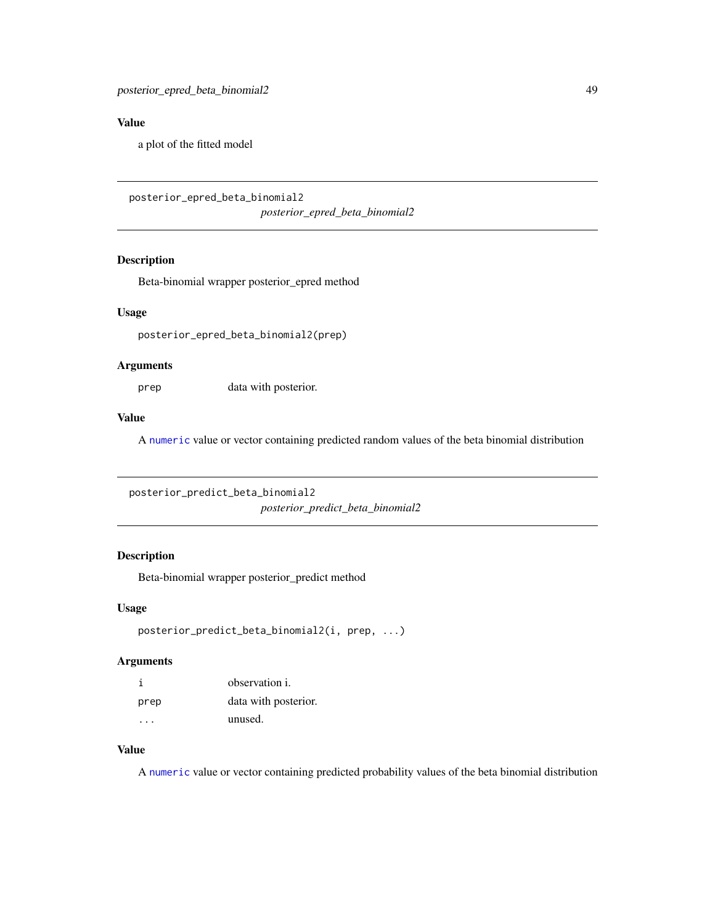### <span id="page-48-0"></span>Value

a plot of the fitted model

posterior\_epred\_beta\_binomial2 *posterior\_epred\_beta\_binomial2*

### Description

Beta-binomial wrapper posterior\_epred method

#### Usage

posterior\_epred\_beta\_binomial2(prep)

### Arguments

prep data with posterior.

#### Value

A [numeric](#page-0-0) value or vector containing predicted random values of the beta binomial distribution

posterior\_predict\_beta\_binomial2 *posterior\_predict\_beta\_binomial2*

### Description

Beta-binomial wrapper posterior\_predict method

#### Usage

```
posterior_predict_beta_binomial2(i, prep, ...)
```
#### Arguments

|      | observation <i>i</i> . |  |
|------|------------------------|--|
| prep | data with posterior.   |  |
|      | unused.                |  |

### Value

A [numeric](#page-0-0) value or vector containing predicted probability values of the beta binomial distribution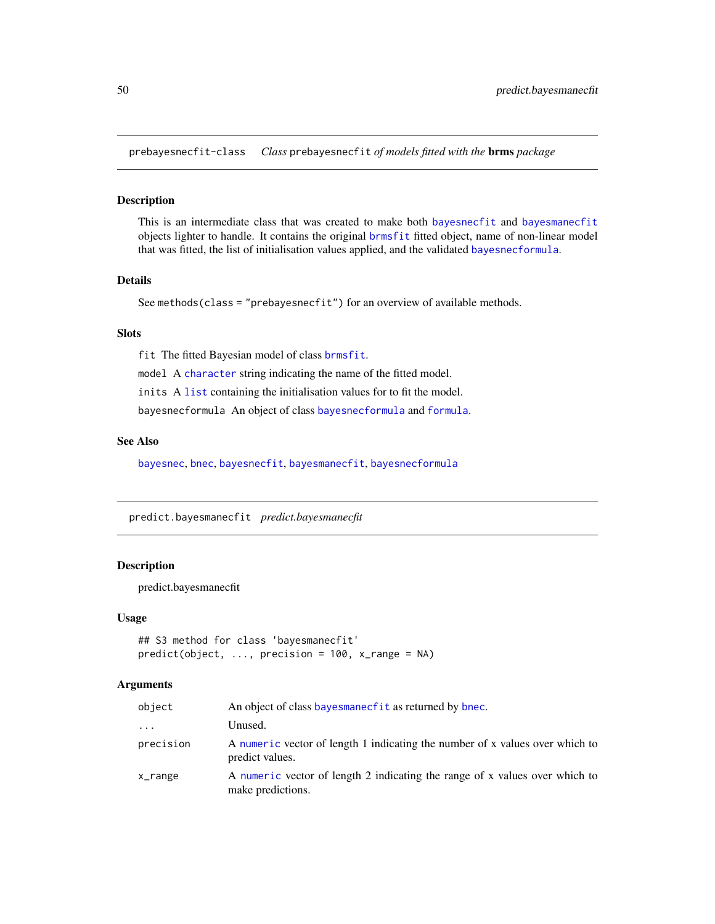<span id="page-49-0"></span>prebayesnecfit-class *Class* prebayesnecfit *of models fitted with the* brms *package*

#### <span id="page-49-1"></span>Description

This is an intermediate class that was created to make both [bayesnecfit](#page-10-1) and [bayesmanecfit](#page-9-1) objects lighter to handle. It contains the original [brmsfit](#page-0-0) fitted object, name of non-linear model that was fitted, the list of initialisation values applied, and the validated [bayesnecformula](#page-11-1).

#### Details

See methods(class = "prebayesnecfit") for an overview of available methods.

#### Slots

fit The fitted Bayesian model of class [brmsfit](#page-0-0).

model A [character](#page-0-0) string indicating the name of the fitted model.

inits A [list](#page-0-0) containing the initialisation values for to fit the model.

bayesnecformula An object of class [bayesnecformula](#page-11-1) and [formula](#page-0-0).

#### See Also

[bayesnec](#page-2-1), [bnec](#page-14-1), [bayesnecfit](#page-10-1), [bayesmanecfit](#page-9-1), [bayesnecformula](#page-11-1)

predict.bayesmanecfit *predict.bayesmanecfit*

#### Description

predict.bayesmanecfit

#### Usage

```
## S3 method for class 'bayesmanecfit'
predict(object, ..., precision = 100, x_range = NA)
```
#### Arguments

| object    | An object of class bayesmane cfit as returned by bnec.                                           |  |  |  |
|-----------|--------------------------------------------------------------------------------------------------|--|--|--|
| .         | Unused.                                                                                          |  |  |  |
| precision | A numeric vector of length 1 indicating the number of x values over which to<br>predict values.  |  |  |  |
| x_range   | A numeric vector of length 2 indicating the range of x values over which to<br>make predictions. |  |  |  |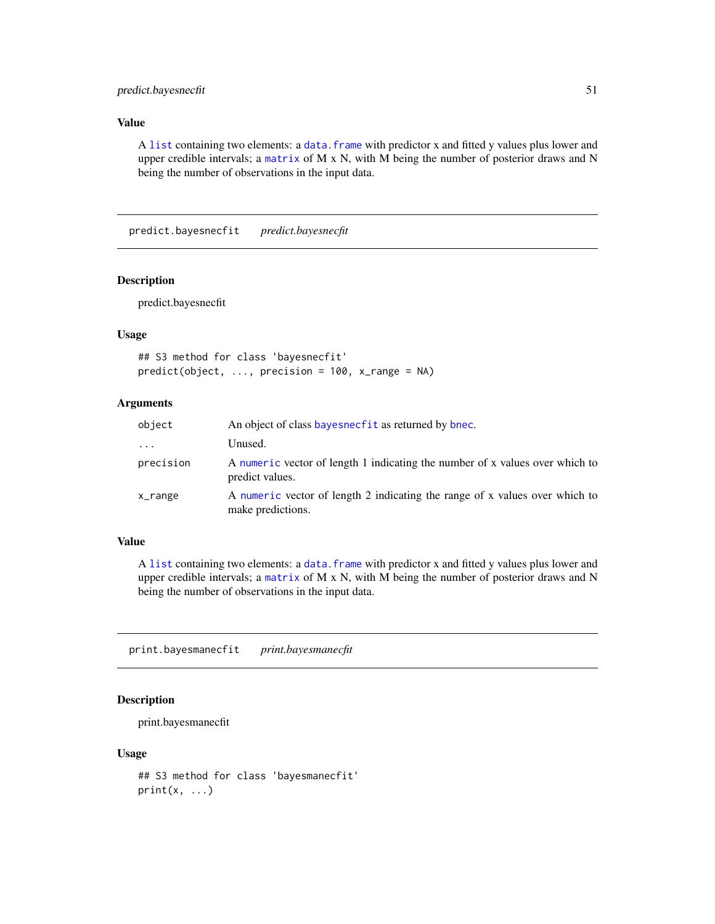### <span id="page-50-0"></span>predict.bayesnecfit 51

### Value

A [list](#page-0-0) containing two elements: a [data.frame](#page-0-0) with predictor x and fitted y values plus lower and upper credible intervals; a [matrix](#page-0-0) of M x N, with M being the number of posterior draws and N being the number of observations in the input data.

predict.bayesnecfit *predict.bayesnecfit*

#### Description

predict.bayesnecfit

#### Usage

```
## S3 method for class 'bayesnecfit'
predict(object, ..., precision = 100, x_range = NA)
```
### Arguments

| object    | An object of class bayes necessity as returned by bnec.                                          |
|-----------|--------------------------------------------------------------------------------------------------|
| .         | Unused.                                                                                          |
| precision | A numeric vector of length 1 indicating the number of x values over which to<br>predict values.  |
| x_range   | A numeric vector of length 2 indicating the range of x values over which to<br>make predictions. |

### Value

A [list](#page-0-0) containing two elements: a data. frame with predictor x and fitted y values plus lower and upper credible intervals; a [matrix](#page-0-0) of M x N, with M being the number of posterior draws and N being the number of observations in the input data.

print.bayesmanecfit *print.bayesmanecfit*

### Description

print.bayesmanecfit

#### Usage

```
## S3 method for class 'bayesmanecfit'
print(x, \ldots)
```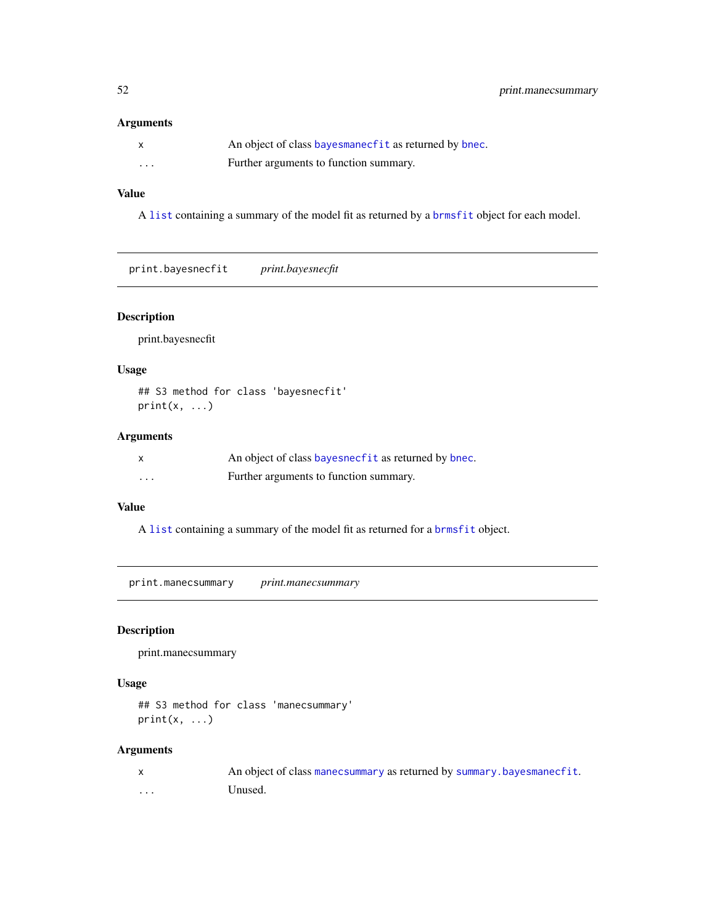#### <span id="page-51-0"></span>Arguments

|   | An object of class bayesmane cfit as returned by bnec. |
|---|--------------------------------------------------------|
| . | Further arguments to function summary.                 |

#### Value

A [list](#page-0-0) containing a summary of the model fit as returned by a [brmsfit](#page-0-0) object for each model.

print.bayesnecfit *print.bayesnecfit*

#### Description

print.bayesnecfit

#### Usage

```
## S3 method for class 'bayesnecfit'
print(x, \ldots)
```
### Arguments

| X        | An object of class bayes necessity as returned by bnec. |
|----------|---------------------------------------------------------|
| $\cdots$ | Further arguments to function summary.                  |

### Value

A [list](#page-0-0) containing a summary of the model fit as returned for a [brmsfit](#page-0-0) object.

print.manecsummary *print.manecsummary*

### Description

print.manecsummary

#### Usage

```
## S3 method for class 'manecsummary'
print(x, \ldots)
```
### Arguments

|   | An object of class manecsummary as returned by summary.bayesmanecfit. |
|---|-----------------------------------------------------------------------|
| . | Unused.                                                               |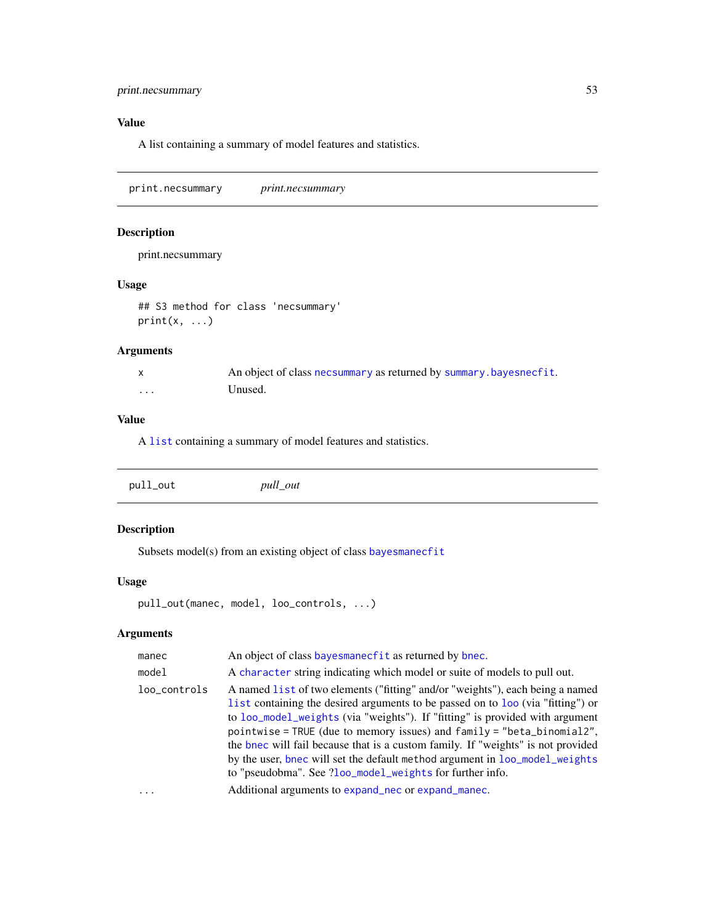### <span id="page-52-0"></span>print.necsummary 53

### Value

A list containing a summary of model features and statistics.

print.necsummary *print.necsummary*

### Description

print.necsummary

#### Usage

## S3 method for class 'necsummary'  $print(x, \ldots)$ 

### Arguments

|          | An object of class necsummary as returned by summary bayes necfit. |
|----------|--------------------------------------------------------------------|
| $\cdots$ | Unused.                                                            |

#### Value

A [list](#page-0-0) containing a summary of model features and statistics.

<span id="page-52-1"></span>

| pull_out | pull_out |  |  |
|----------|----------|--|--|
|          |          |  |  |

### Description

Subsets model(s) from an existing object of class [bayesmanecfit](#page-9-1)

#### Usage

pull\_out(manec, model, loo\_controls, ...)

#### Arguments

| manec        | An object of class bayesmanecfit as returned by bnec.                                                                                                                                                                                                                                                                                                                                                                                                                                                                                                     |
|--------------|-----------------------------------------------------------------------------------------------------------------------------------------------------------------------------------------------------------------------------------------------------------------------------------------------------------------------------------------------------------------------------------------------------------------------------------------------------------------------------------------------------------------------------------------------------------|
| model        | A character string indicating which model or suite of models to pull out.                                                                                                                                                                                                                                                                                                                                                                                                                                                                                 |
| loo_controls | A named list of two elements ("fitting" and/or "weights"), each being a named<br>list containing the desired arguments to be passed on to loo (via "fitting") or<br>to loo_model_weights (via "weights"). If "fitting" is provided with argument<br>pointwise = TRUE (due to memory issues) and family = "beta_binomial2",<br>the bnec will fail because that is a custom family. If "weights" is not provided<br>by the user, bnec will set the default method argument in loo_model_weights<br>to "pseudobma". See ?loo_model_weights for further info. |
| $\cdot$      | Additional arguments to expand nec or expand manec.                                                                                                                                                                                                                                                                                                                                                                                                                                                                                                       |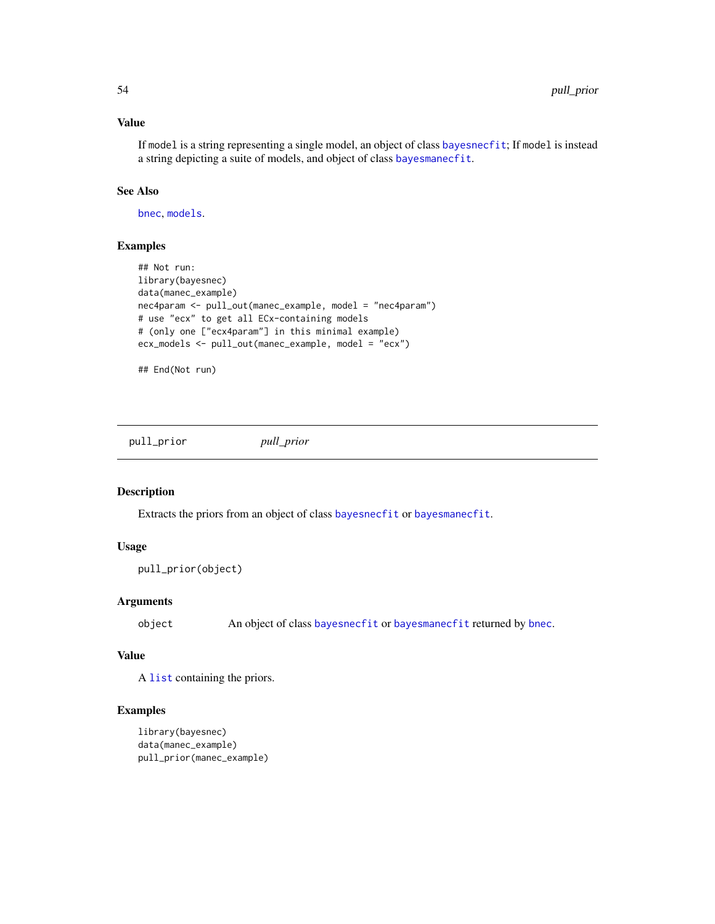### Value

If model is a string representing a single model, an object of class [bayesnecfit](#page-10-1); If model is instead a string depicting a suite of models, and object of class [bayesmanecfit](#page-9-1).

#### See Also

[bnec](#page-14-1), [models](#page-40-1).

#### Examples

```
## Not run:
library(bayesnec)
data(manec_example)
nec4param <- pull_out(manec_example, model = "nec4param")
# use "ecx" to get all ECx-containing models
# (only one ["ecx4param"] in this minimal example)
ecx_models <- pull_out(manec_example, model = "ecx")
```
## End(Not run)

pull\_prior *pull\_prior*

#### Description

Extracts the priors from an object of class [bayesnecfit](#page-10-1) or [bayesmanecfit](#page-9-1).

### Usage

```
pull_prior(object)
```
#### Arguments

object An object of class [bayesnecfit](#page-10-1) or [bayesmanecfit](#page-9-1) returned by [bnec](#page-14-1).

#### Value

A [list](#page-0-0) containing the priors.

#### Examples

```
library(bayesnec)
data(manec_example)
pull_prior(manec_example)
```
<span id="page-53-0"></span>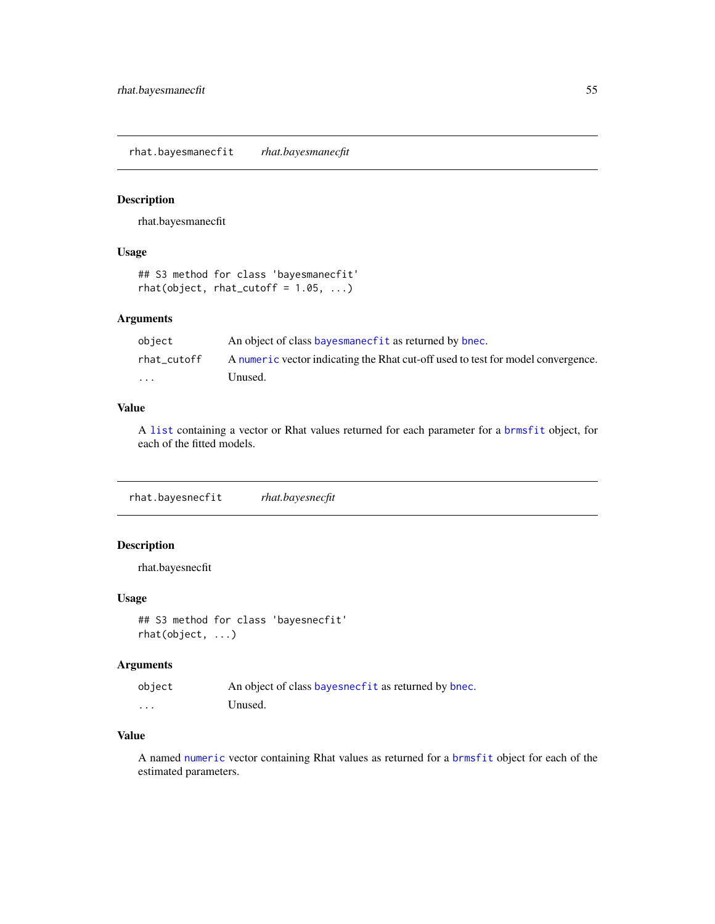<span id="page-54-0"></span>rhat.bayesmanecfit *rhat.bayesmanecfit*

#### Description

rhat.bayesmanecfit

#### Usage

```
## S3 method for class 'bayesmanecfit'
rhat(object, that_cutoff = 1.05, ...)
```
#### Arguments

| object      | An object of class bayesmane cfit as returned by bnec.                           |
|-------------|----------------------------------------------------------------------------------|
| rhat cutoff | A numeric vector indicating the Rhat cut-off used to test for model convergence. |
| .           | Unused.                                                                          |

### Value

A [list](#page-0-0) containing a vector or Rhat values returned for each parameter for a [brmsfit](#page-0-0) object, for each of the fitted models.

rhat.bayesnecfit *rhat.bayesnecfit*

### Description

rhat.bayesnecfit

#### Usage

```
## S3 method for class 'bayesnecfit'
rhat(object, ...)
```
#### Arguments

| object   | An object of class bayes necessity as returned by bnec. |
|----------|---------------------------------------------------------|
| $\cdots$ | Unused.                                                 |

#### Value

A named [numeric](#page-0-0) vector containing Rhat values as returned for a [brmsfit](#page-0-0) object for each of the estimated parameters.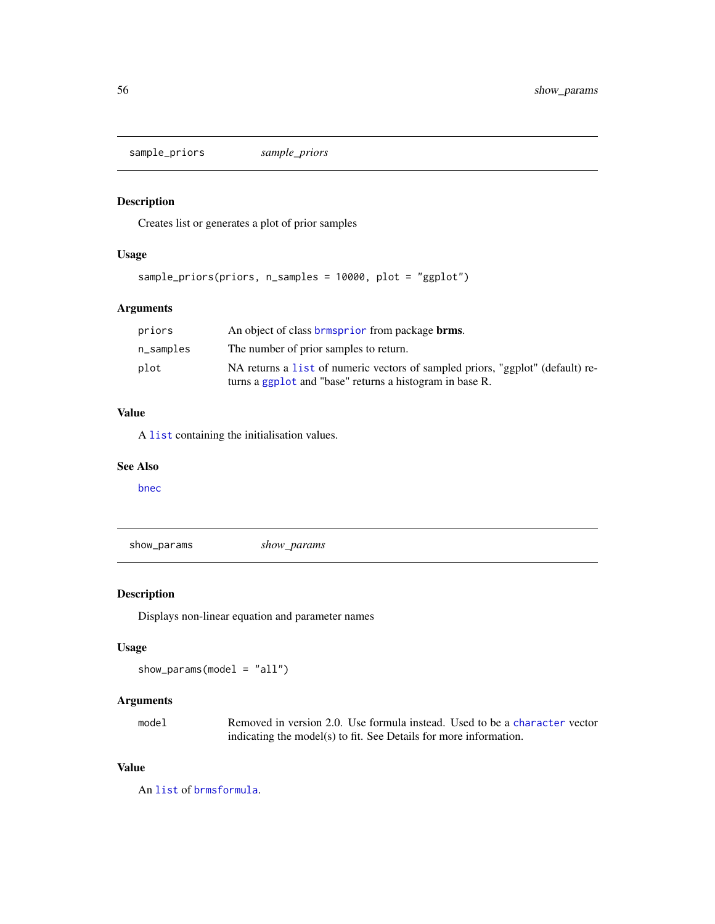<span id="page-55-0"></span>sample\_priors *sample\_priors*

### Description

Creates list or generates a plot of prior samples

#### Usage

```
sample_priors(priors, n_samples = 10000, plot = "ggplot")
```
### Arguments

| priors    | An object of class brmsprior from package brms.                                                                                            |
|-----------|--------------------------------------------------------------------------------------------------------------------------------------------|
| n_samples | The number of prior samples to return.                                                                                                     |
| plot      | NA returns a list of numeric vectors of sampled priors, "ggplot" (default) re-<br>turns a ggplot and "base" returns a histogram in base R. |

#### Value

A [list](#page-0-0) containing the initialisation values.

#### See Also

[bnec](#page-14-1)

<span id="page-55-1"></span>show\_params *show\_params*

### Description

Displays non-linear equation and parameter names

### Usage

show\_params(model = "all")

### Arguments

| model | Removed in version 2.0. Use formula instead. Used to be a character vector |
|-------|----------------------------------------------------------------------------|
|       | indicating the model(s) to fit. See Details for more information.          |

#### Value

An [list](#page-0-0) of [brmsformula](#page-0-0).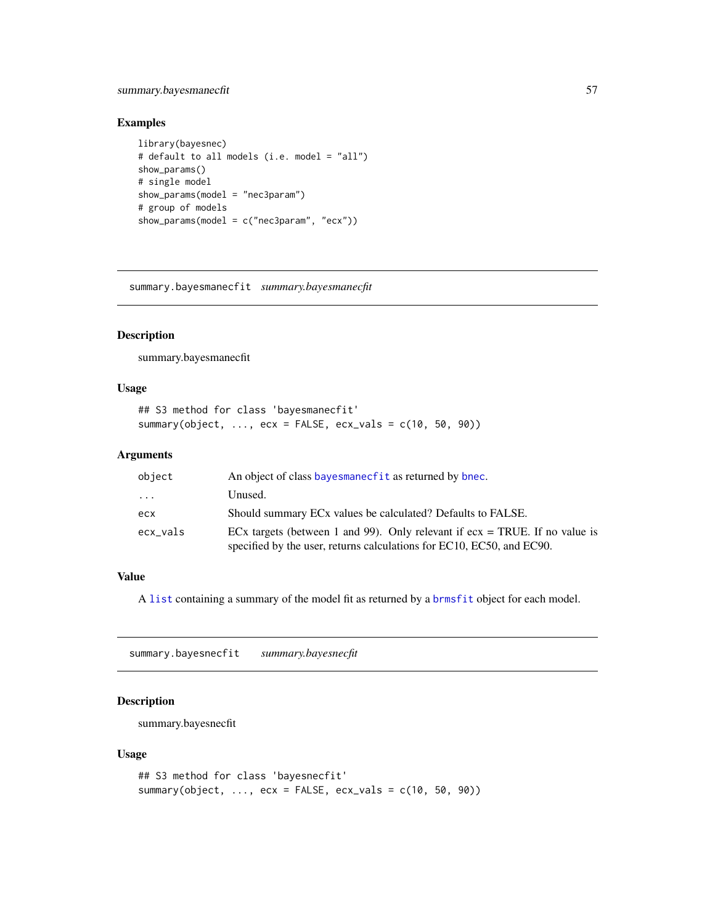### <span id="page-56-0"></span>summary.bayesmanecfit 57

#### Examples

```
library(bayesnec)
# default to all models (i.e. model = "all")
show_params()
# single model
show_params(model = "nec3param")
# group of models
show_params(model = c("nec3param", "ecx"))
```
<span id="page-56-1"></span>summary.bayesmanecfit *summary.bayesmanecfit*

### Description

summary.bayesmanecfit

#### Usage

```
## S3 method for class 'bayesmanecfit'
summary(object, \ldots, ecx = FALSE, ecx_vals = c(10, 50, 90))
```
#### Arguments

| object   | An object of class bayes mannecf it as returned by bnec.                                                                                                |
|----------|---------------------------------------------------------------------------------------------------------------------------------------------------------|
| .        | Unused.                                                                                                                                                 |
| ecx      | Should summary EC <sub>x</sub> values be calculated? Defaults to FALSE.                                                                                 |
| ecx vals | ECx targets (between 1 and 99). Only relevant if $ecx = TRUE$ . If no value is<br>specified by the user, returns calculations for EC10, EC50, and EC90. |

### Value

A [list](#page-0-0) containing a summary of the model fit as returned by a [brmsfit](#page-0-0) object for each model.

<span id="page-56-2"></span>summary.bayesnecfit *summary.bayesnecfit*

#### Description

summary.bayesnecfit

#### Usage

```
## S3 method for class 'bayesnecfit'
summary(object, \ldots, ecx = FALSE, ecx_vals = c(10, 50, 90))
```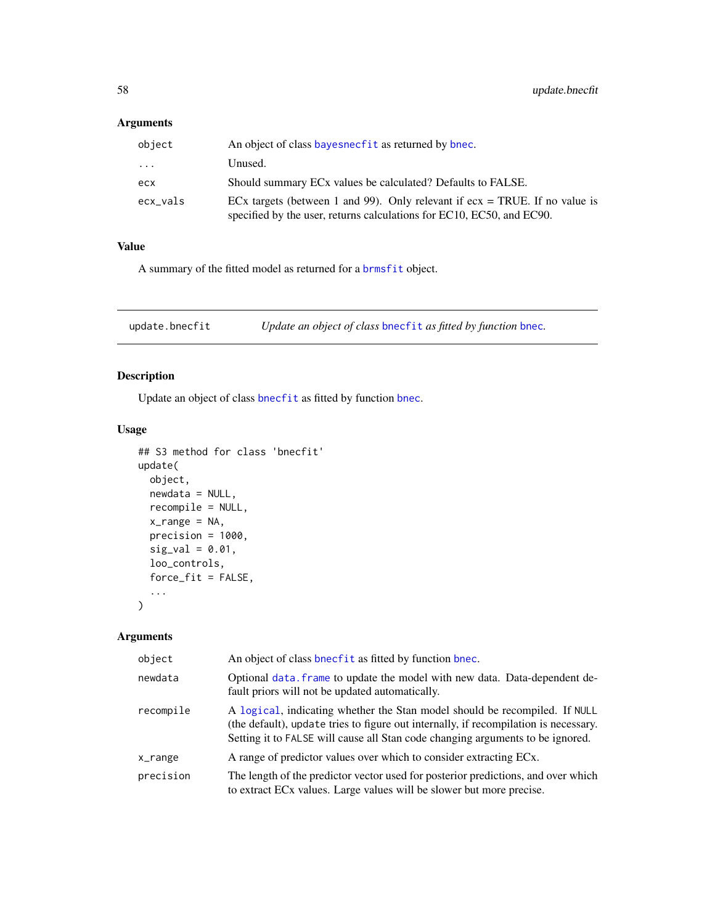#### <span id="page-57-0"></span>Arguments

| object   | An object of class bayes necessity as returned by bnec.                                                                                                 |
|----------|---------------------------------------------------------------------------------------------------------------------------------------------------------|
| $\cdots$ | Unused.                                                                                                                                                 |
| ecx      | Should summary EC <sub>x</sub> values be calculated? Defaults to FALSE.                                                                                 |
| ecx vals | ECx targets (between 1 and 99). Only relevant if $ecx = TRUE$ . If no value is<br>specified by the user, returns calculations for EC10, EC50, and EC90. |

#### Value

A summary of the fitted model as returned for a [brmsfit](#page-0-0) object.

update.bnecfit *Update an object of class* [bnecfit](#page-17-1) *as fitted by function* [bnec](#page-14-1)*.*

### Description

Update an object of class [bnecfit](#page-17-1) as fitted by function [bnec](#page-14-1).

### Usage

```
## S3 method for class 'bnecfit'
update(
  object,
  newdata = NULL,
  recompile = NULL,
  x<sub>range</sub> = NA,
  precision = 1000,
  sig_val = 0.01,loo_controls,
  force_fit = FALSE,
  ...
\mathcal{L}
```
#### Arguments

| object    | An object of class bnecfit as fitted by function bnec.                                                                                                                                                                                               |
|-----------|------------------------------------------------------------------------------------------------------------------------------------------------------------------------------------------------------------------------------------------------------|
| newdata   | Optional data. frame to update the model with new data. Data-dependent de-<br>fault priors will not be updated automatically.                                                                                                                        |
| recompile | A logical, indicating whether the Stan model should be recompiled. If NULL<br>(the default), update tries to figure out internally, if recompilation is necessary.<br>Setting it to FALSE will cause all Stan code changing arguments to be ignored. |
| x_range   | A range of predictor values over which to consider extracting EC <sub>x</sub> .                                                                                                                                                                      |
| precision | The length of the predictor vector used for posterior predictions, and over which<br>to extract ECx values. Large values will be slower but more precise.                                                                                            |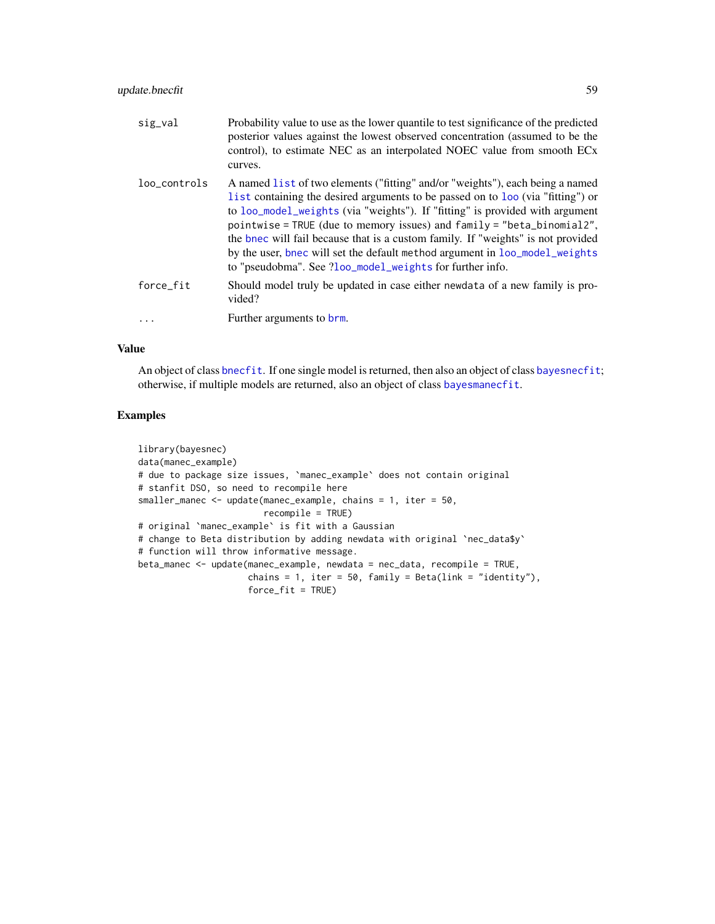### <span id="page-58-0"></span>update.bnecfit 59

| sig_val      | Probability value to use as the lower quantile to test significance of the predicted<br>posterior values against the lowest observed concentration (assumed to be the<br>control), to estimate NEC as an interpolated NOEC value from smooth ECx<br>curves.                                                                                                                                                                                                                                                                                               |
|--------------|-----------------------------------------------------------------------------------------------------------------------------------------------------------------------------------------------------------------------------------------------------------------------------------------------------------------------------------------------------------------------------------------------------------------------------------------------------------------------------------------------------------------------------------------------------------|
| loo_controls | A named list of two elements ("fitting" and/or "weights"), each being a named<br>list containing the desired arguments to be passed on to loo (via "fitting") or<br>to loo_model_weights (via "weights"). If "fitting" is provided with argument<br>pointwise = TRUE (due to memory issues) and family = "beta_binomial2",<br>the bnec will fail because that is a custom family. If "weights" is not provided<br>by the user, bnec will set the default method argument in loo_model_weights<br>to "pseudobma". See ?loo_model_weights for further info. |
| force fit    | Should model truly be updated in case either newdata of a new family is pro-<br>vided?                                                                                                                                                                                                                                                                                                                                                                                                                                                                    |
|              | Further arguments to <b>brm.</b>                                                                                                                                                                                                                                                                                                                                                                                                                                                                                                                          |

#### Value

An object of class [bnecfit](#page-17-1). If one single model is returned, then also an object of class [bayesnecfit](#page-10-1); otherwise, if multiple models are returned, also an object of class [bayesmanecfit](#page-9-1).

#### Examples

```
library(bayesnec)
data(manec_example)
# due to package size issues, `manec_example` does not contain original
# stanfit DSO, so need to recompile here
smaller_manec <- update(manec_example, chains = 1, iter = 50,
                       recompile = TRUE)
# original `manec_example` is fit with a Gaussian
# change to Beta distribution by adding newdata with original `nec_data$y`
# function will throw informative message.
beta_manec <- update(manec_example, newdata = nec_data, recompile = TRUE,
                     chains = 1, iter = 50, family = Beta(link = "identity"),
                     force_fit = TRUE)
```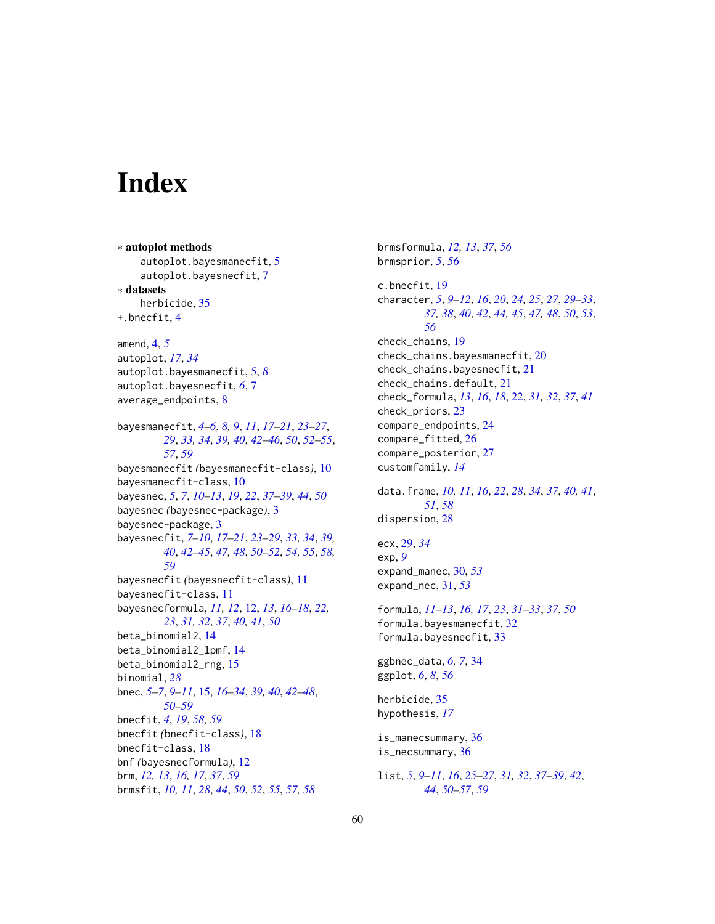# <span id="page-59-0"></span>**Index**

∗ autoplot methods autoplot.bayesmanecfit, [5](#page-4-0) autoplot.bayesnecfit, [7](#page-6-0) ∗ datasets herbicide, [35](#page-34-0) +.bnecfit, [4](#page-3-0) amend, [4,](#page-3-0) *[5](#page-4-0)* autoplot, *[17](#page-16-0)*, *[34](#page-33-0)* autoplot.bayesmanecfit, [5,](#page-4-0) *[8](#page-7-0)* autoplot.bayesnecfit, *[6](#page-5-0)*, [7](#page-6-0) average\_endpoints, [8](#page-7-0) bayesmanecfit, *[4](#page-3-0)[–6](#page-5-0)*, *[8,](#page-7-0) [9](#page-8-0)*, *[11](#page-10-0)*, *[17–](#page-16-0)[21](#page-20-0)*, *[23–](#page-22-0)[27](#page-26-0)*, *[29](#page-28-0)*, *[33,](#page-32-0) [34](#page-33-0)*, *[39,](#page-38-0) [40](#page-39-0)*, *[42–](#page-41-0)[46](#page-45-0)*, *[50](#page-49-0)*, *[52–](#page-51-0)[55](#page-54-0)*, *[57](#page-56-0)*, *[59](#page-58-0)* bayesmanecfit *(*bayesmanecfit-class*)*, [10](#page-9-0) bayesmanecfit-class, [10](#page-9-0) bayesnec, *[5](#page-4-0)*, *[7](#page-6-0)*, *[10](#page-9-0)[–13](#page-12-0)*, *[19](#page-18-0)*, *[22](#page-21-0)*, *[37–](#page-36-0)[39](#page-38-0)*, *[44](#page-43-0)*, *[50](#page-49-0)* bayesnec *(*bayesnec-package*)*, [3](#page-2-0) bayesnec-package, [3](#page-2-0) bayesnecfit, *[7](#page-6-0)[–10](#page-9-0)*, *[17–](#page-16-0)[21](#page-20-0)*, *[23–](#page-22-0)[29](#page-28-0)*, *[33,](#page-32-0) [34](#page-33-0)*, *[39,](#page-38-0) [40](#page-39-0)*, *[42](#page-41-0)[–45](#page-44-0)*, *[47,](#page-46-0) [48](#page-47-0)*, *[50–](#page-49-0)[52](#page-51-0)*, *[54,](#page-53-0) [55](#page-54-0)*, *[58,](#page-57-0) [59](#page-58-0)* bayesnecfit *(*bayesnecfit-class*)*, [11](#page-10-0) bayesnecfit-class, [11](#page-10-0) bayesnecformula, *[11,](#page-10-0) [12](#page-11-0)*, [12,](#page-11-0) *[13](#page-12-0)*, *[16–](#page-15-0)[18](#page-17-0)*, *[22,](#page-21-0) [23](#page-22-0)*, *[31,](#page-30-0) [32](#page-31-0)*, *[37](#page-36-0)*, *[40,](#page-39-0) [41](#page-40-0)*, *[50](#page-49-0)* beta\_binomial2, [14](#page-13-0) beta\_binomial2\_lpmf, [14](#page-13-0) beta\_binomial2\_rng, [15](#page-14-0) binomial, *[28](#page-27-0)* bnec, *[5](#page-4-0)[–7](#page-6-0)*, *[9](#page-8-0)[–11](#page-10-0)*, [15,](#page-14-0) *[16–](#page-15-0)[34](#page-33-0)*, *[39,](#page-38-0) [40](#page-39-0)*, *[42–](#page-41-0)[48](#page-47-0)*, *[50](#page-49-0)[–59](#page-58-0)* bnecfit, *[4](#page-3-0)*, *[19](#page-18-0)*, *[58,](#page-57-0) [59](#page-58-0)* bnecfit *(*bnecfit-class*)*, [18](#page-17-0) bnecfit-class, [18](#page-17-0) bnf *(*bayesnecformula*)*, [12](#page-11-0) brm, *[12,](#page-11-0) [13](#page-12-0)*, *[16,](#page-15-0) [17](#page-16-0)*, *[37](#page-36-0)*, *[59](#page-58-0)* brmsfit, *[10,](#page-9-0) [11](#page-10-0)*, *[28](#page-27-0)*, *[44](#page-43-0)*, *[50](#page-49-0)*, *[52](#page-51-0)*, *[55](#page-54-0)*, *[57,](#page-56-0) [58](#page-57-0)*

brmsformula, *[12,](#page-11-0) [13](#page-12-0)*, *[37](#page-36-0)*, *[56](#page-55-0)* brmsprior, *[5](#page-4-0)*, *[56](#page-55-0)* c.bnecfit, [19](#page-18-0) character, *[5](#page-4-0)*, *[9](#page-8-0)[–12](#page-11-0)*, *[16](#page-15-0)*, *[20](#page-19-0)*, *[24,](#page-23-0) [25](#page-24-0)*, *[27](#page-26-0)*, *[29](#page-28-0)[–33](#page-32-0)*, *[37,](#page-36-0) [38](#page-37-0)*, *[40](#page-39-0)*, *[42](#page-41-0)*, *[44,](#page-43-0) [45](#page-44-0)*, *[47,](#page-46-0) [48](#page-47-0)*, *[50](#page-49-0)*, *[53](#page-52-0)*, *[56](#page-55-0)* check\_chains, [19](#page-18-0) check\_chains.bayesmanecfit, [20](#page-19-0) check\_chains.bayesnecfit, [21](#page-20-0) check\_chains.default, [21](#page-20-0) check\_formula, *[13](#page-12-0)*, *[16](#page-15-0)*, *[18](#page-17-0)*, [22,](#page-21-0) *[31,](#page-30-0) [32](#page-31-0)*, *[37](#page-36-0)*, *[41](#page-40-0)* check\_priors, [23](#page-22-0) compare\_endpoints, [24](#page-23-0) compare\_fitted, [26](#page-25-0) compare\_posterior, [27](#page-26-0) customfamily, *[14](#page-13-0)* data.frame, *[10,](#page-9-0) [11](#page-10-0)*, *[16](#page-15-0)*, *[22](#page-21-0)*, *[28](#page-27-0)*, *[34](#page-33-0)*, *[37](#page-36-0)*, *[40,](#page-39-0) [41](#page-40-0)*, *[51](#page-50-0)*, *[58](#page-57-0)* dispersion, [28](#page-27-0) ecx, [29,](#page-28-0) *[34](#page-33-0)* exp, *[9](#page-8-0)* expand\_manec, [30,](#page-29-0) *[53](#page-52-0)* expand\_nec, [31,](#page-30-0) *[53](#page-52-0)* formula, *[11](#page-10-0)[–13](#page-12-0)*, *[16,](#page-15-0) [17](#page-16-0)*, *[23](#page-22-0)*, *[31](#page-30-0)[–33](#page-32-0)*, *[37](#page-36-0)*, *[50](#page-49-0)* formula.bayesmanecfit, [32](#page-31-0) formula.bayesnecfit, [33](#page-32-0) ggbnec\_data, *[6,](#page-5-0) [7](#page-6-0)*, [34](#page-33-0) ggplot, *[6](#page-5-0)*, *[8](#page-7-0)*, *[56](#page-55-0)* herbicide, [35](#page-34-0) hypothesis, *[17](#page-16-0)* is\_manecsummary, [36](#page-35-0) is\_necsummary, [36](#page-35-0) list, *[5](#page-4-0)*, *[9](#page-8-0)[–11](#page-10-0)*, *[16](#page-15-0)*, *[25](#page-24-0)[–27](#page-26-0)*, *[31,](#page-30-0) [32](#page-31-0)*, *[37](#page-36-0)[–39](#page-38-0)*, *[42](#page-41-0)*, *[44](#page-43-0)*, *[50](#page-49-0)[–57](#page-56-0)*, *[59](#page-58-0)*